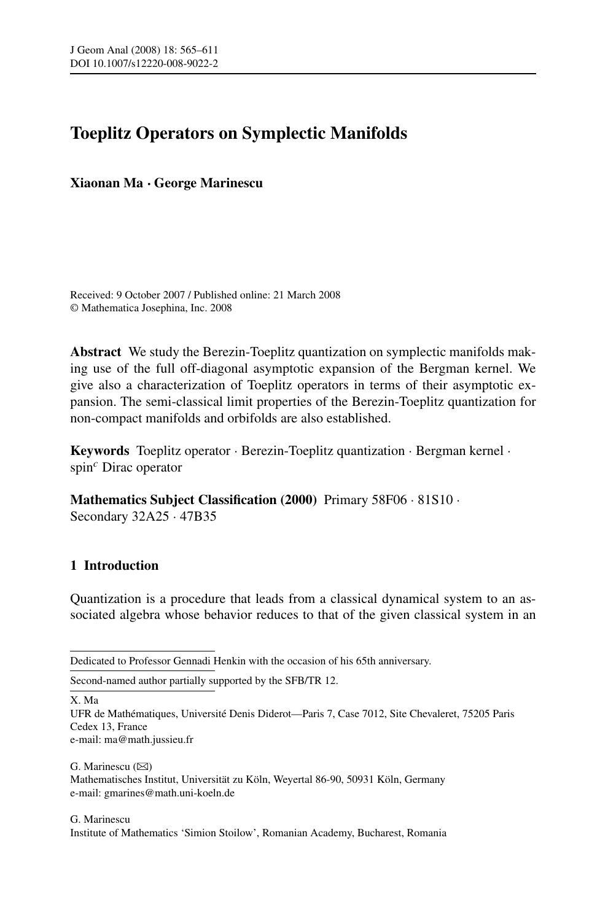# **Toeplitz Operators on Symplectic Manifolds**

**Xiaonan Ma · George Marinescu**

Received: 9 October 2007 / Published online: 21 March 2008 © Mathematica Josephina, Inc. 2008

**Abstract** We study the Berezin-Toeplitz quantization on symplectic manifolds making use of the full off-diagonal asymptotic expansion of the Bergman kernel. We give also a characterization of Toeplitz operators in terms of their asymptotic expansion. The semi-classical limit properties of the Berezin-Toeplitz quantization for non-compact manifolds and orbifolds are also established.

**Keywords** Toeplitz operator · Berezin-Toeplitz quantization · Bergman kernel · spin*<sup>c</sup>* Dirac operator

**Mathematics Subject Classification (2000)** Primary 58F06 · 81S10 · Secondary 32A25 · 47B35

# **1 Introduction**

Quantization is a procedure that leads from a classical dynamical system to an associated algebra whose behavior reduces to that of the given classical system in an

Dedicated to Professor Gennadi Henkin with the occasion of his 65th anniversary.

Second-named author partially supported by the SFB/TR 12.

X. Ma

UFR de Mathématiques, Université Denis Diderot—Paris 7, Case 7012, Site Chevaleret, 75205 Paris Cedex 13, France e-mail: ma@math.jussieu.fr

G. Marinescu  $(\boxtimes)$ Mathematisches Institut, Universität zu Köln, Weyertal 86-90, 50931 Köln, Germany e-mail: gmarines@math.uni-koeln.de

G. Marinescu Institute of Mathematics 'Simion Stoilow', Romanian Academy, Bucharest, Romania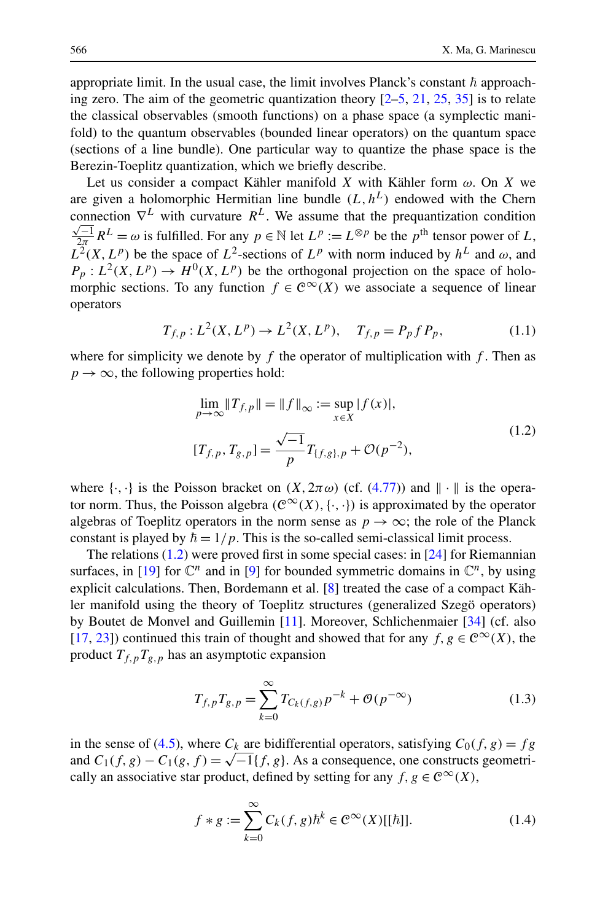<span id="page-1-0"></span>appropriate limit. In the usual case, the limit involves Planck's constant  $\hbar$  approaching zero. The aim of the geometric quantization theory  $[2-5, 21, 25, 35]$  $[2-5, 21, 25, 35]$  $[2-5, 21, 25, 35]$  $[2-5, 21, 25, 35]$  $[2-5, 21, 25, 35]$  $[2-5, 21, 25, 35]$  $[2-5, 21, 25, 35]$  is to relate the classical observables (smooth functions) on a phase space (a symplectic manifold) to the quantum observables (bounded linear operators) on the quantum space (sections of a line bundle). One particular way to quantize the phase space is the Berezin-Toeplitz quantization, which we briefly describe.

Let us consider a compact Kähler manifold *X* with Kähler form *ω*. On *X* we are given a holomorphic Hermitian line bundle  $(L, h^L)$  endowed with the Chern connection  $\nabla^L$  with curvature  $R^L$ . We assume that the prequantization condition  $\frac{\sqrt{-1}}{2\pi}R^L = \omega$  is fulfilled. For any  $p \in \mathbb{N}$  let  $L^p := L^{\otimes p}$  be the  $p^{\text{th}}$  tensor power of *L*,  $L^2(X, L^p)$  be the space of  $L^2$ -sections of  $L^p$  with norm induced by  $h^L$  and  $\omega$ , and  $P_p: L^2(X, L^p) \to H^0(X, L^p)$  be the orthogonal projection on the space of holomorphic sections. To any function  $f \in C^{\infty}(X)$  we associate a sequence of linear operators

$$
T_{f,p}: L^{2}(X, L^{p}) \to L^{2}(X, L^{p}), \quad T_{f,p} = P_{p} f P_{p}, \tag{1.1}
$$

where for simplicity we denote by  $f$  the operator of multiplication with  $f$ . Then as  $p \rightarrow \infty$ , the following properties hold:

$$
\lim_{p \to \infty} \|T_{f,p}\| = \|f\|_{\infty} := \sup_{x \in X} |f(x)|,
$$
\n
$$
[T_{f,p}, T_{g,p}] = \frac{\sqrt{-1}}{p} T_{[f,g],p} + \mathcal{O}(p^{-2}),
$$
\n(1.2)

where  $\{\cdot,\cdot\}$  is the Poisson bracket on  $(X, 2\pi \omega)$  (cf.  $(4.77)$ ) and  $\|\cdot\|$  is the operator norm. Thus, the Poisson algebra  $(\mathcal{C}^{\infty}(X), \{\cdot, \cdot\})$  is approximated by the operator algebras of Toeplitz operators in the norm sense as  $p \to \infty$ ; the role of the Planck constant is played by  $\hbar = 1/p$ . This is the so-called semi-classical limit process.

The relations (1.2) were proved first in some special cases: in [[24\]](#page-45-0) for Riemannian surfaces, in [[19\]](#page-45-0) for  $\mathbb{C}^n$  and in [\[9\]](#page-45-0) for bounded symmetric domains in  $\mathbb{C}^n$ , by using explicit calculations. Then, Bordemann et al. [[8\]](#page-45-0) treated the case of a compact Kähler manifold using the theory of Toeplitz structures (generalized Szegö operators) by Boutet de Monvel and Guillemin [[11\]](#page-45-0). Moreover, Schlichenmaier [[34\]](#page-46-0) (cf. also [\[17](#page-45-0), [23](#page-45-0)]) continued this train of thought and showed that for any *f*,  $g \in \mathcal{C}^{\infty}(X)$ , the product  $T_{f,p}T_{g,p}$  has an asymptotic expansion

$$
T_{f,p}T_{g,p} = \sum_{k=0}^{\infty} T_{C_k(f,g)} p^{-k} + \mathcal{O}(p^{-\infty})
$$
\n(1.3)

in the sense of [\(4.5\)](#page-15-0), where  $C_k$  are bidifferential operators, satisfying  $C_0(f, g) = fg$ and  $C_1(f,g) - C_1(g,f) = \sqrt{-1}\{f,g\}$ . As a consequence, one constructs geometrically an associative star product, defined by setting for any  $f, g \in C^{\infty}(X)$ ,

$$
f * g := \sum_{k=0}^{\infty} C_k(f, g) \hbar^k \in C^{\infty}(X)[[\hbar]].
$$
 (1.4)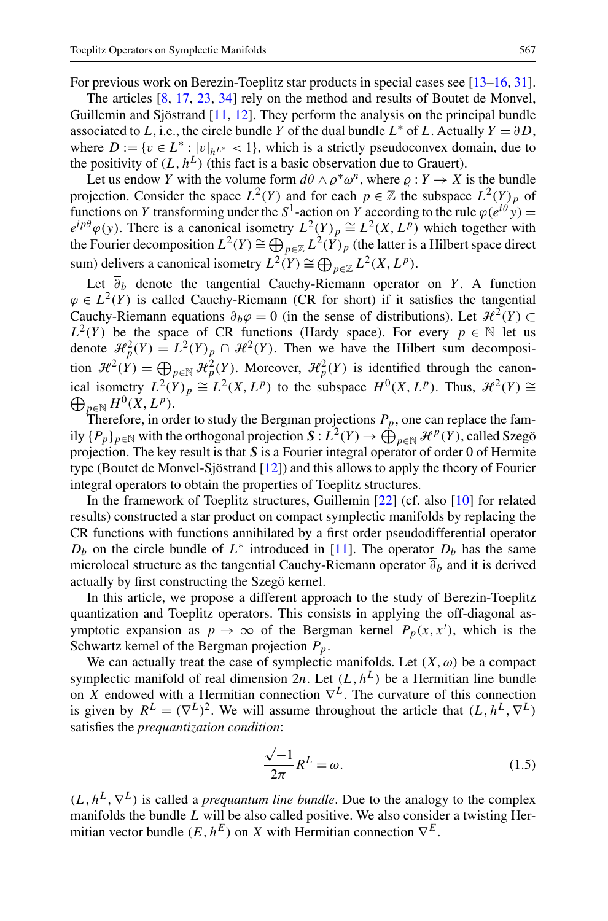<span id="page-2-0"></span>For previous work on Berezin-Toeplitz star products in special cases see [\[13–16,](#page-45-0) [31\]](#page-45-0).

The articles [[8,](#page-45-0) [17](#page-45-0), [23,](#page-45-0) [34](#page-46-0)] rely on the method and results of Boutet de Monvel, Guillemin and Sjöstrand [\[11](#page-45-0), [12\]](#page-45-0). They perform the analysis on the principal bundle associated to *L*, i.e., the circle bundle *Y* of the dual bundle  $L^*$  of *L*. Actually  $Y = \partial D$ , where  $D := \{v \in L^* : |v|_{h}L^* < 1\}$ , which is a strictly pseudoconvex domain, due to the positivity of  $(L, h^L)$  (this fact is a basic observation due to Grauert).

Let us endow *Y* with the volume form  $d\theta \wedge \rho^* \omega^n$ , where  $\rho: Y \to X$  is the bundle projection. Consider the space  $L^2(Y)$  and for each  $p \in \mathbb{Z}$  the subspace  $L^2(Y)_p$  of functions on *Y* transforming under the  $S^1$ -action on *Y* according to the rule  $\varphi(e^{i\theta}y)$  =  $e^{ip\theta}\varphi(y)$ . There is a canonical isometry  $L^2(Y)_p \cong L^2(X, L^p)$  which together with the Fourier decomposition  $L^2(Y) \cong \bigoplus_{p \in \mathbb{Z}} L^2(Y)_p$  (the latter is a Hilbert space direct sum) delivers a canonical isometry  $L^2(Y) \cong \bigoplus_{p \in \mathbb{Z}} L^2(X, L^p)$ .

Let  $\overline{\partial}_b$  denote the tangential Cauchy-Riemann operator on *Y*. A function  $\varphi \in L^2(Y)$  is called Cauchy-Riemann (CR for short) if it satisfies the tangential Cauchy-Riemann equations  $\overline{\partial}_b\varphi = 0$  (in the sense of distributions). Let  $\mathcal{H}^2(Y) \subset$  $L^2(Y)$  be the space of CR functions (Hardy space). For every  $p \in \mathbb{N}$  let us denote  $\mathcal{H}_p^2(Y) = L^2(Y)_p \cap \mathcal{H}^2(Y)$ . Then we have the Hilbert sum decomposition  $\mathcal{H}^2(Y) = \bigoplus_{p \in \mathbb{N}} \mathcal{H}_p^2(Y)$ . Moreover,  $\mathcal{H}_p^2(Y)$  is identified through the canonical isometry  $L^2(Y)_p \cong L^2(X, L^p)$  to the subspace  $H^0(X, L^p)$ . Thus,  $\mathcal{H}^2(Y) \cong$  $\bigoplus_{p\in\mathbb{N}}H^0(X,L^p).$ 

Therefore, in order to study the Bergman projections  $P_p$ , one can replace the family  $\{P_p\}_{p\in\mathbb{N}}$  with the orthogonal projection  $S: L^2(Y) \to \bigoplus_{p\in\mathbb{N}} \mathcal{H}^p(Y)$ , called Szegö projection. The key result is that *S* is a Fourier integral operator of order 0 of Hermite type (Boutet de Monvel-Sjöstrand [\[12\]](#page-45-0)) and this allows to apply the theory of Fourier integral operators to obtain the properties of Toeplitz structures.

In the framework of Toeplitz structures, Guillemin [[22\]](#page-45-0) (cf. also [\[10](#page-45-0)] for related results) constructed a star product on compact symplectic manifolds by replacing the CR functions with functions annihilated by a first order pseudodifferential operator  $D_b$  on the circle bundle of  $L^*$  introduced in [[11\]](#page-45-0). The operator  $D_b$  has the same microlocal structure as the tangential Cauchy-Riemann operator  $\overline{\partial}_b$  and it is derived actually by first constructing the Szegö kernel.

In this article, we propose a different approach to the study of Berezin-Toeplitz quantization and Toeplitz operators. This consists in applying the off-diagonal asymptotic expansion as  $p \to \infty$  of the Bergman kernel  $P_p(x, x')$ , which is the Schwartz kernel of the Bergman projection *Pp*.

We can actually treat the case of symplectic manifolds. Let  $(X, \omega)$  be a compact symplectic manifold of real dimension  $2n$ . Let  $(L, h^L)$  be a Hermitian line bundle on *X* endowed with a Hermitian connection  $\nabla^L$ . The curvature of this connection is given by  $R^L = (\nabla^L)^2$ . We will assume throughout the article that  $(L, h^L, \nabla^L)$ satisfies the *prequantization condition*:

$$
\frac{\sqrt{-1}}{2\pi}R^L = \omega.
$$
 (1.5)

 $(L, h^L, \nabla^L)$  is called a *prequantum line bundle*. Due to the analogy to the complex manifolds the bundle *L* will be also called positive. We also consider a twisting Hermitian vector bundle  $(E, h^E)$  on *X* with Hermitian connection  $\nabla^E$ .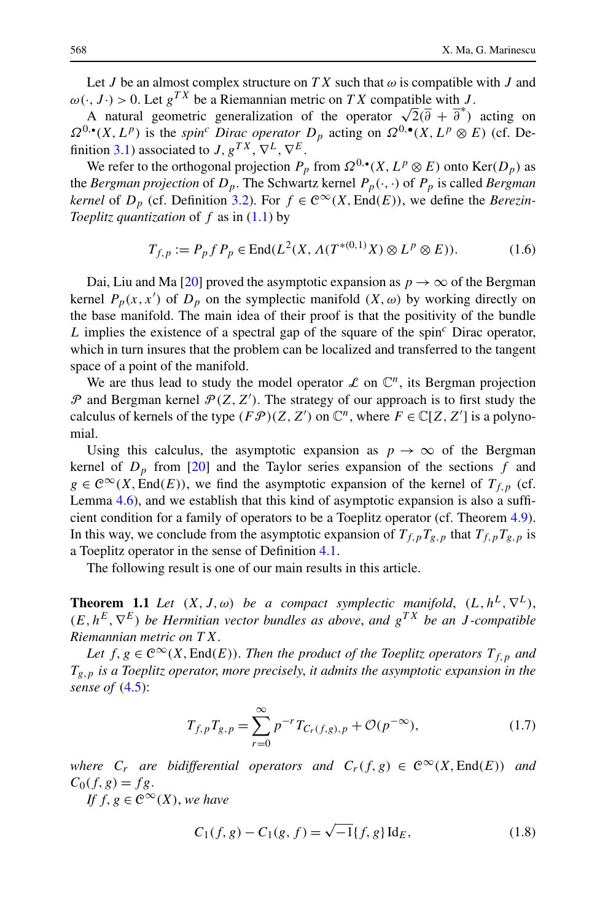<span id="page-3-0"></span>Let *J* be an almost complex structure on *TX* such that  $\omega$  is compatible with *J* and  $\omega(\cdot, J \cdot) > 0$ . Let  $g^{TX}$  be a Riemannian metric on *TX* compatible with *J*.

A natural geometric generalization of the operator  $\sqrt{2}(\overline{\partial} + \overline{\partial}^*)$  acting on A natural geometric generalization of the operator  $\sqrt{2}(\overline{\partial} + \overline{\partial}^*)$  acting on  $\Omega^{0,\bullet}(X,L^p)$  is the *spin<sup>c</sup> Dirac operator*  $D_p$  acting on  $\Omega^{0,\bullet}(X,L^p \otimes E)$  (cf. De-finition [3.1\)](#page-10-0) associated to *J*,  $g^{TX}$ ,  $\nabla^L$ ,  $\nabla^E$ .

We refer to the orthogonal projection  $P_p$  from  $\Omega^{0,\bullet}(X,L^p\otimes E)$  onto  $\text{Ker}(D_p)$  as the *Bergman projection* of  $D_p$ . The Schwartz kernel  $P_p(\cdot, \cdot)$  of  $P_p$  is called *Bergman kernel* of  $D_p$  (cf. Definition [3.2\)](#page-10-0). For  $f \in C^\infty(X, \text{End}(E))$ , we define the *Berezin*-*Toeplitz quantization* of *f* as in ([1.1](#page-1-0)) by

$$
T_{f,p} := P_p f P_p \in \text{End}(L^2(X, \Lambda(T^{*(0,1)}X) \otimes L^p \otimes E)).
$$
 (1.6)

Dai, Liu and Ma [\[20](#page-45-0)] proved the asymptotic expansion as  $p \to \infty$  of the Bergman kernel  $P_p(x, x')$  of  $D_p$  on the symplectic manifold  $(X, \omega)$  by working directly on the base manifold. The main idea of their proof is that the positivity of the bundle *L* implies the existence of a spectral gap of the square of the spin*<sup>c</sup>* Dirac operator, which in turn insures that the problem can be localized and transferred to the tangent space of a point of the manifold.

We are thus lead to study the model operator  $\mathcal L$  on  $\mathbb C^n$ , its Bergman projection  $P$  and Bergman kernel  $P(Z, Z')$ . The strategy of our approach is to first study the calculus of kernels of the type  $(F\mathcal{P})(Z, Z')$  on  $\mathbb{C}^n$ , where  $F \in \mathbb{C}[Z, Z']$  is a polynomial.

Using this calculus, the asymptotic expansion as  $p \to \infty$  of the Bergman kernel of  $D_p$  from [[20\]](#page-45-0) and the Taylor series expansion of the sections  $f$  and  $g \in C^{\infty}(X, \text{End}(E))$ , we find the asymptotic expansion of the kernel of  $T_{f, p}$  (cf. Lemma [4.6\)](#page-17-0), and we establish that this kind of asymptotic expansion is also a sufficient condition for a family of operators to be a Toeplitz operator (cf. Theorem [4.9\)](#page-19-0). In this way, we conclude from the asymptotic expansion of  $T_{f,p}T_{g,p}$  that  $T_{f,p}T_{g,p}$  is a Toeplitz operator in the sense of Definition [4.1](#page-15-0).

The following result is one of our main results in this article.

**Theorem 1.1** *Let*  $(X, J, \omega)$  *be a compact symplectic manifold*,  $(L, h^L, \nabla^L)$ ,  $(E, h^E, \nabla^E)$  *be Hermitian vector bundles as above, and*  $g^{TX}$  *be an J-compatible Riemannian metric on T X*.

*Let*  $f, g \in C^{\infty}(X, \text{End}(E))$ . *Then the product of the Toeplitz operators*  $T_{f, p}$  *and Tg,p is a Toeplitz operator*, *more precisely*, *it admits the asymptotic expansion in the sense of* ([4.5](#page-15-0)):

$$
T_{f,p}T_{g,p} = \sum_{r=0}^{\infty} p^{-r} T_{C_r(f,g),p} + \mathcal{O}(p^{-\infty}),
$$
\n(1.7)

*where*  $C_r$  *are bidifferential operators and*  $C_r(f,g) \in C^\infty(X,\text{End}(E))$  *and*  $C_0(f,g) = fg.$ 

*If*  $f, g \in C^{\infty}(X)$ , *we have* 

$$
C_1(f, g) - C_1(g, f) = \sqrt{-1} \{f, g\} \operatorname{Id}_E,\tag{1.8}
$$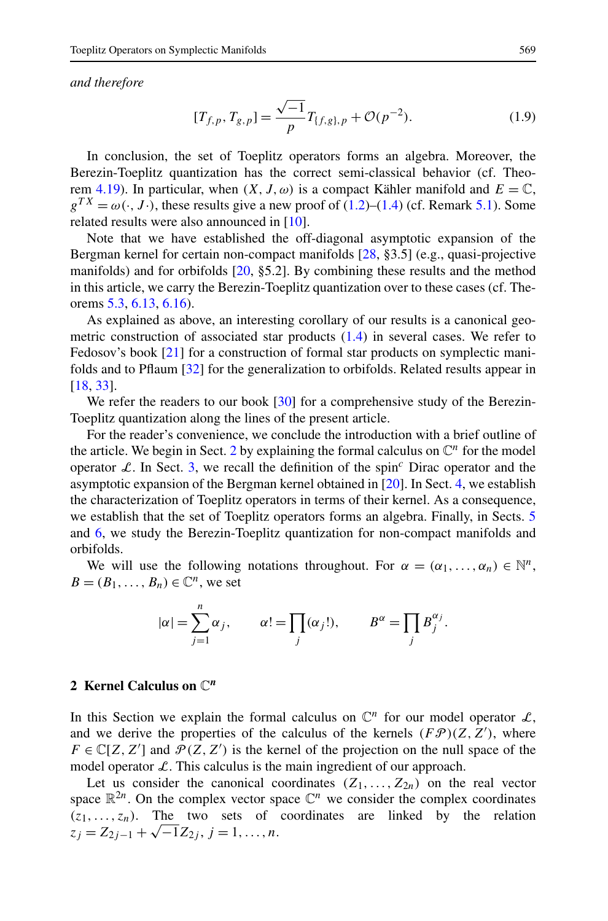<span id="page-4-0"></span>*and therefore*

$$
[T_{f,p}, T_{g,p}] = \frac{\sqrt{-1}}{p} T_{\{f,g\},p} + \mathcal{O}(p^{-2}).
$$
 (1.9)

In conclusion, the set of Toeplitz operators forms an algebra. Moreover, the Berezin-Toeplitz quantization has the correct semi-classical behavior (cf. Theo-rem [4.19\)](#page-29-0). In particular, when  $(X, J, \omega)$  is a compact Kähler manifold and  $E = \mathbb{C}$ ,  $g^{TX} = \omega(\cdot, J \cdot)$ , these results give a new proof of ([1.2](#page-1-0))–([1.4](#page-1-0)) (cf. Remark [5.1\)](#page-30-0). Some related results were also announced in [\[10](#page-45-0)].

Note that we have established the off-diagonal asymptotic expansion of the Bergman kernel for certain non-compact manifolds [\[28](#page-45-0), §3.5] (e.g., quasi-projective manifolds) and for orbifolds [\[20](#page-45-0), §5.2]. By combining these results and the method in this article, we carry the Berezin-Toeplitz quantization over to these cases (cf. Theorems [5.3](#page-31-0), [6.13,](#page-43-0) [6.16\)](#page-44-0).

As explained as above, an interesting corollary of our results is a canonical geometric construction of associated star products ([1.4](#page-1-0)) in several cases. We refer to Fedosov's book [\[21](#page-45-0)] for a construction of formal star products on symplectic manifolds and to Pflaum [\[32](#page-46-0)] for the generalization to orbifolds. Related results appear in [\[18](#page-45-0), [33](#page-46-0)].

We refer the readers to our book [[30\]](#page-45-0) for a comprehensive study of the Berezin-Toeplitz quantization along the lines of the present article.

For the reader's convenience, we conclude the introduction with a brief outline of the article. We begin in Sect. 2 by explaining the formal calculus on  $\mathbb{C}^n$  for the model operator L. In Sect. [3](#page-8-0), we recall the definition of the spin<sup>c</sup> Dirac operator and the asymptotic expansion of the Bergman kernel obtained in [\[20](#page-45-0)]. In Sect. [4](#page-14-0), we establish the characterization of Toeplitz operators in terms of their kernel. As a consequence, we establish that the set of Toeplitz operators forms an algebra. Finally, in Sects. [5](#page-29-0) and [6,](#page-33-0) we study the Berezin-Toeplitz quantization for non-compact manifolds and orbifolds.

We will use the following notations throughout. For  $\alpha = (\alpha_1, \ldots, \alpha_n) \in \mathbb{N}^n$ ,  $B = (B_1, \ldots, B_n) \in \mathbb{C}^n$ , we set

$$
|\alpha| = \sum_{j=1}^{n} \alpha_j
$$
,  $\alpha! = \prod_j (\alpha_j!).$ ,  $B^{\alpha} = \prod_j B_j^{\alpha_j}$ .

## **2 Kernel Calculus on** C*<sup>n</sup>*

In this Section we explain the formal calculus on  $\mathbb{C}^n$  for our model operator  $\mathcal{L}$ , and we derive the properties of the calculus of the kernels  $(FP)(Z, Z')$ , where  $F \in \mathbb{C}[Z, Z']$  and  $\mathcal{P}(Z, Z')$  is the kernel of the projection on the null space of the model operator  $\mathcal{L}$ . This calculus is the main ingredient of our approach.

Let us consider the canonical coordinates  $(Z_1, \ldots, Z_{2n})$  on the real vector space  $\mathbb{R}^{2n}$ . On the complex vector space  $\mathbb{C}^n$  we consider the complex coordinates  $(z_1, \ldots, z_n)$ . The two sets of coordinates are linked by the relation  $z_j = Z_{2j-1} + \sqrt{-1}Z_{2j}, j = 1, \ldots, n.$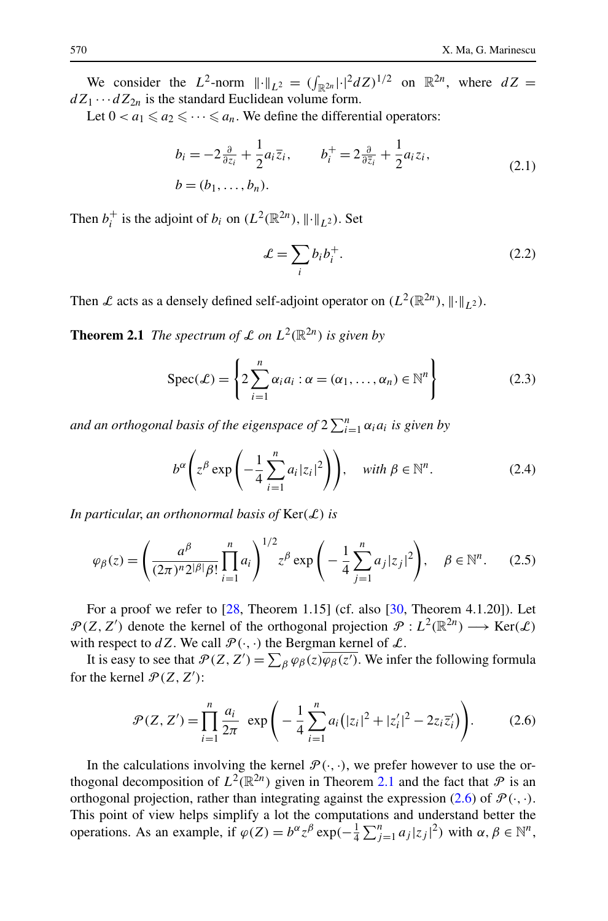<span id="page-5-0"></span>We consider the  $L^2$ -norm  $\| \cdot \|_{L^2} = (\int_{\mathbb{R}^{2n}} | \cdot |^2 dZ)^{1/2}$  on  $\mathbb{R}^{2n}$ , where  $dZ =$  $dZ_1 \cdots dZ_{2n}$  is the standard Euclidean volume form.

Let  $0 < a_1 \leq a_2 \leq \cdots \leq a_n$ . We define the differential operators:

$$
b_i = -2\frac{\partial}{\partial z_i} + \frac{1}{2}a_i\overline{z}_i, \qquad b_i^+ = 2\frac{\partial}{\partial \overline{z}_i} + \frac{1}{2}a_i z_i,
$$
  
\n
$$
b = (b_1, \dots, b_n).
$$
\n(2.1)

Then  $b_i^+$  is the adjoint of  $b_i$  on  $(L^2(\mathbb{R}^{2n}), \| \cdot \|_{L^2})$ . Set

$$
\mathcal{L} = \sum_{i} b_i b_i^+.\tag{2.2}
$$

Then L acts as a densely defined self-adjoint operator on  $(L^2(\mathbb{R}^{2n}), \|\cdot\|_{1})$ .

**Theorem 2.1** *The spectrum of*  $\mathcal L$  *on*  $L^2(\mathbb R^{2n})$  *is given by* 

$$
Spec(\mathcal{L}) = \left\{ 2 \sum_{i=1}^{n} \alpha_i a_i : \alpha = (\alpha_1, ..., \alpha_n) \in \mathbb{N}^n \right\}
$$
 (2.3)

and an orthogonal basis of the eigenspace of  $2\sum_{i=1}^{n}\alpha_{i}a_{i}$  is given by

$$
b^{\alpha} \left( z^{\beta} \exp \left( -\frac{1}{4} \sum_{i=1}^{n} a_i |z_i|^2 \right) \right), \quad \text{with } \beta \in \mathbb{N}^n. \tag{2.4}
$$

*In particular*, *an orthonormal basis of* Ker*(*L*) is*

$$
\varphi_{\beta}(z) = \left(\frac{a^{\beta}}{(2\pi)^n 2^{|\beta|} \beta!} \prod_{i=1}^n a_i\right)^{1/2} z^{\beta} \exp\left(-\frac{1}{4} \sum_{j=1}^n a_j |z_j|^2\right), \quad \beta \in \mathbb{N}^n. \tag{2.5}
$$

For a proof we refer to  $[28,$  $[28,$  Theorem 1.15] (cf. also  $[30,$  $[30,$  Theorem 4.1.20]). Let  $\mathcal{P}(Z, Z')$  denote the kernel of the orthogonal projection  $\mathcal{P}: L^2(\mathbb{R}^{2n}) \longrightarrow \text{Ker}(\mathcal{L})$ with respect to  $dZ$ . We call  $\mathcal{P}(\cdot, \cdot)$  the Bergman kernel of  $\mathcal{L}$ .

It is easy to see that  $\mathcal{P}(Z, Z') = \sum_{\beta} \varphi_{\beta}(z) \overline{\varphi_{\beta}(z')}$ . We infer the following formula for the kernel  $\mathcal{P}(Z, Z')$ :

$$
\mathcal{P}(Z, Z') = \prod_{i=1}^{n} \frac{a_i}{2\pi} \exp\left(-\frac{1}{4} \sum_{i=1}^{n} a_i (|z_i|^2 + |z'_i|^2 - 2z_i \overline{z'_i})\right).
$$
 (2.6)

In the calculations involving the kernel  $\mathcal{P}(\cdot, \cdot)$ , we prefer however to use the orthogonal decomposition of  $L^2(\mathbb{R}^{2n})$  given in Theorem 2.1 and the fact that  $\mathcal P$  is an orthogonal projection, rather than integrating against the expression  $(2.6)$  of  $\mathcal{P}(\cdot, \cdot)$ . This point of view helps simplify a lot the computations and understand better the operations. As an example, if  $\varphi(Z) = b^{\alpha} z^{\beta} \exp(-\frac{1}{4} \sum_{j=1}^{n} a_j |z_j|^2)$  with  $\alpha, \beta \in \mathbb{N}^n$ ,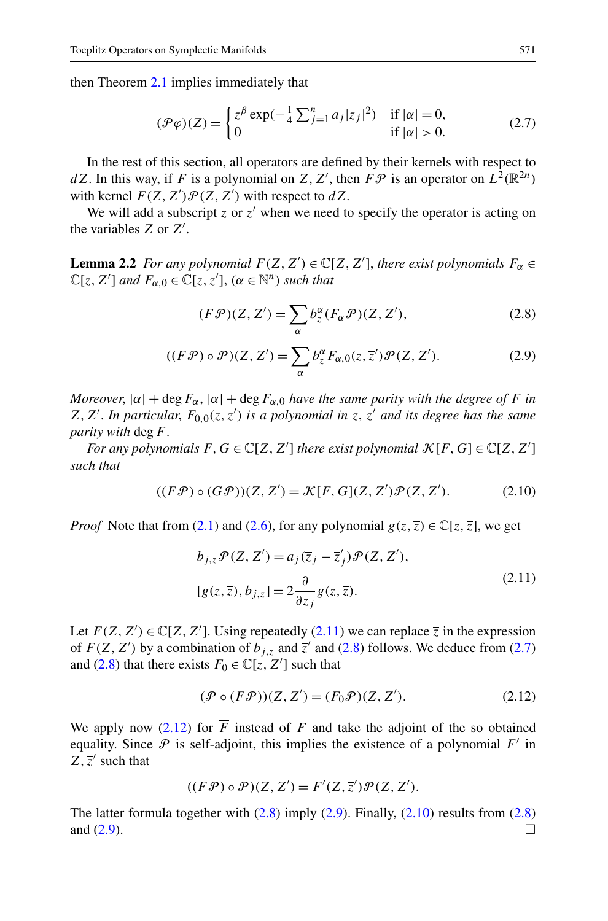<span id="page-6-0"></span>then Theorem [2.1](#page-5-0) implies immediately that

$$
(\mathcal{P}\varphi)(Z) = \begin{cases} z^{\beta} \exp(-\frac{1}{4} \sum_{j=1}^{n} a_j |z_j|^2) & \text{if } |\alpha| = 0, \\ 0 & \text{if } |\alpha| > 0. \end{cases}
$$
 (2.7)

In the rest of this section, all operators are defined by their kernels with respect to *dZ*. In this way, if *F* is a polynomial on *Z*, *Z'*, then  $F\mathcal{P}$  is an operator on  $L^2(\mathbb{R}^{2n})$ with kernel  $F(Z, Z')\mathcal{P}(Z, Z')$  with respect to  $dZ$ .

We will add a subscript  $z$  or  $z'$  when we need to specify the operator is acting on the variables *Z* or *Z* .

**Lemma 2.2** *For any polynomial*  $F(Z, Z') \in \mathbb{C}[Z, Z']$ , *there exist polynomials*  $F_{\alpha} \in$  $\mathbb{C}[z, Z']$  *and*  $F_{\alpha,0} \in \mathbb{C}[z, \overline{z}'], \ (\alpha \in \mathbb{N}^n)$  *such that* 

$$
(F\mathcal{P})(Z,Z') = \sum_{\alpha} b^{\alpha}_{z} (F_{\alpha}\mathcal{P})(Z,Z'), \qquad (2.8)
$$

$$
((F\mathcal{P}) \circ \mathcal{P})(Z, Z') = \sum_{\alpha} b_z^{\alpha} F_{\alpha,0}(z, \overline{z}') \mathcal{P}(Z, Z'). \tag{2.9}
$$

*Moreover*,  $|\alpha| + \deg F_{\alpha}$ ,  $|\alpha| + \deg F_{\alpha,0}$  *have the same parity with the degree of F in*  $Z, Z'$ . *In particular,*  $F_{0,0}(z, \overline{z}')$  *is a polynomial in*  $z, \overline{z}'$  *and its degree has the same parity with* deg*F*.

*For any polynomials*  $F, G \in \mathbb{C}[Z, Z']$  *there exist polynomial*  $\mathcal{K}[F, G] \in \mathbb{C}[Z, Z']$ *such that*

$$
((F\mathcal{P}) \circ (G\mathcal{P}))(Z, Z') = \mathcal{K}[F, G](Z, Z')\mathcal{P}(Z, Z').
$$
 (2.10)

*Proof* Note that from ([2.1\)](#page-5-0) and ([2.6](#page-5-0)), for any polynomial  $g(z, \overline{z}) \in \mathbb{C}[z, \overline{z}]$ , we get

$$
b_{j,z}\mathcal{P}(Z, Z') = a_j(\overline{z}_j - \overline{z}'_j)\mathcal{P}(Z, Z'),
$$
  
\n
$$
[g(z, \overline{z}), b_{j,z}] = 2\frac{\partial}{\partial z_j}g(z, \overline{z}).
$$
\n(2.11)

Let  $F(Z, Z') \in \mathbb{C}[Z, Z']$ . Using repeatedly (2.11) we can replace  $\overline{z}$  in the expression of  $F(Z, Z')$  by a combination of  $b_{j,z}$  and  $\overline{z}'$  and (2.8) follows. We deduce from (2.7) and (2.8) that there exists  $F_0 \in \mathbb{C}[z, Z']$  such that

$$
(\mathcal{P} \circ (F\mathcal{P}))(Z, Z') = (F_0\mathcal{P})(Z, Z').
$$
\n(2.12)

We apply now  $(2.12)$  for  $\overline{F}$  instead of  $F$  and take the adjoint of the so obtained equality. Since  $P$  is self-adjoint, this implies the existence of a polynomial  $F'$  in  $Z, \overline{z}'$  such that

$$
((F\mathcal{P}) \circ \mathcal{P})(Z, Z') = F'(Z, \overline{z}')\mathcal{P}(Z, Z').
$$

The latter formula together with  $(2.8)$  imply  $(2.9)$ . Finally,  $(2.10)$  results from  $(2.8)$ and  $(2.9)$ .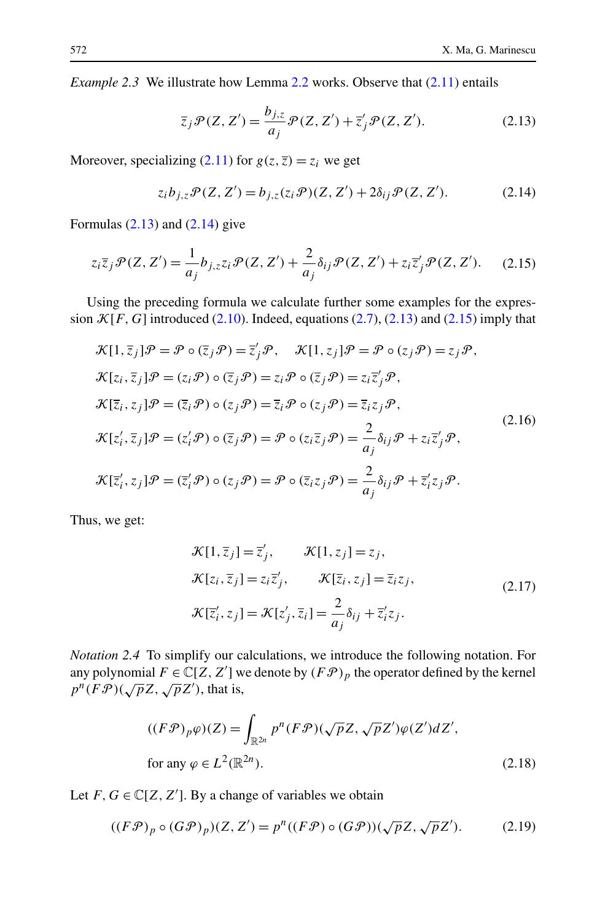<span id="page-7-0"></span>*Example 2.3* We illustrate how Lemma [2.2](#page-6-0) works. Observe that [\(2.11\)](#page-6-0) entails

$$
\overline{z}_j \mathcal{P}(Z, Z') = \frac{b_{j,z}}{a_j} \mathcal{P}(Z, Z') + \overline{z}'_j \mathcal{P}(Z, Z').
$$
 (2.13)

Moreover, specializing ([2.11](#page-6-0)) for  $g(z, \overline{z}) = z_i$  we get

$$
z_i b_{j,z} \mathcal{P}(Z, Z') = b_{j,z}(z_i \mathcal{P})(Z, Z') + 2\delta_{ij} \mathcal{P}(Z, Z').
$$
 (2.14)

Formulas  $(2.13)$  and  $(2.14)$  give

$$
z_i\overline{z}_j\mathcal{P}(Z,Z') = \frac{1}{a_j}b_{j,z}z_i\mathcal{P}(Z,Z') + \frac{2}{a_j}\delta_{ij}\mathcal{P}(Z,Z') + z_i\overline{z}_j'\mathcal{P}(Z,Z').
$$
 (2.15)

Using the preceding formula we calculate further some examples for the expression  $\mathcal{K}[F,G]$  introduced ([2.10](#page-6-0)). Indeed, equations ([2.7](#page-6-0)), (2.13) and (2.15) imply that

$$
\mathcal{K}[1,\overline{z}_j]\mathcal{P} = \mathcal{P} \circ (\overline{z}_j\mathcal{P}) = \overline{z}'_j\mathcal{P}, \quad \mathcal{K}[1,z_j]\mathcal{P} = \mathcal{P} \circ (z_j\mathcal{P}) = z_j\mathcal{P}, \n\mathcal{K}[z_i,\overline{z}_j]\mathcal{P} = (z_i\mathcal{P}) \circ (\overline{z}_j\mathcal{P}) = z_i\mathcal{P} \circ (\overline{z}_j\mathcal{P}) = z_i\overline{z}'_j\mathcal{P}, \n\mathcal{K}[\overline{z}_i,z_j]\mathcal{P} = (\overline{z}_i\mathcal{P}) \circ (z_j\mathcal{P}) = \overline{z}_i\mathcal{P} \circ (z_j\mathcal{P}) = \overline{z}_i z_j\mathcal{P}, \n\mathcal{K}[z'_i,\overline{z}_j]\mathcal{P} = (z'_i\mathcal{P}) \circ (\overline{z}_j\mathcal{P}) = \mathcal{P} \circ (z_i\overline{z}_j\mathcal{P}) = \frac{2}{a_j}\delta_{ij}\mathcal{P} + z_i\overline{z}'_j\mathcal{P}, \n\mathcal{K}[\overline{z}'_i,z_j]\mathcal{P} = (\overline{z}'_i\mathcal{P}) \circ (z_j\mathcal{P}) = \mathcal{P} \circ (\overline{z}_i z_j\mathcal{P}) = \frac{2}{a_j}\delta_{ij}\mathcal{P} + \overline{z}'_i z_j\mathcal{P}.
$$
\n(2.16)

Thus, we get:

$$
\mathcal{K}[1,\overline{z}_j] = \overline{z}'_j, \qquad \mathcal{K}[1,z_j] = z_j, \n\mathcal{K}[z_i,\overline{z}_j] = z_i\overline{z}'_j, \qquad \mathcal{K}[\overline{z}_i,z_j] = \overline{z}_iz_j, \n\mathcal{K}[\overline{z}'_i,z_j] = \mathcal{K}[z'_j,\overline{z}_i] = \frac{2}{a_j}\delta_{ij} + \overline{z}'_iz_j.
$$
\n(2.17)

*Notation 2.4* To simplify our calculations, we introduce the following notation. For any polynomial  $F \in \mathbb{C}[Z, Z']$  we denote by  $(F\mathcal{P})_p$  the operator defined by the kernel  $p^n(FP)(\sqrt{p}Z, \sqrt{p}Z')$ , that is,

$$
((F\mathcal{P})_p\varphi)(Z) = \int_{\mathbb{R}^{2n}} p^n (F\mathcal{P}) (\sqrt{p}Z, \sqrt{p}Z')\varphi(Z')dZ',
$$
  
for any  $\varphi \in L^2(\mathbb{R}^{2n})$ . (2.18)

Let  $F, G \in \mathbb{C}[Z, Z']$ . By a change of variables we obtain

$$
((F\mathcal{P})_p \circ (G\mathcal{P})_p)(Z, Z') = p^n((F\mathcal{P}) \circ (G\mathcal{P}))(\sqrt{p}Z, \sqrt{p}Z').
$$
 (2.19)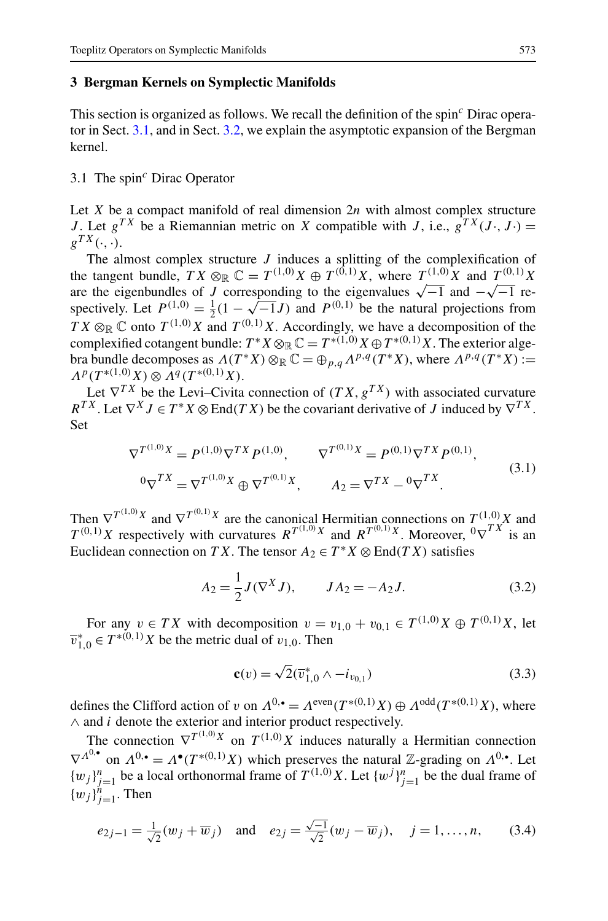# <span id="page-8-0"></span>**3 Bergman Kernels on Symplectic Manifolds**

This section is organized as follows. We recall the definition of the spin*<sup>c</sup>* Dirac operator in Sect. 3.1, and in Sect. [3.2,](#page-11-0) we explain the asymptotic expansion of the Bergman kernel.

# 3.1 The spin*<sup>c</sup>* Dirac Operator

Let *X* be a compact manifold of real dimension 2*n* with almost complex structure *J*. Let  $g^{TX}$  be a Riemannian metric on *X* compatible with *J*, i.e.,  $g^{TX}(J \cdot, J \cdot) =$  $g^{TX}(\cdot, \cdot)$ .

The almost complex structure *J* induces a splitting of the complexification of the tangent bundle,  $TX \otimes_{\mathbb{R}} \mathbb{C} = T^{(1,0)}X \oplus T^{(0,1)}X$ , where  $T^{(1,0)}X$  and  $T^{(0,1)}X$ are the eigenbundles of *J* corresponding to the eigenvalues  $\sqrt{-1}$  and  $-\sqrt{-1}$  respectively. Let  $P^{(1,0)} = \frac{1}{2}(1 - \sqrt{-1}J)$  and  $P^{(0,1)}$  be the natural projections from  $TX \otimes_{\mathbb{R}} \mathbb{C}$  onto  $T^{(1,0)}X$  and  $T^{(0,1)}X$ . Accordingly, we have a decomposition of the complexified cotangent bundle:  $T^*X \otimes_{\mathbb{R}} \mathbb{C} = T^{*(1,0)}X \oplus T^{*(0,1)}X$ . The exterior algebra bundle decomposes as  $\Lambda(T^*X) \otimes_{\mathbb{R}} \mathbb{C} = \bigoplus_{p,q} \Lambda^{p,q}(T^*X)$ , where  $\Lambda^{p,q}(T^*X) :=$  $\Lambda^p(T^{*(1,0)}X) \otimes \Lambda^q(T^{*(0,1)}X)$ .

Let  $\nabla^{TX}$  be the Levi–Civita connection of  $(T X, g^{TX})$  with associated curvature  $R^{TX}$ . Let  $\nabla^{X} J \in T^{*} X \otimes \text{End}(TX)$  be the covariant derivative of *J* induced by  $\nabla^{TX}$ . Set

$$
\nabla^{T^{(1,0)}X} = P^{(1,0)} \nabla^{TX} P^{(1,0)}, \qquad \nabla^{T^{(0,1)}X} = P^{(0,1)} \nabla^{TX} P^{(0,1)},
$$
  
\n
$$
{}^{0} \nabla^{TX} = \nabla^{T^{(1,0)}X} \oplus \nabla^{T^{(0,1)}X}, \qquad A_{2} = \nabla^{TX} - {}^{0} \nabla^{TX}.
$$
\n(3.1)

Then  $\nabla^{T^{(1,0)}X}$  and  $\nabla^{T^{(0,1)}X}$  are the canonical Hermitian connections on  $T^{(1,0)}X$  and  $T^{(0,1)}X$  respectively with curvatures  $R^{T^{(1,0)}X}$  and  $R^{T^{(0,1)}X}$ . Moreover,  ${}^{0}\nabla^{TX}$  is an Euclidean connection on *TX*. The tensor  $A_2 \in T^*X \otimes \text{End}(TX)$  satisfies

$$
A_2 = \frac{1}{2}J(\nabla^X J), \qquad JA_2 = -A_2 J.
$$
 (3.2)

For any  $v \in TX$  with decomposition  $v = v_{1,0} + v_{0,1} \in T^{(1,0)}X \oplus T^{(0,1)}X$ , let  $\overline{v}_{1,0}^* \in T^{*(0,1)}X$  be the metric dual of  $v_{1,0}$ . Then

$$
\mathbf{c}(v) = \sqrt{2}(\overline{v}_{1,0}^* \wedge -i_{v_{0,1}}) \tag{3.3}
$$

defines the Clifford action of *v* on  $\Lambda^{0,\bullet} = \Lambda^{\text{even}}(T^{*(0,1)}X) \oplus \Lambda^{\text{odd}}(T^{*(0,1)}X)$ , where ∧ and *i* denote the exterior and interior product respectively.

The connection  $\nabla^{T^{(1,0)}X}$  on  $T^{(1,0)}X$  induces naturally a Hermitian connection  $\nabla^{A^{0,\bullet}}$  on  $\Lambda^{0,\bullet} = \Lambda^{\bullet}(T^{*(0,1)}X)$  which preserves the natural Z-grading on  $\Lambda^{0,\bullet}$ . Let  $\{w_j\}_{j=1}^n$  be a local orthonormal frame of  $T^{(1,0)}X$ . Let  $\{w^j\}_{j=1}^n$  be the dual frame of  ${w_j}_{j=1}^n$ . Then

$$
e_{2j-1} = \frac{1}{\sqrt{2}}(w_j + \overline{w}_j)
$$
 and  $e_{2j} = \frac{\sqrt{-1}}{\sqrt{2}}(w_j - \overline{w}_j), \quad j = 1, ..., n,$  (3.4)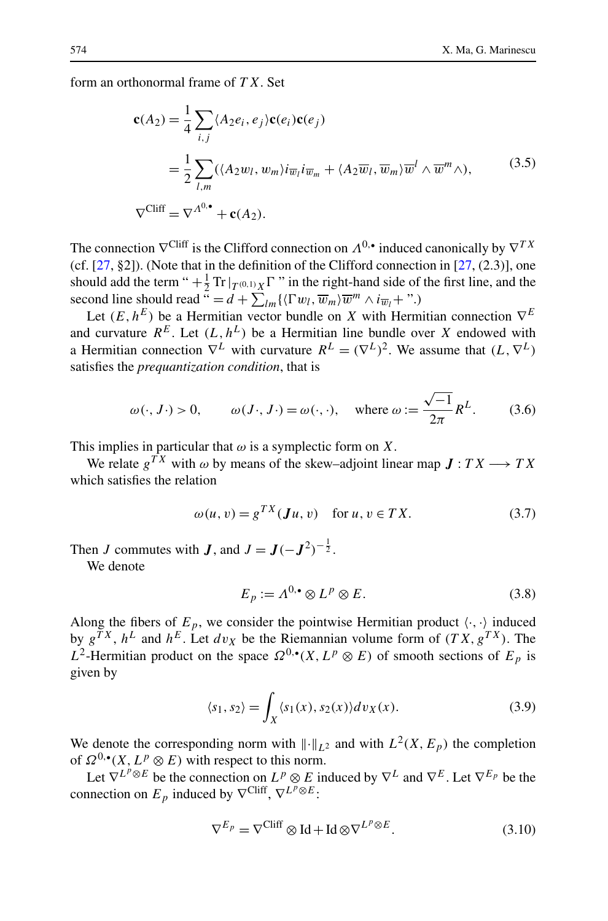<span id="page-9-0"></span>form an orthonormal frame of *T X*. Set

$$
\mathbf{c}(A_2) = \frac{1}{4} \sum_{i,j} \langle A_2 e_i, e_j \rangle \mathbf{c}(e_i) \mathbf{c}(e_j)
$$
  
= 
$$
\frac{1}{2} \sum_{l,m} (\langle A_2 w_l, w_m \rangle i_{\overline{w}_l} i_{\overline{w}_m} + \langle A_2 \overline{w}_l, \overline{w}_m \rangle \overline{w}^l \wedge \overline{w}^m \wedge),
$$
 (3.5)  

$$
\nabla^{\text{Cliff}} = \nabla^{A^0 \bullet} + \mathbf{c}(A_2).
$$

The connection  $\nabla^{\text{Cliff}}$  is the Clifford connection on  $\Lambda^{0,\bullet}$  induced canonically by  $\nabla^{TX}$ (cf.  $[27, §2]$  $[27, §2]$  $[27, §2]$ ). (Note that in the definition of the Clifford connection in  $[27, (2.3)]$  $[27, (2.3)]$ , one should add the term " $+\frac{1}{2}$  Tr $|_{T^{(0,1)}X}\Gamma$ " in the right-hand side of the first line, and the second line should read  $\tilde{u} = d + \sum_{lm} \{ \langle \Gamma w_l, \overline{w}_m \rangle \overline{w}^m \wedge i \overline{w}_l + \cdots \}$ 

Let  $(E, h^E)$  be a Hermitian vector bundle on *X* with Hermitian connection  $\nabla^E$ and curvature  $R^E$ . Let  $(L, h^L)$  be a Hermitian line bundle over X endowed with a Hermitian connection  $\nabla^L$  with curvature  $R^L = (\nabla^L)^2$ . We assume that  $(L, \nabla^L)$ satisfies the *prequantization condition*, that is

$$
\omega(\cdot, J \cdot) > 0
$$
,  $\omega(J \cdot, J \cdot) = \omega(\cdot, \cdot)$ , where  $\omega := \frac{\sqrt{-1}}{2\pi} R^L$ . (3.6)

This implies in particular that  $\omega$  is a symplectic form on *X*.

We relate  $g^{TX}$  with  $\omega$  by means of the skew–adjoint linear map  $J:TX\longrightarrow TX$ which satisfies the relation

$$
\omega(u, v) = g^{TX}(\mathbf{J}u, v) \quad \text{for } u, v \in TX.
$$
 (3.7)

Then *J* commutes with *J*, and  $J = J(-J^2)^{-\frac{1}{2}}$ . We denote

$$
E_p := \Lambda^{0,\bullet} \otimes L^p \otimes E. \tag{3.8}
$$

Along the fibers of  $E_p$ , we consider the pointwise Hermitian product  $\langle \cdot, \cdot \rangle$  induced by  $g^{TX}$ ,  $h^L$  and  $h^E$ . Let  $dv_X$  be the Riemannian volume form of  $(TX, g^{TX})$ . The *L*<sup>2</sup>-Hermitian product on the space  $\Omega^{0,\bullet}(X,L^p \otimes E)$  of smooth sections of  $E_p$  is given by

$$
\langle s_1, s_2 \rangle = \int_X \langle s_1(x), s_2(x) \rangle dv_X(x). \tag{3.9}
$$

We denote the corresponding norm with  $\|\cdot\|_{L^2}$  and with  $L^2(X, E_p)$  the completion of  $\Omega^{0,\bullet}(X, L^p \otimes E)$  with respect to this norm.

Let  $\nabla^{L^p \otimes E}$  be the connection on  $L^p \otimes E$  induced by  $\nabla^L$  and  $\nabla^E$ . Let  $\nabla^{E_p}$  be the connection on  $E_p$  induced by  $\nabla^{\text{Cliff}}$ ,  $\nabla^{L^p \otimes E}$ :

$$
\nabla^{E_p} = \nabla^{\text{Cliff}} \otimes \text{Id} + \text{Id} \otimes \nabla^{L^p \otimes E}.
$$
 (3.10)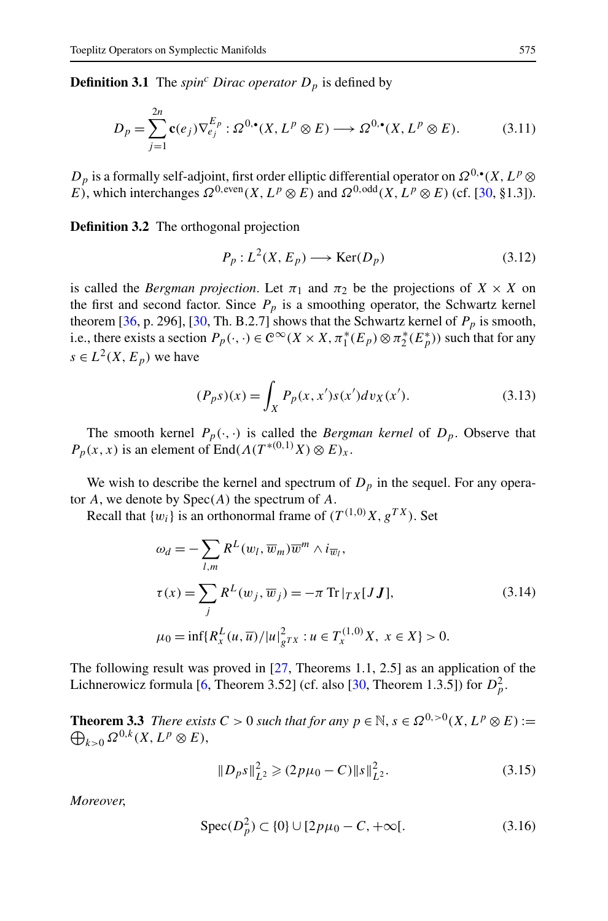<span id="page-10-0"></span>**Definition 3.1** The *spin<sup>c</sup> Dirac operator*  $D_p$  is defined by

$$
D_p = \sum_{j=1}^{2n} \mathbf{c}(e_j) \nabla_{e_j}^{E_p} : \Omega^{0,\bullet}(X, L^p \otimes E) \longrightarrow \Omega^{0,\bullet}(X, L^p \otimes E). \tag{3.11}
$$

*D<sub>p</sub>* is a formally self-adjoint, first order elliptic differential operator on  $Ω<sup>0</sup>·$  (*X, L<sup>p</sup>* ⊗ *E*), which interchanges  $\Omega^{0, \text{even}}(X, L^p \otimes E)$  and  $\Omega^{0, \text{odd}}(X, L^p \otimes E)$  (cf. [\[30](#page-45-0), §1.3]).

**Definition 3.2** The orthogonal projection

$$
P_p: L^2(X, E_p) \longrightarrow \text{Ker}(D_p) \tag{3.12}
$$

is called the *Bergman projection*. Let  $\pi_1$  and  $\pi_2$  be the projections of  $X \times X$  on the first and second factor. Since  $P_p$  is a smoothing operator, the Schwartz kernel theorem [\[36,](#page-46-0) p. 296], [[30,](#page-45-0) Th. B.2.7] shows that the Schwartz kernel of  $P_p$  is smooth, i.e., there exists a section  $P_p(\cdot, \cdot) \in C^\infty(X \times X, \pi_1^*(E_p) \otimes \pi_2^*(E_p^*))$  such that for any  $s \in L^2(X, E_p)$  we have

$$
(P_p s)(x) = \int_X P_p(x, x') s(x') dv_X(x').
$$
\n(3.13)

The smooth kernel  $P_p(\cdot, \cdot)$  is called the *Bergman kernel* of  $D_p$ . Observe that  $P_p(x, x)$  is an element of End $(A(T^{*(0,1)}X) \otimes E)_x$ .

We wish to describe the kernel and spectrum of  $D<sub>p</sub>$  in the sequel. For any operator *A*, we denote by Spec*(A)* the spectrum of *A*.

Recall that  $\{w_i\}$  is an orthonormal frame of  $(T^{(1,0)}X, g^{TX})$ . Set

$$
\omega_d = -\sum_{l,m} R^L(w_l, \overline{w}_m) \overline{w}^m \wedge i_{\overline{w}_l},
$$
  
\n
$$
\tau(x) = \sum_j R^L(w_j, \overline{w}_j) = -\pi \operatorname{Tr} |\tau_X[J\mathbf{J}],
$$
  
\n
$$
\mu_0 = \inf \{ R_x^L(u, \overline{u}) / |u|_{g^T}^2 : u \in T_x^{(1,0)} X, x \in X \} > 0.
$$
\n(3.14)

The following result was proved in [\[27](#page-45-0), Theorems 1.1, 2.5] as an application of the Lichnerowicz formula [\[6](#page-45-0), Theorem 3.52] (cf. also [[30,](#page-45-0) Theorem 1.3.5]) for  $D_p^2$ .

**Theorem 3.3** *There exists*  $C > 0$  *such that for any*  $p \in \mathbb{N}$ ,  $s \in \Omega^{0,>0}(X, L^p \otimes E) :=$  $\bigoplus_{k>0}\Omega^{0,k}(X,L^p\otimes E),$ 

$$
||D_P s||_{L^2}^2 \geq (2p\mu_0 - C) ||s||_{L^2}^2.
$$
 (3.15)

*Moreover*,

$$
Spec(D_p^2) \subset \{0\} \cup [2p\mu_0 - C, +\infty[.
$$
 (3.16)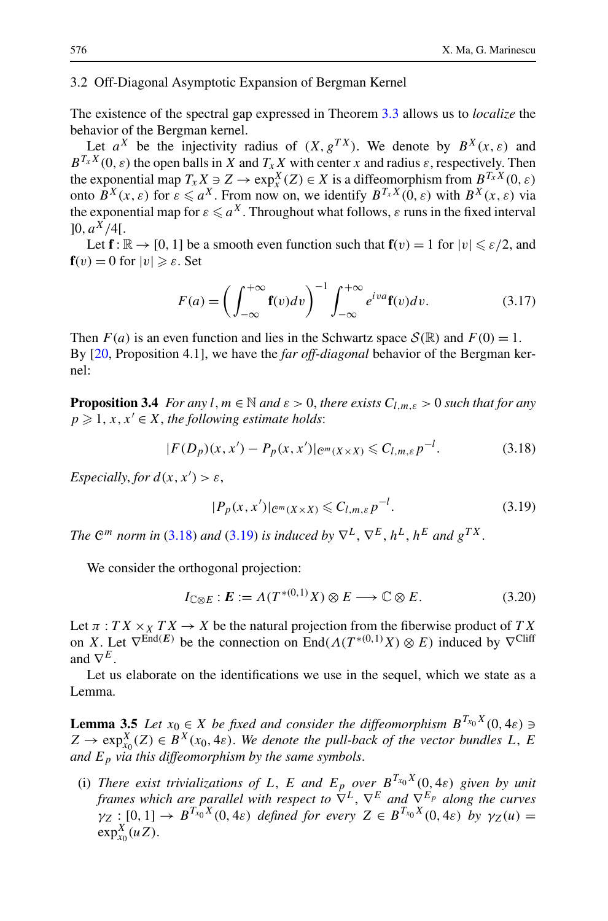#### <span id="page-11-0"></span>3.2 Off-Diagonal Asymptotic Expansion of Bergman Kernel

The existence of the spectral gap expressed in Theorem [3.3](#page-10-0) allows us to *localize* the behavior of the Bergman kernel.

Let  $a^X$  be the injectivity radius of  $(X, g^{TX})$ . We denote by  $B^X(x, \varepsilon)$  and  $B^{T_x X}(0, \varepsilon)$  the open balls in *X* and  $T_x X$  with center *x* and radius  $\varepsilon$ , respectively. Then the exponential map  $T_x X \ni Z \to \exp^X_x(Z) \in X$  is a diffeomorphism from  $B^{T_x X}(0, \varepsilon)$ onto  $B^X(x, \varepsilon)$  for  $\varepsilon \le a^X$ . From now on, we identify  $B^{T_x X}(0, \varepsilon)$  with  $B^X(x, \varepsilon)$  via the exponential map for  $\varepsilon \leqslant a^{X}$  . Throughout what follows,  $\varepsilon$  runs in the fixed interval  $[0, a^X/4]$ .

Let  $f: \mathbb{R} \to [0, 1]$  be a smooth even function such that  $f(v) = 1$  for  $|v| \le \varepsilon/2$ , and  $f(v) = 0$  for  $|v| \ge \varepsilon$ . Set

$$
F(a) = \left(\int_{-\infty}^{+\infty} \mathbf{f}(v) dv\right)^{-1} \int_{-\infty}^{+\infty} e^{iva} \mathbf{f}(v) dv.
$$
 (3.17)

Then  $F(a)$  is an even function and lies in the Schwartz space  $S(\mathbb{R})$  and  $F(0) = 1$ . By [\[20](#page-45-0), Proposition 4.1], we have the *far off-diagonal* behavior of the Bergman kernel:

**Proposition 3.4** *For any l, m*  $\in$  *N and*  $\varepsilon$  > 0*, there exists*  $C_{l,m,\varepsilon}$  > 0 *such that for any*  $p \geq 1, x, x' \in X$ , the following estimate holds:

$$
|F(D_p)(x, x') - P_p(x, x')|_{\mathcal{C}^m(X \times X)} \leq C_{l,m,\varepsilon} p^{-l}.
$$
 (3.18)

*Especially, for*  $d(x, x') > \varepsilon$ ,

$$
|P_p(x, x')|_{\mathcal{C}^m(X \times X)} \leqslant C_{l,m,\varepsilon} p^{-l}.\tag{3.19}
$$

*The*  $\mathbb{C}^m$  *norm in* (3.18) *and* (3.19) *is induced by*  $\nabla^L$ ,  $\nabla^E$ ,  $h^L$ ,  $h^E$  *and*  $g^{TX}$ .

We consider the orthogonal projection:

$$
I_{\mathbb{C}\otimes E}:E:=\Lambda(T^{*(0,1)}X)\otimes E\longrightarrow\mathbb{C}\otimes E. \tag{3.20}
$$

Let  $\pi$  :  $TX \times_X TX \to X$  be the natural projection from the fiberwise product of  $TX$ on *X*. Let  $\nabla^{\text{End}(E)}$  be the connection on End $(A(T^{*(0,1)}X) \otimes E)$  induced by  $\nabla^{\text{Cliff}}$ and  $\nabla^E$ .

Let us elaborate on the identifications we use in the sequel, which we state as a Lemma.

**Lemma 3.5** *Let*  $x_0 \in X$  *be fixed and consider the diffeomorphism*  $B^{T_{x_0}X}(0, 4\varepsilon) \ni$  $Z \rightarrow \exp_{x_0}^X(Z) \in B^X(x_0, 4\varepsilon)$ . We denote the pull-back of the vector bundles L, E *and Ep via this diffeomorphism by the same symbols*.

(i) *There exist trivializations of L, E and*  $E_p$  *over*  $B^{T_{x_0}X}(0, 4\varepsilon)$  *given by unit frames which are parallel with respect to*  $\overline{\nabla}^L$ ,  $\nabla^E$  *and*  $\overline{\nabla}^{\vec{E}_p}$  *along the curves*  $\chi$ <sup>*y*</sup><sub>Z</sub> : [0, 1]  $\to B^{T_{x_0}X}(0, 4\varepsilon)$  *defined for every*  $Z \in B^{T_{x_0}X}(0, 4\varepsilon)$  *by*  $\gamma_Z(u) =$  $\exp_{x_0}^X(uZ)$ .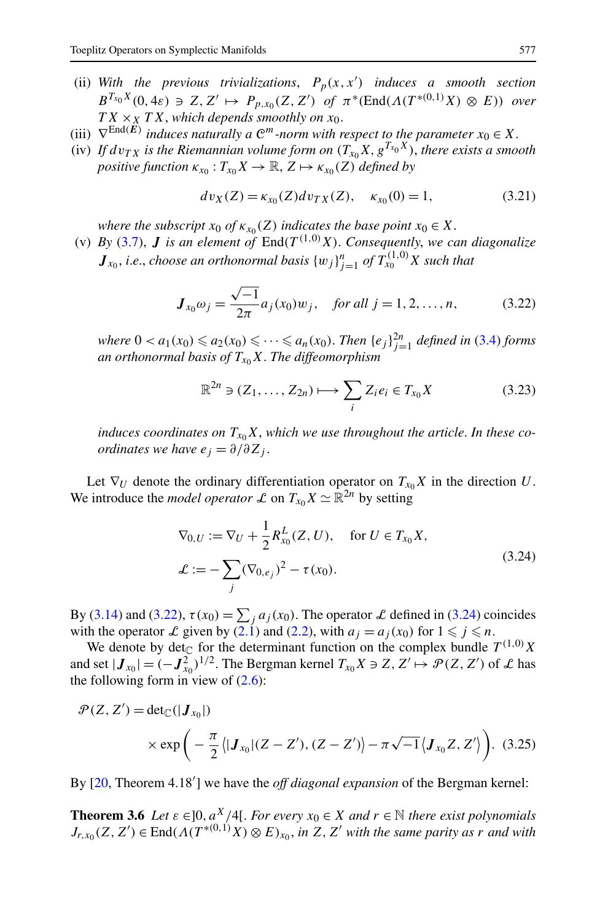- <span id="page-12-0"></span>(ii) With the previous trivializations,  $P_p(x, x')$  induces a smooth section  $B^{T_{x_0}X}(0, 4\varepsilon) \ni Z, Z' \mapsto P_{p,x_0}(Z, Z')$  *of*  $\pi^*(\text{End}(A(T^{*(0,1)}X) \otimes E))$  *over*  $TX \times_X TX$ , *which depends smoothly on*  $x_0$ .
- (iii)  $\nabla^{\text{End}(E)}$  *induces naturally a*  $\mathbb{C}^m$ *-norm with respect to the parameter*  $x_0 \in X$ .
- (iv) If  $dv_{TX}$  is the Riemannian volume form on  $(T_{x_0}X, g^{T_{x_0}X})$ , there exists a smooth *positive function*  $\kappa_{x_0}: T_{x_0}X \to \mathbb{R}, Z \mapsto \kappa_{x_0}(Z)$  *defined by*

$$
dv_X(Z) = \kappa_{x_0}(Z) dv_{TX}(Z), \quad \kappa_{x_0}(0) = 1,
$$
\n(3.21)

*where the subscript*  $x_0$  *of*  $\kappa_{x_0}(Z)$  *indicates the base point*  $x_0 \in X$ .

(v) *By* ([3.7](#page-9-0)), *J* is an element of  $\text{End}(T^{(1,0)}X)$ . Consequently, we can diagonalize  $J_{x_0}$ , *i.e.*, *choose an orthonormal basis*  $\{w_j\}_{j=1}^n$  *of*  $T_{x_0}^{(1,0)}X$  *such that* 

$$
J_{x_0}\omega_j = \frac{\sqrt{-1}}{2\pi}a_j(x_0)w_j, \quad \text{for all } j = 1, 2, \dots, n,
$$
 (3.22)

 $where \ 0 < a_1(x_0) \leq a_2(x_0) \leq \cdots \leq a_n(x_0).$  *Then*  $\{e_j\}_{j=1}^{2n}$  *defined in* [\(3.4\)](#page-8-0) *forms an orthonormal basis of*  $T_{x_0}X$ . *The diffeomorphism* 

$$
\mathbb{R}^{2n} \ni (Z_1, \dots, Z_{2n}) \longmapsto \sum_i Z_i e_i \in T_{x_0} X \tag{3.23}
$$

*induces coordinates on*  $T_{x_0}X$ , which we use throughout the article. In these co*ordinates we have*  $e_i = \partial/\partial Z_i$ .

Let  $\nabla_U$  denote the ordinary differentiation operator on  $T_{x_0}X$  in the direction *U*. We introduce the *model operator* L on  $T_{x_0}X \simeq \mathbb{R}^{2n}$  by setting

$$
\nabla_{0,U} := \nabla_{U} + \frac{1}{2} R_{x_0}^{L}(Z, U), \quad \text{for } U \in T_{x_0} X,
$$
  

$$
\mathcal{L} := -\sum_{j} (\nabla_{0,e_j})^2 - \tau(x_0).
$$
 (3.24)

By [\(3.14](#page-10-0)) and (3.22),  $\tau(x_0) = \sum_j a_j(x_0)$ . The operator L defined in (3.24) coincides with the operator  $\mathcal L$  given by  $(\overline{2.1})$  and  $(2.2)$  $(2.2)$  $(2.2)$ , with  $a_j = a_j(x_0)$  for  $1 \leq j \leq n$ .

We denote by det<sub>C</sub> for the determinant function on the complex bundle  $T^{(1,0)}X$ and set  $|J_{x_0}| = (-J_{x_0}^2)^{1/2}$ . The Bergman kernel  $T_{x_0}X \ni Z, Z' \mapsto \mathcal{P}(Z, Z')$  of  $\mathcal L$  has the following form in view of  $(2.6)$ :

$$
\mathcal{P}(Z, Z') = \det_{\mathbb{C}}(|\mathbf{J}_{x_0}|)
$$
  
 
$$
\times \exp\left(-\frac{\pi}{2} \langle |\mathbf{J}_{x_0}|(Z - Z'), (Z - Z')\rangle - \pi \sqrt{-1} \langle \mathbf{J}_{x_0} Z, Z'\rangle\right).
$$
 (3.25)

By [\[20](#page-45-0), Theorem 4.18'] we have the *off diagonal expansion* of the Bergman kernel:

**Theorem 3.6** *Let*  $\varepsilon \in ]0, a^X/4[$ *. For every*  $x_0 \in X$  *and*  $r \in \mathbb{N}$  *there exist polynomials*  $J_{r,x_0}(Z, Z') \in \text{End}(A(T^{*(0,1)}X) \otimes E)_{x_0}$ , *in*  $Z, Z'$  with the same parity as *r* and with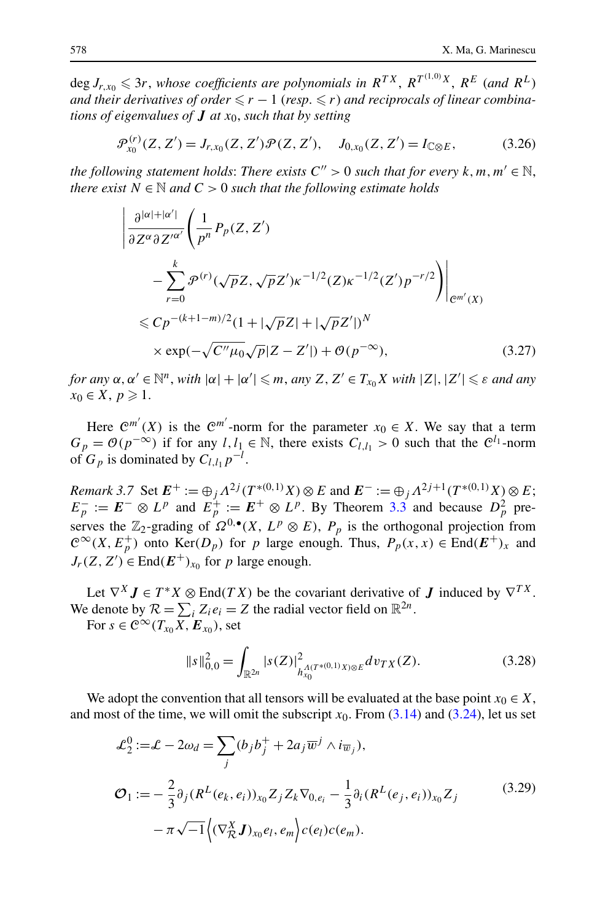<span id="page-13-0"></span> $\deg J_{r,x_0} \leqslant 3r$ , whose coefficients are polynomials in  $R^{TX}$ ,  $R^{T^{(1,0)}X}$ ,  $R^{E}$  (and  $R^{L}$ ) and their derivatives of order  $\leqslant r - 1$  (resp.  $\leqslant r$ ) and reciprocals of linear combina*tions of eigenvalues of J at x*0, *such that by setting*

$$
\mathcal{P}_{x_0}^{(r)}(Z, Z') = J_{r, x_0}(Z, Z') \mathcal{P}(Z, Z'), \quad J_{0, x_0}(Z, Z') = I_{\mathbb{C} \otimes E}, \tag{3.26}
$$

*the following statement holds: There exists*  $C'' > 0$  *such that for every*  $k, m, m' \in \mathbb{N}$ , *there exist*  $N \in \mathbb{N}$  *and*  $C > 0$  *such that the following estimate holds* 

$$
\left| \frac{\partial^{|\alpha|+|\alpha'|}}{\partial Z^{\alpha} \partial Z'^{\alpha'}} \left( \frac{1}{p^n} P_p(Z, Z') \right. \\ - \sum_{r=0}^k \mathcal{P}^{(r)}(\sqrt{p}Z, \sqrt{p}Z') \kappa^{-1/2}(Z) \kappa^{-1/2}(Z') p^{-r/2} \right) \right|_{\mathcal{C}^{m'}(X)} \\ \leq C p^{-(k+1-m)/2} (1 + |\sqrt{p}Z| + |\sqrt{p}Z'|)^N \\ \times \exp(-\sqrt{C''\mu_0} \sqrt{p}|Z - Z'|) + \mathcal{O}(p^{-\infty}), \tag{3.27}
$$

*for any*  $\alpha, \alpha' \in \mathbb{N}^n$ , *with*  $|\alpha| + |\alpha'| \leqslant m$ , *any*  $Z, Z' \in T_{x_0}X$  *with*  $|Z|, |Z'| \leqslant \varepsilon$  *and any*  $x_0 \in X, p \geqslant 1.$ 

Here  $\mathcal{C}^{m'}(X)$  is the  $\mathcal{C}^{m'}$ -norm for the parameter  $x_0 \in X$ . We say that a term  $G_p = \mathcal{O}(p^{-\infty})$  if for any *l, l*<sub>1</sub> ∈ N, there exists  $C_{l,l_1} > 0$  such that the  $\mathcal{C}^{l_1}$ -norm of  $G_p$  is dominated by  $C_{l,l_1}p^{-l}$ .

*Remark 3.7* Set  $E^+ := \bigoplus_j \Lambda^{2j} (T^{*(0,1)}X) \otimes E$  and  $E^- := \bigoplus_j \Lambda^{2j+1} (T^{*(0,1)}X) \otimes E$ ;  $E_p^- := E^- \otimes L^p$  and  $E_p^+ := E^+ \otimes L^p$ . By Theorem [3.3](#page-10-0) and because  $D_p^2$  preserves the  $\mathbb{Z}_2$ -grading of  $\Omega^{0,\bullet}(X, L^p \otimes E)$ ,  $P_p$  is the orthogonal projection from  $\mathcal{C}^{\infty}(X, E_p^+)$  onto Ker $(D_p)$  for *p* large enough. Thus,  $P_p(x, x) \in \text{End}(E^+)_{x}$  and  $J_r(Z, Z') \in \text{End}(E^+)_{x_0}$  for *p* large enough.

Let  $\nabla^X \mathbf{J} \in T^*X \otimes \text{End}(TX)$  be the covariant derivative of  $\mathbf{J}$  induced by  $\nabla^{TX}$ . We denote by  $\mathcal{R} = \sum_i Z_i e_i = Z$  the radial vector field on  $\mathbb{R}^{2n}$ .

For  $s \in C^{\infty}(T_{x_0}X, E_{x_0})$ , set

$$
\|s\|_{0,0}^2 = \int_{\mathbb{R}^{2n}} |s(Z)|^2_{h_{x_0}^{A(T^{*(0,1)}X)\otimes E}} dv_{TX}(Z).
$$
 (3.28)

We adopt the convention that all tensors will be evaluated at the base point  $x_0 \in X$ , and most of the time, we will omit the subscript  $x_0$ . From  $(3.14)$  and  $(3.24)$ , let us set

$$
\mathcal{L}_2^0 := \mathcal{L} - 2\omega_d = \sum_j (b_j b_j^+ + 2a_j \overline{w}^j \wedge i_{\overline{w}_j}),
$$
  
\n
$$
\mathcal{O}_1 := -\frac{2}{3} \partial_j (R^L(e_k, e_i))_{x_0} Z_j Z_k \nabla_{0, e_i} - \frac{1}{3} \partial_i (R^L(e_j, e_i))_{x_0} Z_j
$$
\n
$$
-\pi \sqrt{-1} \Big\langle (\nabla_{\mathcal{R}}^X \mathbf{J})_{x_0} e_l, e_m \Big\rangle c(e_l) c(e_m).
$$
\n(3.29)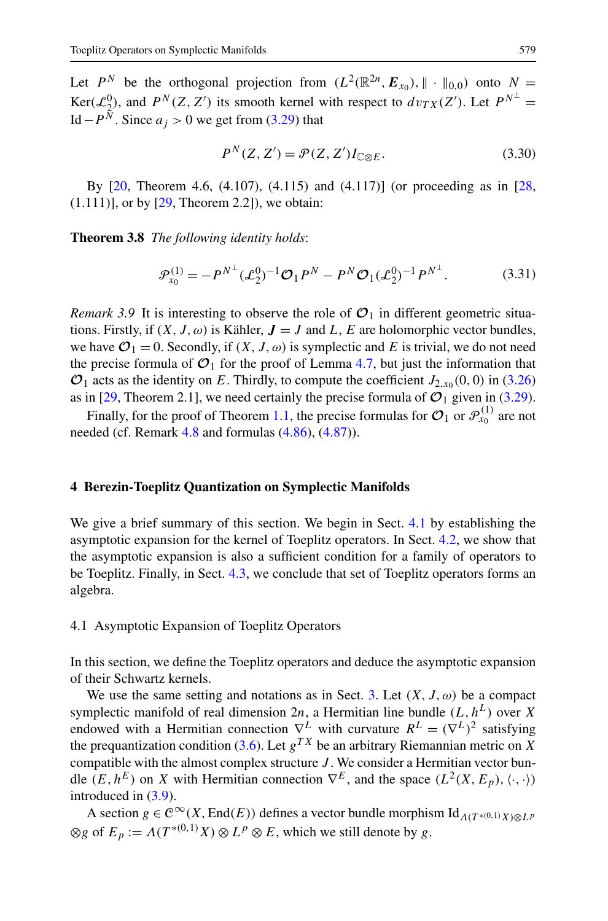<span id="page-14-0"></span>Let  $P^N$  be the orthogonal projection from  $(L^2(\mathbb{R}^{2n}, \mathbf{E}_{x_0}), \|\cdot\|_{0,0})$  onto  $N =$  $\text{Ker}(\mathcal{L}_2^0)$ , and  $P^N(Z, Z')$  its smooth kernel with respect to  $dv_{TX}(Z')$ . Let  $P^{N^{\perp}} =$ Id  $-P^{\tilde{N}}$ . Since *a<sub>j</sub>* > 0 we get from ([3.29](#page-13-0)) that

$$
P^{N}(Z, Z') = \mathcal{P}(Z, Z') I_{\mathbb{C} \otimes E}.
$$
 (3.30)

By  $[20,$  $[20,$  Theorem 4.6,  $(4.107)$ ,  $(4.115)$  and  $(4.117)$ ] (or proceeding as in  $[28,$  $[28,$  $(1.111)$ ], or by  $[29,$  $[29,$  Theorem 2.2]), we obtain:

**Theorem 3.8** *The following identity holds*:

$$
\mathcal{P}_{x_0}^{(1)} = -P^{N^{\perp}} (\mathcal{L}_2^0)^{-1} \mathcal{O}_1 P^N - P^N \mathcal{O}_1 (\mathcal{L}_2^0)^{-1} P^{N^{\perp}}.
$$
 (3.31)

*Remark 3.9* It is interesting to observe the role of  $\mathcal{O}_1$  in different geometric situations. Firstly, if  $(X, J, \omega)$  is Kähler,  $J = J$  and L, E are holomorphic vector bundles, we have  $\mathcal{O}_1 = 0$ . Secondly, if  $(X, J, \omega)$  is symplectic and E is trivial, we do not need the precise formula of  $\mathcal{O}_1$  for the proof of Lemma [4.7,](#page-15-0) but just the information that  $\mathcal{O}_1$  acts as the identity on *E*. Thirdly, to compute the coefficient  $J_{2,x_0}(0,0)$  in ([3.26](#page-13-0)) as in [[29,](#page-45-0) Theorem 2.1], we need certainly the precise formula of  $\mathcal{O}_1$  given in [\(3.29\)](#page-13-0).

Finally, for the proof of Theorem [1.1,](#page-3-0) the precise formulas for  $\mathcal{O}_1$  or  $\mathcal{P}_{\text{X}_0}^{(1)}$  are not needed (cf. Remark  $4.8$  and formulas  $(4.86)$  $(4.86)$  $(4.86)$ ,  $(4.87)$  $(4.87)$  $(4.87)$ ).

## **4 Berezin-Toeplitz Quantization on Symplectic Manifolds**

We give a brief summary of this section. We begin in Sect. 4.1 by establishing the asymptotic expansion for the kernel of Toeplitz operators. In Sect. [4.2,](#page-19-0) we show that the asymptotic expansion is also a sufficient condition for a family of operators to be Toeplitz. Finally, in Sect. [4.3,](#page-27-0) we conclude that set of Toeplitz operators forms an algebra.

## 4.1 Asymptotic Expansion of Toeplitz Operators

In this section, we define the Toeplitz operators and deduce the asymptotic expansion of their Schwartz kernels.

We use the same setting and notations as in Sect. [3](#page-8-0). Let  $(X, J, \omega)$  be a compact symplectic manifold of real dimension  $2n$ , a Hermitian line bundle  $(L, h^L)$  over *X* endowed with a Hermitian connection  $\nabla^L$  with curvature  $R^L = (\nabla^L)^2$  satisfying the prequantization condition ([3.6](#page-9-0)). Let  $g^{TX}$  be an arbitrary Riemannian metric on *X* compatible with the almost complex structure *J* . We consider a Hermitian vector bundle  $(E, h^E)$  on *X* with Hermitian connection  $\nabla^E$ , and the space  $(L^2(X, E_p), \langle \cdot, \cdot \rangle)$ introduced in [\(3.9\)](#page-9-0).

A section  $g \in C^{\infty}(X, \text{End}(E))$  defines a vector bundle morphism Id<sub>*Λ(T*\*</sub>(0,1)  $\chi$ )⊗*Lp*  $\otimes$ *g* of  $E_p := \Lambda(T^{*(0,1)}X) \otimes L^p \otimes E$ , which we still denote by *g*.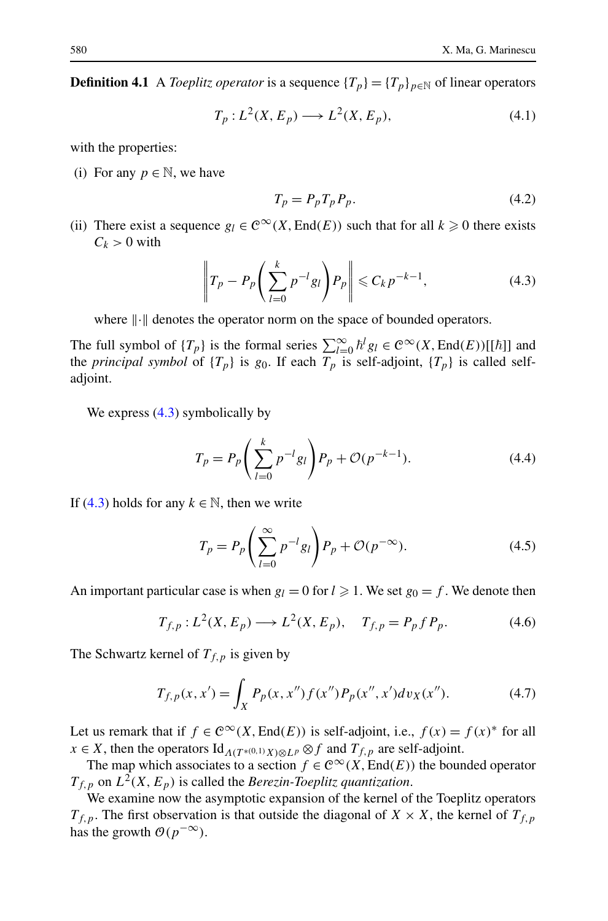<span id="page-15-0"></span>**Definition 4.1** A *Toeplitz operator* is a sequence  $\{T_p\} = \{T_p\}_{p \in \mathbb{N}}$  of linear operators

$$
T_p: L^2(X, E_p) \longrightarrow L^2(X, E_p), \tag{4.1}
$$

with the properties:

(i) For any  $p \in \mathbb{N}$ , we have

$$
T_p = P_p T_p P_p. \tag{4.2}
$$

(ii) There exist a sequence  $g_l \in C^\infty(X, \text{End}(E))$  such that for all  $k \geq 0$  there exists  $C_k > 0$  with

$$
\left\| T_p - P_p \left( \sum_{l=0}^k p^{-l} g_l \right) P_p \right\| \leqslant C_k p^{-k-1}, \tag{4.3}
$$

where  $\|\cdot\|$  denotes the operator norm on the space of bounded operators.

The full symbol of  $\{T_p\}$  is the formal series  $\sum_{l=0}^{\infty} \hbar^l g_l \in C^{\infty}(X, \text{End}(E))[[\hbar]]$  and the *principal symbol* of  $\{T_p\}$  is  $g_0$ . If each  $T_p$  is self-adjoint,  $\{T_p\}$  is called selfadjoint.

We express  $(4.3)$  symbolically by

$$
T_p = P_p \left( \sum_{l=0}^{k} p^{-l} g_l \right) P_p + \mathcal{O}(p^{-k-1}). \tag{4.4}
$$

If (4.3) holds for any  $k \in \mathbb{N}$ , then we write

$$
T_p = P_p \left( \sum_{l=0}^{\infty} p^{-l} g_l \right) P_p + \mathcal{O}(p^{-\infty}). \tag{4.5}
$$

An important particular case is when  $g_l = 0$  for  $l \geq 1$ . We set  $g_0 = f$ . We denote then

$$
T_{f,p}: L^{2}(X, E_{p}) \longrightarrow L^{2}(X, E_{p}), \quad T_{f,p} = P_{p} f P_{p}. \tag{4.6}
$$

The Schwartz kernel of  $T_{f,p}$  is given by

$$
T_{f,p}(x,x') = \int_X P_p(x,x'')f(x'')P_p(x'',x')dv_X(x'').
$$
 (4.7)

Let us remark that if  $f \in C^{\infty}(X, \text{End}(E))$  is self-adjoint, i.e.,  $f(x) = f(x)^*$  for all  $x \in X$ , then the operators  $\text{Id}_{\Lambda(T^{*(0,1)}X)\otimes L^p} \otimes f$  and  $T_{f,p}$  are self-adjoint.

The map which associates to a section  $f \in C^{\infty}(X, \text{End}(E))$  the bounded operator  $T_{f,p}$  on  $L^2(X, E_p)$  is called the *Berezin-Toeplitz quantization*.

We examine now the asymptotic expansion of the kernel of the Toeplitz operators  $T_{f,p}$ . The first observation is that outside the diagonal of  $X \times X$ , the kernel of  $T_{f,p}$ has the growth  $O(p^{-\infty})$ .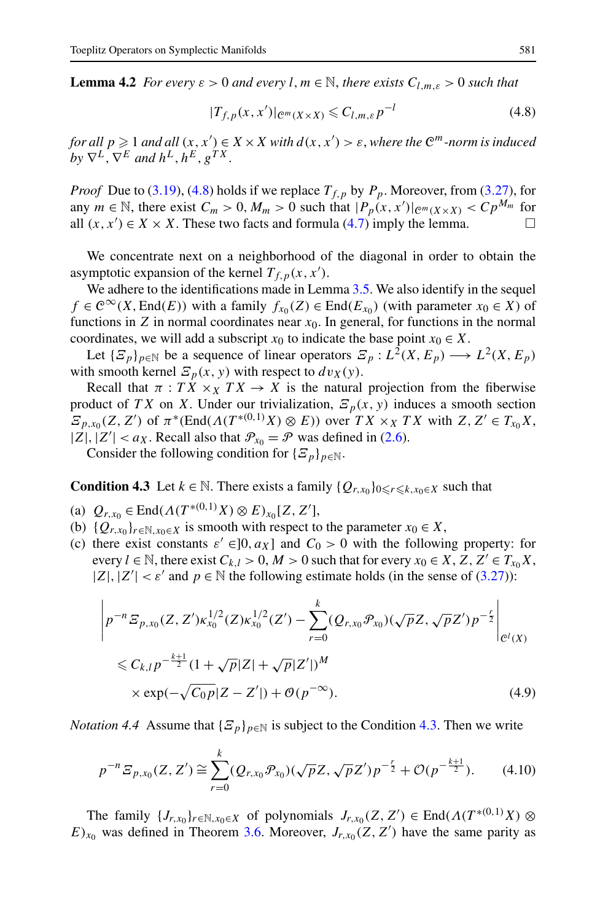<span id="page-16-0"></span>**Lemma 4.2** *For every*  $\varepsilon > 0$  *and every l, m*  $\in \mathbb{N}$ *, there exists*  $C_{l,m,\varepsilon} > 0$  *such that* 

$$
|T_{f,p}(x,x')|_{\mathcal{C}^m(X\times X)} \leqslant C_{l,m,\varepsilon}p^{-l} \tag{4.8}
$$

*for all*  $p \geqslant 1$  *and all*  $(x, x') \in X \times X$  *with*  $d(x, x') > \varepsilon$ , *where the*  $\mathbb{C}^m$ *-norm is induced by*  $\nabla^L$ ,  $\nabla^E$  *and*  $h^L$ ,  $h^E$ ,  $g^{TX}$ .

*Proof* Due to [\(3.19\)](#page-11-0), (4.8) holds if we replace  $T_{f,p}$  by  $P_p$ . Moreover, from [\(3.27\)](#page-13-0), for any  $m \in \mathbb{N}$ , there exist  $C_m > 0$ ,  $M_m > 0$  such that  $|P_p(x, x')|_{\mathcal{C}^m(X \times X)} < C p^{M_m}$  for all  $(x, x')$  ∈ *X* × *X*. These two facts and formula [\(4.7\)](#page-15-0) imply the lemma.  $\Box$ 

We concentrate next on a neighborhood of the diagonal in order to obtain the asymptotic expansion of the kernel  $T_{f,p}(x, x')$ .

We adhere to the identifications made in Lemma [3.5](#page-11-0). We also identify in the sequel *f* ∈  $\mathcal{C}^{\infty}(X, \text{End}(E))$  with a family  $f_{x_0}(Z) \in \text{End}(E_{x_0})$  (with parameter  $x_0 \in X$ ) of functions in  $Z$  in normal coordinates near  $x<sub>0</sub>$ . In general, for functions in the normal coordinates, we will add a subscript  $x_0$  to indicate the base point  $x_0 \in X$ .

Let  $\{E_p\}_{p \in \mathbb{N}}$  be a sequence of linear operators  $E_p: L^2(X, E_p) \longrightarrow L^2(X, E_p)$ with smooth kernel  $E_p(x, y)$  with respect to  $dv_X(y)$ .

Recall that  $\pi$ : *TX*  $\times$ *x TX*  $\rightarrow$  *X* is the natural projection from the fiberwise product of *TX* on *X*. Under our trivialization,  $E_p(x, y)$  induces a smooth section  $E_{p,x_0}(Z, Z')$  of  $\pi^*(\text{End}(A(T^{*(0,1)}X) \otimes E))$  over  $TX \times_X TX$  with  $Z, Z' \in T_{x_0}X$ ,  $|Z|$ ,  $|Z'| < a_X$ . Recall also that  $\mathcal{P}_{x_0} = \mathcal{P}$  was defined in [\(2.6\)](#page-5-0).

Consider the following condition for  $\{E_p\}_{p \in \mathbb{N}}$ .

**Condition 4.3** Let  $k \in \mathbb{N}$ . There exists a family  $\{Q_{r,x_0}\}_{0 \leq r \leq k, x_0 \in X}$  such that

- (a)  $Q_{r,x_0} \in \text{End}(A(T^{*(0,1)}X) \otimes E)_{x_0}[Z, Z'],$
- (b)  ${Q_{r,x_0}}_{r \in \mathbb{N}, x_0 \in X}$  is smooth with respect to the parameter  $x_0 \in X$ ,
- (c) there exist constants  $\varepsilon' \in ]0, a_X]$  and  $C_0 > 0$  with the following property: for every  $l \in \mathbb{N}$ , there exist  $C_{k,l} > 0$ ,  $M > 0$  such that for every  $x_0 \in X$ ,  $Z$ ,  $Z' \in T_{x_0}X$ ,  $|Z|, |Z'| < \varepsilon'$  and  $p \in \mathbb{N}$  the following estimate holds (in the sense of [\(3.27\)](#page-13-0)):

$$
\left| p^{-n} \mathcal{E}_{p,x_0}(Z, Z') \kappa_{x_0}^{1/2}(Z) \kappa_{x_0}^{1/2}(Z') - \sum_{r=0}^k (\mathcal{Q}_{r,x_0} \mathcal{P}_{x_0}) (\sqrt{p} Z, \sqrt{p} Z') p^{-\frac{r}{2}} \right|_{\mathcal{C}^l(X)} \n\leq C_{k,l} p^{-\frac{k+1}{2}} (1 + \sqrt{p} |Z| + \sqrt{p} |Z'|)^M \n\times \exp(-\sqrt{C_0 p} |Z - Z'|) + \mathcal{O}(p^{-\infty}).
$$
\n(4.9)

*Notation 4.4* Assume that  ${\mathcal{Z}_p}_{n \in \mathbb{N}}$  is subject to the Condition 4.3. Then we write

$$
p^{-n} \mathcal{E}_{p,x_0}(Z,Z') \cong \sum_{r=0}^k (Q_{r,x_0} \mathcal{P}_{x_0})(\sqrt{p}Z, \sqrt{p}Z') p^{-\frac{r}{2}} + \mathcal{O}(p^{-\frac{k+1}{2}}). \tag{4.10}
$$

The family  $\{J_{r,x_0}\}_{r \in \mathbb{N}, x_0 \in X}$  of polynomials  $J_{r,x_0}(Z, Z') \in \text{End}(\Lambda(T^{*(0,1)}X) \otimes$  $E)_{x_0}$  was defined in Theorem [3.6.](#page-12-0) Moreover,  $J_{r,x_0}(Z, Z')$  have the same parity as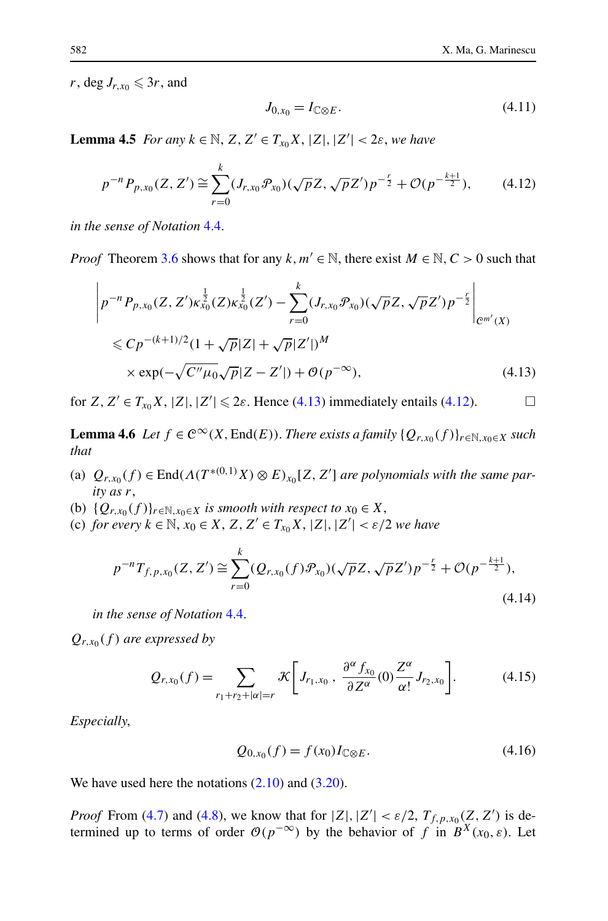<span id="page-17-0"></span> $r$ , deg  $J_{r,x_0} \leqslant 3r$ , and

$$
J_{0,x_0} = I_{\mathbb{C}\otimes E}.\tag{4.11}
$$

**Lemma 4.5** *For any*  $k \in \mathbb{N}$ ,  $Z, Z' \in T_{x_0}X, |Z|, |Z'| < 2\varepsilon$ , *we have* 

$$
p^{-n}P_{p,x_0}(Z,Z') \cong \sum_{r=0}^k (J_{r,x_0}\mathcal{P}_{x_0})(\sqrt{p}Z,\sqrt{p}Z')p^{-\frac{r}{2}} + \mathcal{O}(p^{-\frac{k+1}{2}}),\tag{4.12}
$$

*in the sense of Notation* [4.4.](#page-16-0)

*Proof* Theorem [3.6](#page-12-0) shows that for any  $k, m' \in \mathbb{N}$ , there exist  $M \in \mathbb{N}, C > 0$  such that

$$
\left| p^{-n} P_{p,x_0}(Z, Z') \kappa_{x_0}^{\frac{1}{2}}(Z) \kappa_{x_0}^{\frac{1}{2}}(Z') - \sum_{r=0}^k (J_{r,x_0} \mathcal{P}_{x_0}) (\sqrt{p} Z, \sqrt{p} Z') p^{-\frac{r}{2}} \right|_{\mathcal{C}^{m'}(X)} \n\leq C p^{-(k+1)/2} (1 + \sqrt{p} |Z| + \sqrt{p} |Z'|)^M \n\times \exp(-\sqrt{C'' \mu_0} \sqrt{p} |Z - Z'|) + \mathcal{O}(p^{-\infty}),
$$
\n(4.13)

for  $Z, Z' \in T_{x_0}X, |Z|, |Z'| \leq 2\varepsilon$ . Hence (4.13) immediately entails (4.12).

**Lemma 4.6** *Let*  $f \in C^{\infty}(X, \text{End}(E))$ *. There exists a family*  $\{Q_{r,x_0}(f)\}_{r \in \mathbb{N}, x_0 \in X}$  *such that*

- (a)  $Q_{r,x_0}(f) \in \text{End}(A(T^{*(0,1)}X) \otimes E)_{x_0}[Z, Z']$  *are polynomials with the same parity as r*,
- (b)  ${Q_{r,x_0}(f)}_{r \in \mathbb{N}, x_0 \in X}$  *is smooth with respect to*  $x_0 \in X$ ,
- (c) *for every k* ∈ N, *x*<sup>0</sup> ∈ *X*, *Z,Z* ∈ *Tx*0*X*, |*Z*|*,*|*Z* | *< ε/*2 *we have*

$$
p^{-n}T_{f,p,x_0}(Z,Z') \cong \sum_{r=0}^k (Q_{r,x_0}(f)\mathcal{P}_{x_0})(\sqrt{p}Z,\sqrt{p}Z')p^{-\frac{r}{2}} + \mathcal{O}(p^{-\frac{k+1}{2}}),\tag{4.14}
$$

*in the sense of Notation* [4.4.](#page-16-0)

 $Q_{r,x_0}(f)$  *are expressed by* 

$$
Q_{r,x_0}(f) = \sum_{r_1+r_2+|\alpha|=r} \mathcal{K}\bigg[J_{r_1,x_0}, \ \frac{\partial^{\alpha} f_{x_0}}{\partial Z^{\alpha}}(0) \frac{Z^{\alpha}}{\alpha!} J_{r_2,x_0}\bigg].
$$
 (4.15)

*Especially*,

$$
Q_{0,x_0}(f) = f(x_0)I_{\mathbb{C}\otimes E}.\tag{4.16}
$$

We have used here the notations  $(2.10)$  $(2.10)$  $(2.10)$  and  $(3.20)$ .

*Proof* From [\(4.7](#page-15-0)) and ([4.8](#page-16-0)), we know that for  $|Z|, |Z'| < \varepsilon/2, T_{f, p, x_0}(Z, Z')$  is determined up to terms of order  $O(p^{-\infty})$  by the behavior of *f* in  $B^X(x_0, \varepsilon)$ . Let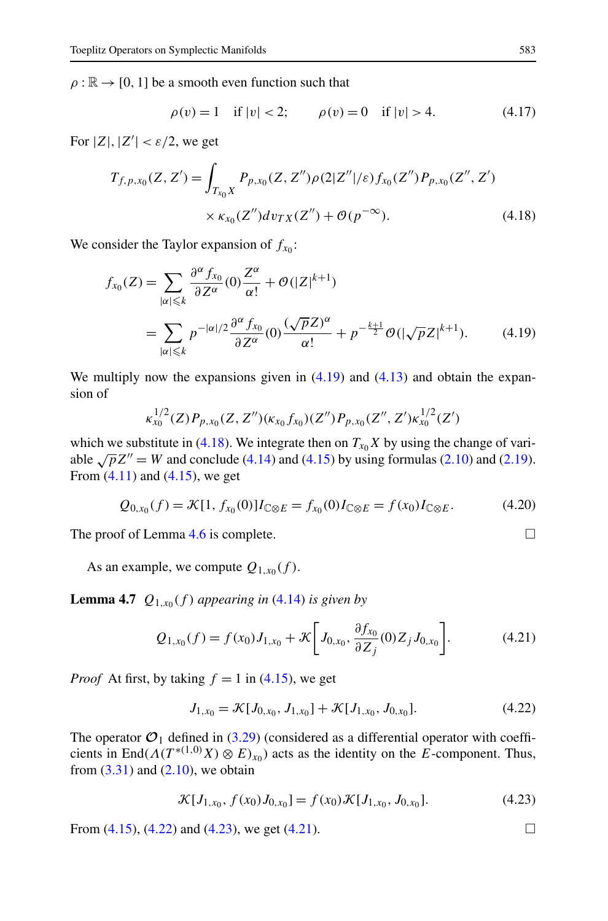<span id="page-18-0"></span> $\rho : \mathbb{R} \to [0, 1]$  be a smooth even function such that

$$
\rho(v) = 1 \quad \text{if } |v| < 2; \qquad \rho(v) = 0 \quad \text{if } |v| > 4. \tag{4.17}
$$

For  $|Z|, |Z'| < \varepsilon/2$ , we get

$$
T_{f,p,x_0}(Z,Z') = \int_{T_{x_0}X} P_{p,x_0}(Z,Z'')\rho(2|Z''|/\varepsilon) f_{x_0}(Z'') P_{p,x_0}(Z'',Z')
$$
  
×  $\kappa_{x_0}(Z'')d\nu_{TX}(Z'') + \mathcal{O}(p^{-\infty}).$  (4.18)

We consider the Taylor expansion of  $f_{x0}$ :

$$
f_{x_0}(Z) = \sum_{|\alpha| \leq k} \frac{\partial^{\alpha} f_{x_0}}{\partial Z^{\alpha}}(0) \frac{Z^{\alpha}}{\alpha!} + \mathcal{O}(|Z|^{k+1})
$$
  
= 
$$
\sum_{|\alpha| \leq k} p^{-|\alpha|/2} \frac{\partial^{\alpha} f_{x_0}}{\partial Z^{\alpha}}(0) \frac{(\sqrt{p}Z)^{\alpha}}{\alpha!} + p^{-\frac{k+1}{2}} \mathcal{O}(|\sqrt{p}Z|^{k+1}). \tag{4.19}
$$

We multiply now the expansions given in  $(4.19)$  and  $(4.13)$  and obtain the expansion of

$$
\kappa_{x_0}^{1/2}(Z)P_{p,x_0}(Z,Z'')(\kappa_{x_0}f_{x_0})(Z'')P_{p,x_0}(Z'',Z')\kappa_{x_0}^{1/2}(Z')
$$

which we substitute in (4.18). We integrate then on  $T_{x_0}X$  by using the change of variable  $\sqrt{p}Z'' = W$  and conclude ([4.14](#page-17-0)) and ([4.15\)](#page-17-0) by using formulas [\(2.10\)](#page-6-0) and [\(2.19\)](#page-7-0). From  $(4.11)$  and  $(4.15)$  $(4.15)$  $(4.15)$ , we get

$$
Q_{0,x_0}(f) = \mathcal{K}[1, f_{x_0}(0)]I_{\mathbb{C}\otimes E} = f_{x_0}(0)I_{\mathbb{C}\otimes E} = f(x_0)I_{\mathbb{C}\otimes E}.
$$
 (4.20)

The proof of Lemma [4.6](#page-17-0) is complete.  $\Box$ 

As an example, we compute  $Q_{1,x_0}(f)$ .

**Lemma 4.7**  $Q_{1,x_0}(f)$  *appearing in* [\(4.14](#page-17-0)) *is given by* 

$$
Q_{1,x_0}(f) = f(x_0)J_{1,x_0} + \mathcal{K}\bigg[J_{0,x_0}, \frac{\partial f_{x_0}}{\partial Z_j}(0)Z_jJ_{0,x_0}\bigg].
$$
 (4.21)

*Proof* At first, by taking  $f = 1$  in [\(4.15](#page-17-0)), we get

$$
J_{1,x_0} = \mathcal{K}[J_{0,x_0}, J_{1,x_0}] + \mathcal{K}[J_{1,x_0}, J_{0,x_0}].
$$
\n(4.22)

The operator  $\mathcal{O}_1$  defined in ([3.29\)](#page-13-0) (considered as a differential operator with coefficients in End $(A(T^{*(1,0)}X) \otimes E)_{x_0})$  acts as the identity on the *E*-component. Thus, from  $(3.31)$  $(3.31)$  $(3.31)$  and  $(2.10)$ , we obtain

$$
\mathcal{K}[J_{1,x_0}, f(x_0)J_{0,x_0}] = f(x_0)\mathcal{K}[J_{1,x_0}, J_{0,x_0}].
$$
\n(4.23)

From  $(4.15)$ ,  $(4.22)$  and  $(4.23)$ , we get  $(4.21)$ .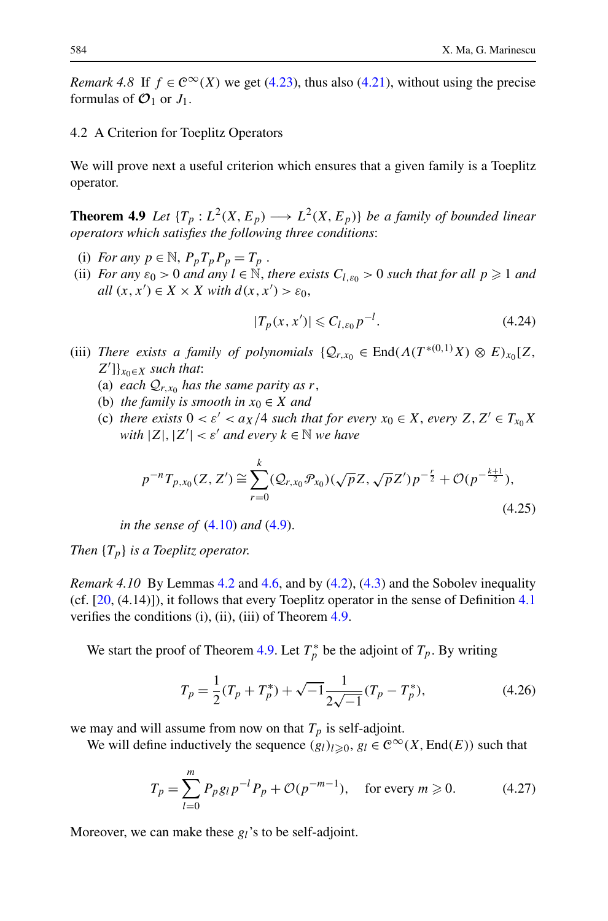<span id="page-19-0"></span>*Remark 4.8* If  $f \in \mathbb{C}^{\infty}(X)$  we get ([4.23\)](#page-18-0), thus also ([4.21\)](#page-18-0), without using the precise formulas of  $\mathcal{O}_1$  or  $J_1$ .

# 4.2 A Criterion for Toeplitz Operators

We will prove next a useful criterion which ensures that a given family is a Toeplitz operator.

**Theorem 4.9** *Let*  $\{T_p : L^2(X, E_p) \longrightarrow L^2(X, E_p)\}$  *be a family of bounded linear operators which satisfies the following three conditions*:

- (i) *For any*  $p \in \mathbb{N}$ ,  $P_p T_p P_p = T_p$ .
- (ii) *For any*  $\varepsilon_0 > 0$  *and any*  $l \in \mathbb{N}$ , *there exists*  $C_{l,\varepsilon_0} > 0$  *such that for all*  $p \ge 1$  *and all*  $(x, x') \in X \times X$  *with*  $d(x, x') > \varepsilon_0$ ,

$$
|T_p(x, x')| \leq C_{l, \varepsilon_0} p^{-l}.
$$
\n(4.24)

- (iii) *There exists a family of polynomials*  $\{Q_{r,x_0} \in \text{End}(A(T^{*(0,1)}X) \otimes E)_{x_0}[Z,$ *Z* ]}*x*0∈*<sup>X</sup> such that*:
	- (a) *each*  $Q_{r,x_0}$  *has the same parity as r*,
	- (b) *the family is smooth in*  $x_0 \in X$  *and*
	- (c) *there exists*  $0 < \varepsilon' < a_X/4$  *such that for every*  $x_0 \in X$ *, every*  $Z, Z' \in T_{x_0}X$ *with*  $|Z|, |Z'| < \varepsilon'$  *and every*  $k \in \mathbb{N}$  *we have*

$$
p^{-n}T_{p,x_0}(Z,Z') \cong \sum_{r=0}^k (\mathcal{Q}_{r,x_0}\mathcal{P}_{x_0})(\sqrt{p}Z,\sqrt{p}Z')p^{-\frac{r}{2}} + \mathcal{O}(p^{-\frac{k+1}{2}}),\tag{4.25}
$$

*in the sense of* ([4.10](#page-16-0)) *and* [\(4.9](#page-16-0)).

*Then* {*Tp*} *is a Toeplitz operator*.

*Remark 4.10* By Lemmas [4.2](#page-16-0) and [4.6,](#page-17-0) and by [\(4.2\)](#page-15-0), [\(4.3\)](#page-15-0) and the Sobolev inequality (cf.  $[20, (4.14)]$  $[20, (4.14)]$  $[20, (4.14)]$  $[20, (4.14)]$ ), it follows that every Toeplitz operator in the sense of Definition 4.1 verifies the conditions (i), (ii), (iii) of Theorem 4.9.

We start the proof of Theorem 4.9. Let  $T_p^*$  be the adjoint of  $T_p$ . By writing

$$
T_p = \frac{1}{2}(T_p + T_p^*) + \sqrt{-1} \frac{1}{2\sqrt{-1}}(T_p - T_p^*),
$$
\n(4.26)

we may and will assume from now on that  $T_p$  is self-adjoint.

We will define inductively the sequence  $(g_l)_{l\geq0}$ ,  $g_l \in C^\infty(X, \text{End}(E))$  such that

$$
T_p = \sum_{l=0}^{m} P_p g_l p^{-l} P_p + \mathcal{O}(p^{-m-1}), \quad \text{for every } m \ge 0.
$$
 (4.27)

Moreover, we can make these *gl*'s to be self-adjoint.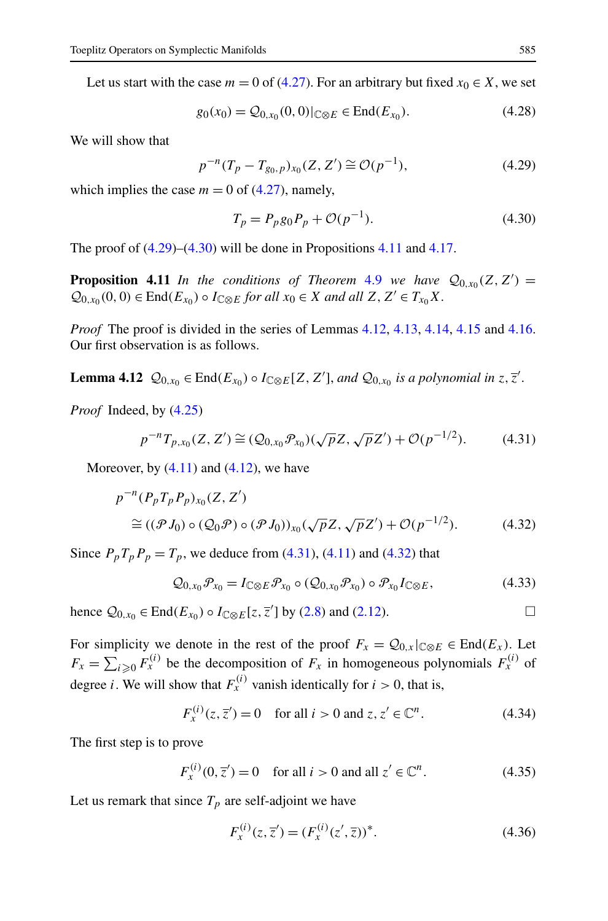<span id="page-20-0"></span>Let us start with the case  $m = 0$  of ([4.27](#page-19-0)). For an arbitrary but fixed  $x_0 \in X$ , we set

$$
g_0(x_0) = \mathcal{Q}_{0,x_0}(0,0)|_{\mathbb{C}\otimes E} \in \text{End}(E_{x_0}).
$$
\n(4.28)

We will show that

$$
p^{-n}(T_p - T_{g_0, p})_{x_0}(Z, Z') \cong \mathcal{O}(p^{-1}),
$$
\n(4.29)

which implies the case  $m = 0$  of [\(4.27\)](#page-19-0), namely,

$$
T_p = P_p g_0 P_p + \mathcal{O}(p^{-1}).
$$
\n(4.30)

The proof of  $(4.29)$ – $(4.30)$  will be done in Propositions 4.11 and [4.17.](#page-25-0)

**Proposition 4.11** *In the conditions of Theorem [4.9](#page-19-0) we have*  $Q_{0,x_0}(Z, Z') =$  $Q_{0,x_0}(0,0) \in \text{End}(E_{x_0}) \circ I_{\mathbb{C} \otimes E}$  *for all*  $x_0 \in X$  *and all*  $Z, Z' \in T_{x_0}X$ .

*Proof* The proof is divided in the series of Lemmas 4.12, [4.13](#page-21-0), [4.14,](#page-23-0) [4.15](#page-24-0) and [4.16](#page-25-0). Our first observation is as follows.

**Lemma 4.12**  $\mathcal{Q}_{0,x_0} \in \text{End}(E_{x_0}) \circ I_{\mathbb{C} \otimes E} [Z, Z'],$  *and*  $\mathcal{Q}_{0,x_0}$  *is a polynomial in*  $z, \overline{z}'$ .

*Proof* Indeed, by ([4.25](#page-19-0))

$$
p^{-n}T_{p,x_0}(Z,Z') \cong (\mathcal{Q}_{0,x_0}\mathcal{P}_{x_0})(\sqrt{p}Z,\sqrt{p}Z') + \mathcal{O}(p^{-1/2}).\tag{4.31}
$$

Moreover, by  $(4.11)$  and  $(4.12)$  $(4.12)$ , we have

$$
p^{-n}(P_p T_p P_p)_{x_0}(Z, Z')
$$
  
\n
$$
\cong ((\mathcal{P} J_0) \circ (\mathcal{Q}_0 \mathcal{P}) \circ (\mathcal{P} J_0))_{x_0}(\sqrt{p}Z, \sqrt{p}Z') + \mathcal{O}(p^{-1/2}).
$$
\n(4.32)

Since  $P_p T_p P_p = T_p$ , we deduce from (4.31), [\(4.11\)](#page-17-0) and (4.32) that

$$
Q_{0,x_0}\mathcal{P}_{x_0} = I_{\mathbb{C}\otimes E}\mathcal{P}_{x_0} \circ (Q_{0,x_0}\mathcal{P}_{x_0}) \circ \mathcal{P}_{x_0}I_{\mathbb{C}\otimes E},\tag{4.33}
$$

hence  $Q_{0,x_0}$  ∈ End( $E_{x_0}$ ) ∘ *I*<sub>C⊗*E*</sub>[*z*,  $\overline{z}'$ ] by ([2.8](#page-6-0)) and [\(2.12\)](#page-6-0).

For simplicity we denote in the rest of the proof  $F_x = Q_{0,x}|_{\mathbb{C} \otimes E} \in \text{End}(E_x)$ . Let  $F_x = \sum_{i \geq 0} F_x^{(i)}$  be the decomposition of  $F_x$  in homogeneous polynomials  $F_x^{(i)}$  of degree *i*. We will show that  $F_x^{(i)}$  vanish identically for  $i > 0$ , that is,

$$
F_x^{(i)}(z, \overline{z}') = 0
$$
 for all  $i > 0$  and  $z, z' \in \mathbb{C}^n$ . (4.34)

The first step is to prove

$$
F_x^{(i)}(0, \overline{z}') = 0 \quad \text{for all } i > 0 \text{ and all } z' \in \mathbb{C}^n. \tag{4.35}
$$

Let us remark that since  $T_p$  are self-adjoint we have

$$
F_x^{(i)}(z, \overline{z}') = (F_x^{(i)}(z', \overline{z}))^*.
$$
\n(4.36)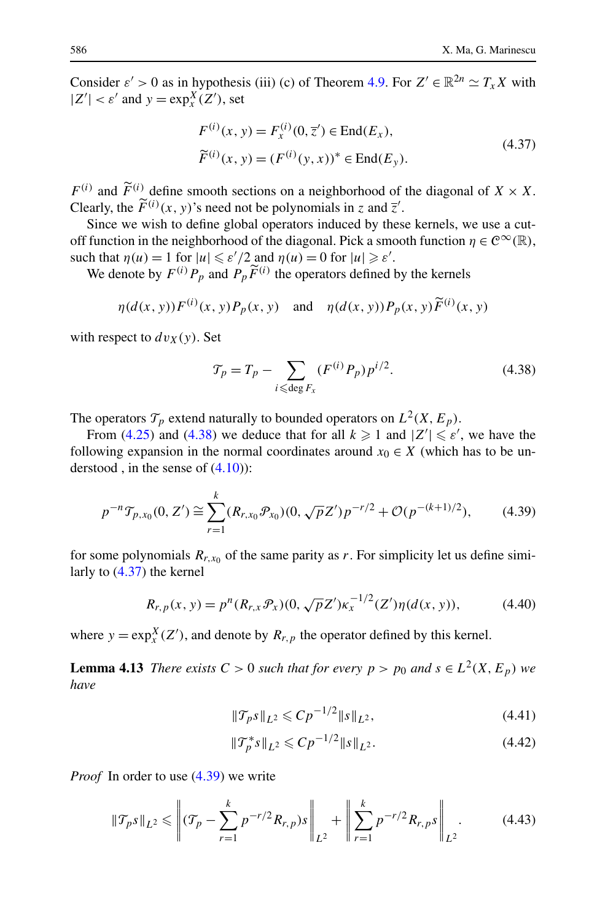<span id="page-21-0"></span>Consider  $\varepsilon > 0$  as in hypothesis (iii) (c) of Theorem [4.9](#page-19-0). For  $Z' \in \mathbb{R}^{2n} \simeq T_x X$  with  $|Z'| < \varepsilon'$  and  $y = \exp_x^X(Z')$ , set

$$
F^{(i)}(x, y) = F_x^{(i)}(0, \overline{z}') \in \text{End}(E_x),
$$
  
\n
$$
\widetilde{F}^{(i)}(x, y) = (F^{(i)}(y, x))^* \in \text{End}(E_y).
$$
\n(4.37)

 $F^{(i)}$  and  $\tilde{F}^{(i)}$  define smooth sections on a neighborhood of the diagonal of  $X \times X$ . Clearly, the  $\tilde{F}^{(i)}(x, y)$ 's need not be polynomials in *z* and  $\overline{z}$ '.<br>Since we wish to define alobal operators induced by the

Since we wish to define global operators induced by these kernels, we use a cutoff function in the neighborhood of the diagonal. Pick a smooth function  $\eta \in C^{\infty}(\mathbb{R})$ , such that  $\eta(u) = 1$  for  $|u| \le \varepsilon'/2$  and  $\eta(u) = 0$  for  $|u| \ge \varepsilon'$ .

We denote by  $F^{(i)}P_p$  and  $P_p\widetilde{F}^{(i)}$  the operators defined by the kernels

$$
\eta(d(x, y))F^{(i)}(x, y)P_p(x, y) \quad \text{and} \quad \eta(d(x, y))P_p(x, y)\widetilde{F}^{(i)}(x, y)
$$

with respect to  $dv_X(y)$ . Set

$$
\mathcal{T}_p = T_p - \sum_{i \leqslant \deg F_x} (F^{(i)} P_p) p^{i/2}.
$$
 (4.38)

The operators  $\mathcal{T}_p$  extend naturally to bounded operators on  $L^2(X, E_p)$ .

From ([4.25](#page-19-0)) and (4.38) we deduce that for all  $k \ge 1$  and  $|Z'| \le \varepsilon'$ , we have the following expansion in the normal coordinates around  $x_0 \in X$  (which has to be understood, in the sense of  $(4.10)$  $(4.10)$  $(4.10)$ :

$$
p^{-n} \mathcal{T}_{p,x_0}(0, Z') \cong \sum_{r=1}^k (R_{r,x_0} \mathcal{P}_{x_0})(0, \sqrt{p}Z') p^{-r/2} + \mathcal{O}(p^{-(k+1)/2}), \qquad (4.39)
$$

for some polynomials  $R_{r,x_0}$  of the same parity as  $r$ . For simplicity let us define similarly to (4.37) the kernel

$$
R_{r,p}(x, y) = p^{n}(R_{r,x}\mathcal{P}_x)(0, \sqrt{p}Z')\kappa_x^{-1/2}(Z')\eta(d(x, y)),
$$
 (4.40)

where  $y = \exp_x^X(Z')$ , and denote by  $R_{r,p}$  the operator defined by this kernel.

**Lemma 4.13** *There exists*  $C > 0$  *such that for every*  $p > p_0$  *and*  $s \in L^2(X, E_p)$  *we have*

$$
\|\mathcal{T}_{p} s\|_{L^2} \leqslant C p^{-1/2} \|s\|_{L^2},\tag{4.41}
$$

$$
\|\mathcal{T}_p^*s\|_{L^2} \leqslant C p^{-1/2} \|s\|_{L^2}.
$$
\n(4.42)

*Proof* In order to use (4.39) we write

$$
\|\mathcal{T}_p s\|_{L^2} \leq \left\| (\mathcal{T}_p - \sum_{r=1}^k p^{-r/2} R_{r,p}) s \right\|_{L^2} + \left\| \sum_{r=1}^k p^{-r/2} R_{r,p} s \right\|_{L^2}.
$$
 (4.43)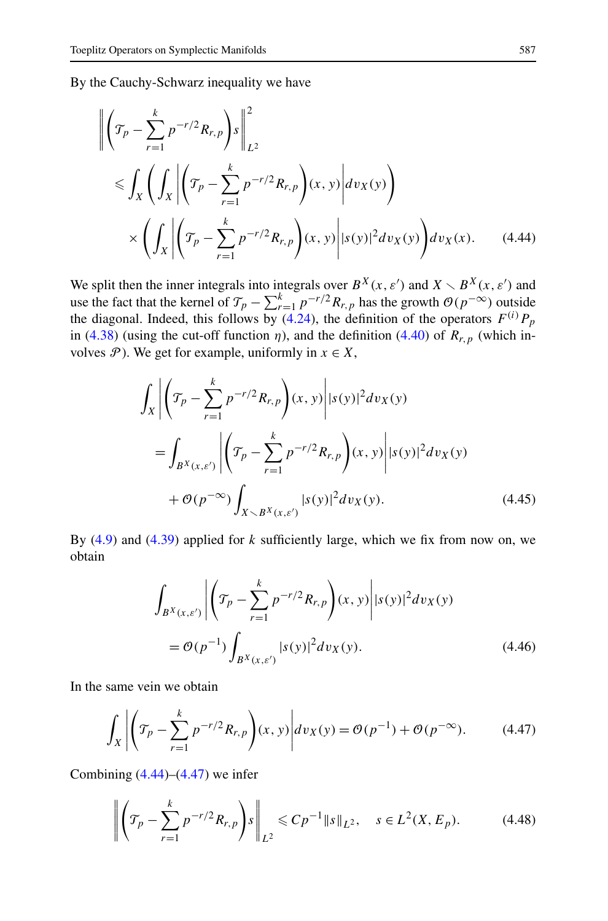<span id="page-22-0"></span>By the Cauchy-Schwarz inequality we have

$$
\left\| \left( \mathcal{T}_p - \sum_{r=1}^k p^{-r/2} R_{r,p} \right) s \right\|_{L^2}^2
$$
  
\$\leqslant \int\_X \left( \int\_X \left| \left( \mathcal{T}\_p - \sum\_{r=1}^k p^{-r/2} R\_{r,p} \right) (x, y) \right| dv\_X(y) \right) \$  
\$\times \left( \int\_X \left| \left( \mathcal{T}\_p - \sum\_{r=1}^k p^{-r/2} R\_{r,p} \right) (x, y) \right| |s(y)|^2 dv\_X(y) \$ \right] dv\_X(x)\$. \tag{4.44}

We split then the inner integrals into integrals over  $B^X(x, \varepsilon')$  and  $X \setminus B^X(x, \varepsilon')$  and use the fact that the kernel of  $\mathcal{T}_p - \sum_{r=1}^k p^{-r/2} R_{r,p}$  has the growth  $\mathcal{O}(p^{-\infty})$  outside the diagonal. Indeed, this follows by  $(4.24)$ , the definition of the operators  $F^{(i)}P_p$ in ([4.38](#page-21-0)) (using the cut-off function  $\eta$ ), and the definition ([4.40](#page-21-0)) of  $R_{r,p}$  (which involves  $\mathcal{P}$ ). We get for example, uniformly in  $x \in X$ ,

$$
\int_{X} \left| \left( \mathcal{T}_{p} - \sum_{r=1}^{k} p^{-r/2} R_{r, p} \right) (x, y) \right| |s(y)|^{2} dv_{X}(y)
$$
\n
$$
= \int_{B^{X}(x, \varepsilon')} \left| \left( \mathcal{T}_{p} - \sum_{r=1}^{k} p^{-r/2} R_{r, p} \right) (x, y) \right| |s(y)|^{2} dv_{X}(y)
$$
\n
$$
+ \mathcal{O}(p^{-\infty}) \int_{X \setminus B^{X}(x, \varepsilon')} |s(y)|^{2} dv_{X}(y). \tag{4.45}
$$

By ([4.9](#page-16-0)) and ([4.39](#page-21-0)) applied for *k* sufficiently large, which we fix from now on, we obtain

$$
\int_{B^{X}(x,\varepsilon')} \left| \left( \mathcal{T}_{p} - \sum_{r=1}^{k} p^{-r/2} R_{r,p} \right) (x, y) \right| |s(y)|^{2} dv_{X}(y)
$$
\n
$$
= \mathcal{O}(p^{-1}) \int_{B^{X}(x,\varepsilon')} |s(y)|^{2} dv_{X}(y).
$$
\n(4.46)

In the same vein we obtain

$$
\int_{X} \left| \left( \mathcal{T}_{p} - \sum_{r=1}^{k} p^{-r/2} R_{r,p} \right) (x, y) \right| dv_{X}(y) = \mathcal{O}(p^{-1}) + \mathcal{O}(p^{-\infty}). \tag{4.47}
$$

Combining  $(4.44)$ – $(4.47)$  we infer

$$
\left\| \left( \mathcal{T}_p - \sum_{r=1}^k p^{-r/2} R_{r,p} \right) s \right\|_{L^2} \leqslant C p^{-1} \| s \|_{L^2}, \quad s \in L^2(X, E_p). \tag{4.48}
$$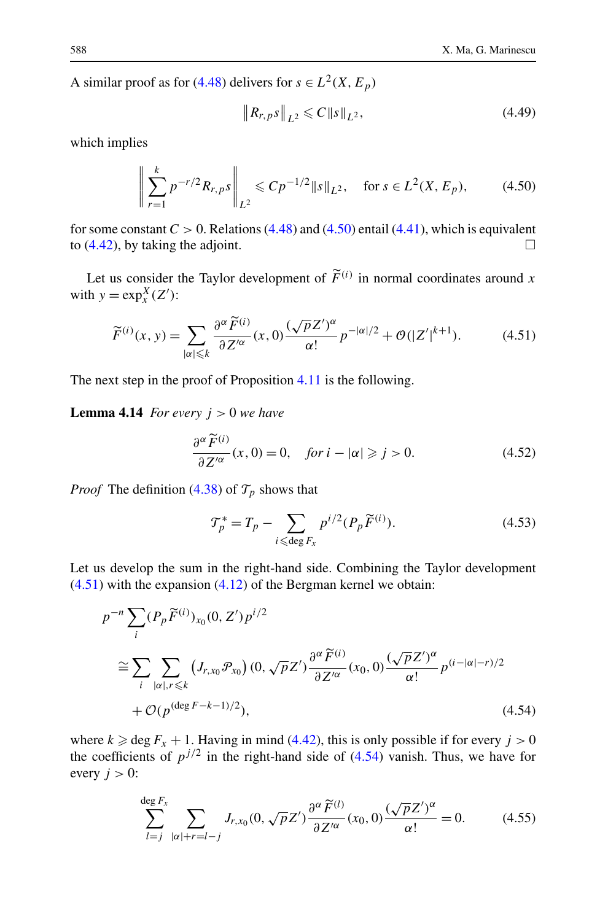<span id="page-23-0"></span>A similar proof as for  $(4.48)$  $(4.48)$  $(4.48)$  delivers for  $s \in L^2(X, E_p)$ 

$$
\|R_{r,p}s\|_{L^2} \leqslant C \|s\|_{L^2},\tag{4.49}
$$

which implies

$$
\left\| \sum_{r=1}^{k} p^{-r/2} R_{r,p} s \right\|_{L^{2}} \leqslant C p^{-1/2} \|s\|_{L^{2}}, \quad \text{for } s \in L^{2}(X, E_{p}), \tag{4.50}
$$

for some constant  $C > 0$ . Relations [\(4.48\)](#page-22-0) and (4.50) entail ([4.41\)](#page-21-0), which is equivalent to  $(4.42)$ , by taking the adjoint.

Let us consider the Taylor development of  $\tilde{F}^{(i)}$  in normal coordinates around *x* is  $y = \exp(X(T))$ . with  $y = \exp_x^X(Z')$ :

$$
\widetilde{F}^{(i)}(x,y) = \sum_{|\alpha| \leqslant k} \frac{\partial^{\alpha} \widetilde{F}^{(i)}}{\partial Z'^{\alpha}}(x,0) \frac{(\sqrt{p}Z')^{\alpha}}{\alpha!} p^{-|\alpha|/2} + \mathcal{O}(|Z'|^{k+1}).\tag{4.51}
$$

The next step in the proof of Proposition [4.11](#page-20-0) is the following.

**Lemma 4.14** *For every*  $j > 0$  *we have* 

$$
\frac{\partial^{\alpha}\widetilde{F}^{(i)}}{\partial Z'^{\alpha}}(x,0) = 0, \quad \text{for } i - |\alpha| \geqslant j > 0. \tag{4.52}
$$

*Proof* The definition [\(4.38](#page-21-0)) of  $\mathcal{T}_p$  shows that

$$
\mathcal{T}_p^* = T_p - \sum_{i \leqslant \text{deg } F_x} p^{i/2} (P_p \widetilde{F}^{(i)}).
$$
 (4.53)

Let us develop the sum in the right-hand side. Combining the Taylor development  $(4.51)$  with the expansion  $(4.12)$  of the Bergman kernel we obtain:

$$
p^{-n} \sum_{i} (P_p \widetilde{F}^{(i)})_{x_0}(0, Z') p^{i/2}
$$
  
\n
$$
\cong \sum_{i} \sum_{|\alpha|, r \le k} (J_{r,x_0} \mathcal{P}_{x_0}) (0, \sqrt{p} Z') \frac{\partial^{\alpha} \widetilde{F}^{(i)}}{\partial Z'^{\alpha}} (x_0, 0) \frac{(\sqrt{p} Z')^{\alpha}}{\alpha!} p^{(i-|\alpha|-r)/2}
$$
  
\n
$$
+ \mathcal{O}(p^{(\deg F - k-1)/2}), \qquad (4.54)
$$

where  $k \ge \deg F_x + 1$ . Having in mind [\(4.42\)](#page-21-0), this is only possible if for every  $j > 0$ the coefficients of  $p^{j/2}$  in the right-hand side of (4.54) vanish. Thus, we have for every  $j > 0$ :

$$
\sum_{l=j}^{\deg F_x} \sum_{|\alpha|+r=l-j} J_{r,x_0}(0, \sqrt{p}Z') \frac{\partial^{\alpha} \widetilde{F}^{(l)}}{\partial Z'^{\alpha}}(x_0, 0) \frac{(\sqrt{p}Z')^{\alpha}}{\alpha!} = 0.
$$
 (4.55)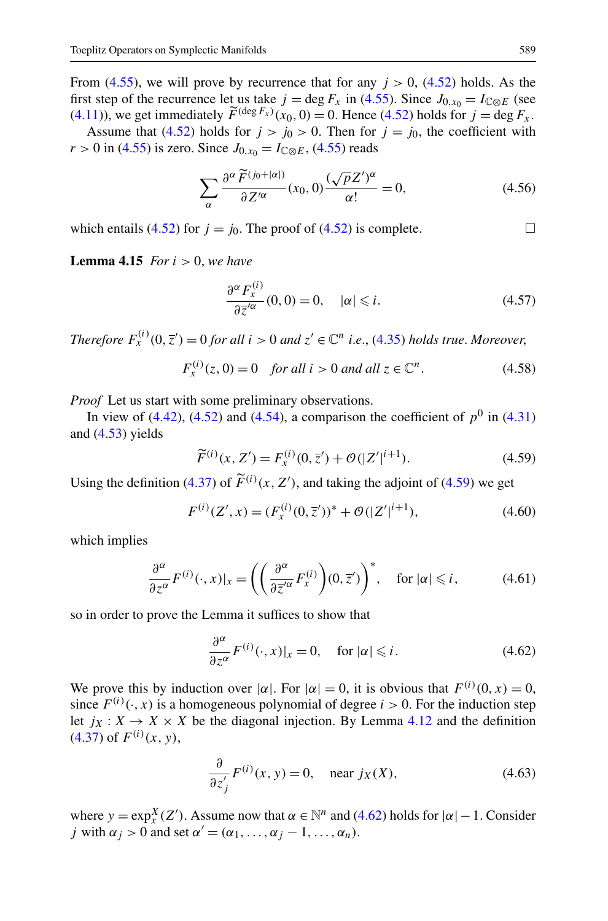<span id="page-24-0"></span>From  $(4.55)$ , we will prove by recurrence that for any  $j > 0$ ,  $(4.52)$  $(4.52)$  holds. As the first step of the recurrence let us take  $j = \deg F_x$  in ([4.55](#page-23-0)). Since  $J_{0,x_0} = I_{\mathbb{C} \otimes E}$  (see [\(4.11\)](#page-17-0)), we get immediately  $\tilde{F}^{(\deg F_x)}(x_0, 0) = 0$ . Hence [\(4.52\)](#page-23-0) holds for  $j = \deg F_x$ .<br>Assume that (4.52) holds for  $j > i_0 > 0$ . Then for  $j = i_0$ , the coefficient with Assume that [\(4.52\)](#page-23-0) holds for  $j > j_0 > 0$ . Then for  $j = j_0$ , the coefficient with

*r* > 0 in ([4.55\)](#page-23-0) is zero. Since  $J_{0,x_0} = I_{\mathbb{C} \otimes E}$ , [\(4.55\)](#page-23-0) reads

$$
\sum_{\alpha} \frac{\partial^{\alpha} \widetilde{F}^{(j_0+|\alpha|)}}{\partial Z'^{\alpha}}(x_0,0) \frac{(\sqrt{p}Z')^{\alpha}}{\alpha!} = 0, \tag{4.56}
$$

which entails [\(4.52\)](#page-23-0) for  $j = j_0$ . The proof of [\(4.52](#page-23-0)) is complete.

**Lemma 4.15** *For i >* 0, *we have*

$$
\frac{\partial^{\alpha} F_x^{(i)}}{\partial \overline{z}^{\prime \alpha}}(0,0) = 0, \quad |\alpha| \leq i. \tag{4.57}
$$

*Therefore*  $F_x^{(i)}(0, \overline{z}') = 0$  *for all*  $i > 0$  *and*  $z' \in \mathbb{C}^n$  *i.e.*, [\(4.35\)](#page-20-0) *holds true. Moreover*,

$$
F_x^{(i)}(z,0) = 0 \quad \text{for all } i > 0 \text{ and all } z \in \mathbb{C}^n. \tag{4.58}
$$

*Proof* Let us start with some preliminary observations.

In view of  $(4.42)$  $(4.42)$  $(4.42)$ ,  $(4.52)$  and  $(4.54)$  $(4.54)$  $(4.54)$ , a comparison the coefficient of  $p<sup>0</sup>$  in  $(4.31)$  $(4.31)$  $(4.31)$ and  $(4.53)$  $(4.53)$  $(4.53)$  yields

$$
\widetilde{F}^{(i)}(x, Z') = F_x^{(i)}(0, \overline{z}') + \mathcal{O}(|Z'|^{i+1}).
$$
\n(4.59)

Using the definition ([4.37](#page-21-0)) of  $\tilde{F}^{(i)}(x, Z')$ , and taking the adjoint of (4.59) we get

$$
F^{(i)}(Z',x) = (F_x^{(i)}(0,\overline{z}'))^* + \mathcal{O}(|Z'|^{i+1}),\tag{4.60}
$$

which implies

$$
\frac{\partial^{\alpha}}{\partial z^{\alpha}} F^{(i)}(\cdot, x)|_{x} = \left( \left( \frac{\partial^{\alpha}}{\partial \overline{z}^{\alpha}} F_{x}^{(i)} \right) (0, \overline{z}^{\prime}) \right)^{*}, \quad \text{for } |\alpha| \leq i, \tag{4.61}
$$

so in order to prove the Lemma it suffices to show that

$$
\frac{\partial^{\alpha}}{\partial z^{\alpha}} F^{(i)}(\cdot, x)|_{x} = 0, \quad \text{for } |\alpha| \leq i.
$$
 (4.62)

We prove this by induction over  $|\alpha|$ . For  $|\alpha| = 0$ , it is obvious that  $F^{(i)}(0, x) = 0$ , since  $F^{(i)}(\cdot, x)$  is a homogeneous polynomial of degree  $i > 0$ . For the induction step let  $j_X : X \to X \times X$  be the diagonal injection. By Lemma [4.12](#page-20-0) and the definition  $(4.37)$  of  $F^{(i)}(x, y)$ ,

$$
\frac{\partial}{\partial z'_j} F^{(i)}(x, y) = 0, \quad \text{near } j_X(X), \tag{4.63}
$$

where  $y = \exp_x^X(Z')$ . Assume now that  $\alpha \in \mathbb{N}^n$  and (4.62) holds for  $|\alpha| - 1$ . Consider *j* with  $\alpha_j > 0$  and set  $\alpha' = (\alpha_1, \ldots, \alpha_j - 1, \ldots, \alpha_n)$ .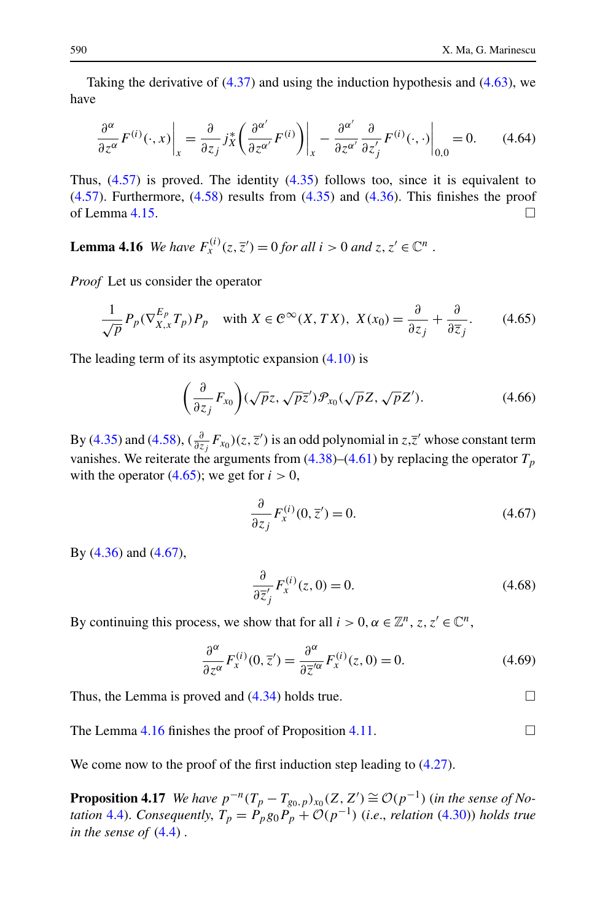<span id="page-25-0"></span>Taking the derivative of ([4.37](#page-21-0)) and using the induction hypothesis and ([4.63](#page-24-0)), we have

$$
\frac{\partial^{\alpha}}{\partial z^{\alpha}} F^{(i)}(\cdot, x) \bigg|_{x} = \frac{\partial}{\partial z_{j}} j_{X}^{*} \bigg( \frac{\partial^{\alpha'}}{\partial z^{\alpha'}} F^{(i)} \bigg) \bigg|_{x} - \frac{\partial^{\alpha'}}{\partial z^{\alpha'}} \frac{\partial}{\partial z'_{j}} F^{(i)}(\cdot, \cdot) \bigg|_{0,0} = 0. \tag{4.64}
$$

Thus,  $(4.57)$  $(4.57)$  $(4.57)$  is proved. The identity  $(4.35)$  $(4.35)$  $(4.35)$  follows too, since it is equivalent to  $(4.57)$ . Furthermore,  $(4.58)$  $(4.58)$  results from  $(4.35)$  and  $(4.36)$ . This finishes the proof of Lemma [4.15.](#page-24-0)  $\Box$ 

**Lemma 4.16** *We have*  $F_x^{(i)}(z, \overline{z}') = 0$  *for all*  $i > 0$  *and*  $z, z' \in \mathbb{C}^n$ .

*Proof* Let us consider the operator

$$
\frac{1}{\sqrt{p}}P_p(\nabla_{X,x}^{E_p}T_p)P_p \quad \text{with } X \in \mathcal{C}^\infty(X, TX), \ X(x_0) = \frac{\partial}{\partial z_j} + \frac{\partial}{\partial \overline{z}_j}.\tag{4.65}
$$

The leading term of its asymptotic expansion [\(4.10\)](#page-16-0) is

$$
\left(\frac{\partial}{\partial z_j}F_{x_0}\right)(\sqrt{p}z,\sqrt{p}\overline{z}')\mathcal{P}_{x_0}(\sqrt{p}Z,\sqrt{p}Z').\tag{4.66}
$$

By ([4.35](#page-20-0)) and [\(4.58\)](#page-24-0),  $(\frac{\partial}{\partial z_j}F_{x_0})(z,\overline{z}')$  is an odd polynomial in  $z,\overline{z}'$  whose constant term vanishes. We reiterate the arguments from  $(4.38)$  $(4.38)$  $(4.38)$ – $(4.61)$  $(4.61)$  by replacing the operator  $T_p$ with the operator  $(4.65)$ ; we get for  $i > 0$ ,

$$
\frac{\partial}{\partial z_j} F_x^{(i)}(0, \overline{z}') = 0.
$$
\n(4.67)

By [\(4.36\)](#page-20-0) and (4.67),

$$
\frac{\partial}{\partial \overline{z}_j'} F_x^{(i)}(z,0) = 0.
$$
\n(4.68)

By continuing this process, we show that for all  $i > 0, \alpha \in \mathbb{Z}^n$ ,  $z, z' \in \mathbb{C}^n$ ,

$$
\frac{\partial^{\alpha}}{\partial z^{\alpha}} F_x^{(i)}(0, \overline{z}') = \frac{\partial^{\alpha}}{\partial \overline{z}'}^{\alpha} F_x^{(i)}(z, 0) = 0.
$$
 (4.69)

Thus, the Lemma is proved and [\(4.34\)](#page-20-0) holds true.  $\Box$ 

The Lemma 4.16 finishes the proof of Proposition [4.11.](#page-20-0)

We come now to the proof of the first induction step leading to  $(4.27)$ .

**Proposition 4.17** *We have*  $p^{-n}(T_p - T_{g_0,p})_{x_0}(Z, Z') \cong \mathcal{O}(p^{-1})$  (in the sense of No*tation* [4.4\)](#page-16-0). *Consequently,*  $T_p = P_p g_0 P_p + \mathcal{O}(p^{-1})$  (*i.e., relation* ([4.30](#page-20-0))) *holds true in the sense of* ([4.4](#page-15-0)) .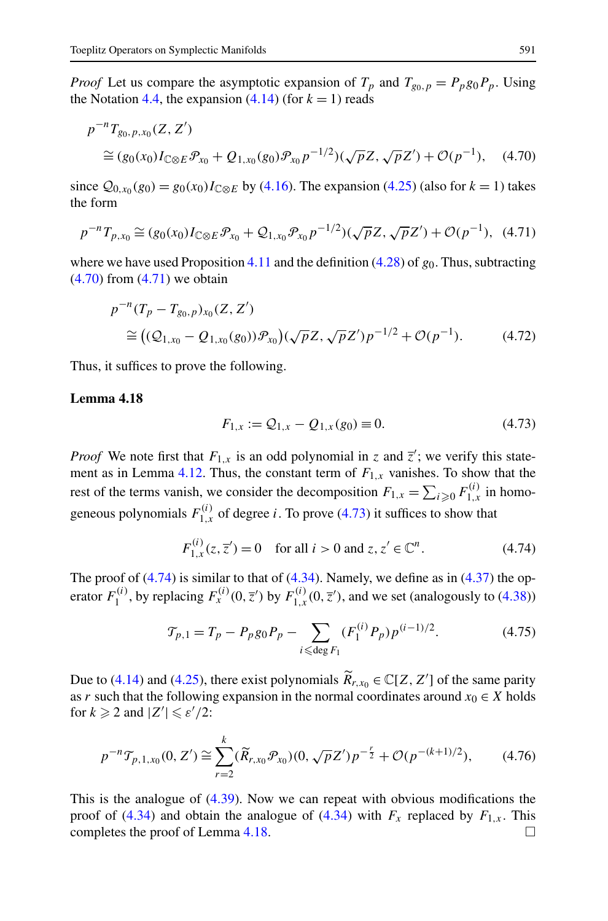<span id="page-26-0"></span>*Proof* Let us compare the asymptotic expansion of  $T_p$  and  $T_{g_0,p} = P_p g_0 P_p$ . Using the Notation [4.4](#page-16-0), the expansion  $(4.14)$  $(4.14)$  (for  $k = 1$ ) reads

$$
p^{-n}T_{g_0, p, x_0}(Z, Z')
$$
  
\n
$$
\cong (g_0(x_0)I_{\mathbb{C}\otimes E}\mathcal{P}_{x_0} + Q_{1, x_0}(g_0)\mathcal{P}_{x_0}p^{-1/2})(\sqrt{p}Z, \sqrt{p}Z') + \mathcal{O}(p^{-1}), \quad (4.70)
$$

since  $Q_{0,x_0}(g_0) = g_0(x_0)I_{\mathbb{C}\otimes E}$  by [\(4.16](#page-17-0)). The expansion [\(4.25\)](#page-19-0) (also for  $k = 1$ ) takes the form

$$
p^{-n}T_{p,x_0} \cong (g_0(x_0)I_{\mathbb{C}\otimes E}\mathcal{P}_{x_0} + \mathcal{Q}_{1,x_0}\mathcal{P}_{x_0}p^{-1/2})(\sqrt{p}Z, \sqrt{p}Z') + \mathcal{O}(p^{-1}), \tag{4.71}
$$

where we have used Proposition [4.11](#page-20-0) and the definition  $(4.28)$  $(4.28)$  of  $g<sub>0</sub>$ . Thus, subtracting  $(4.70)$  from  $(4.71)$  we obtain

$$
p^{-n}(T_p - T_{g_0, p})_{x_0}(Z, Z')
$$
  
\n
$$
\cong ((Q_{1, x_0} - Q_{1, x_0}(g_0))\mathcal{P}_{x_0})(\sqrt{p}Z, \sqrt{p}Z')p^{-1/2} + \mathcal{O}(p^{-1}).
$$
\n(4.72)

Thus, it suffices to prove the following.

#### **Lemma 4.18**

$$
F_{1,x} := \mathcal{Q}_{1,x} - \mathcal{Q}_{1,x}(g_0) \equiv 0. \tag{4.73}
$$

*Proof* We note first that  $F_{1,x}$  is an odd polynomial in *z* and  $\overline{z}'$ ; we verify this state-ment as in Lemma [4.12](#page-20-0). Thus, the constant term of  $F_{1,x}$  vanishes. To show that the rest of the terms vanish, we consider the decomposition  $F_{1,x} = \sum_{i \ge 0} F_{1,x}^{(i)}$  in homogeneous polynomials  $F_{1,x}^{(i)}$  of degree *i*. To prove (4.73) it suffices to show that

$$
F_{1,x}^{(i)}(z, \overline{z}') = 0 \quad \text{for all } i > 0 \text{ and } z, z' \in \mathbb{C}^n. \tag{4.74}
$$

The proof of  $(4.74)$  is similar to that of  $(4.34)$ . Namely, we define as in  $(4.37)$  $(4.37)$  $(4.37)$  the operator  $F_1^{(i)}$ , by replacing  $F_x^{(i)}(0, \overline{z}')$  by  $F_{1,x}^{(i)}(0, \overline{z}')$ , and we set (analogously to [\(4.38\)](#page-21-0))

$$
\mathcal{T}_{p,1} = T_p - P_p g_0 P_p - \sum_{i \leqslant \text{deg } F_1} (F_1^{(i)} P_p) p^{(i-1)/2}.
$$
 (4.75)

Due to [\(4.14\)](#page-17-0) and ([4.25](#page-19-0)), there exist polynomials  $\widetilde{R}_{r,x_0} \in \mathbb{C}[Z, Z']$  of the same parity of  $r$ , can be following expansion in the normal coordinates ground  $r \in X$  holds as *r* such that the following expansion in the normal coordinates around  $x_0 \in X$  holds for  $k \geqslant 2$  and  $|Z'| \leqslant \varepsilon'/2$ :

$$
p^{-n} \mathcal{T}_{p,1,x_0}(0,Z') \cong \sum_{r=2}^k (\widetilde{R}_{r,x_0} \mathcal{P}_{x_0})(0,\sqrt{p}Z')p^{-\frac{r}{2}} + \mathcal{O}(p^{-(k+1)/2}),\tag{4.76}
$$

This is the analogue of [\(4.39\)](#page-21-0). Now we can repeat with obvious modifications the proof of ([4.34\)](#page-20-0) and obtain the analogue of ([4.34](#page-20-0)) with  $F_x$  replaced by  $F_{1,x}$ . This completes the proof of Lemma 4.18.  $\Box$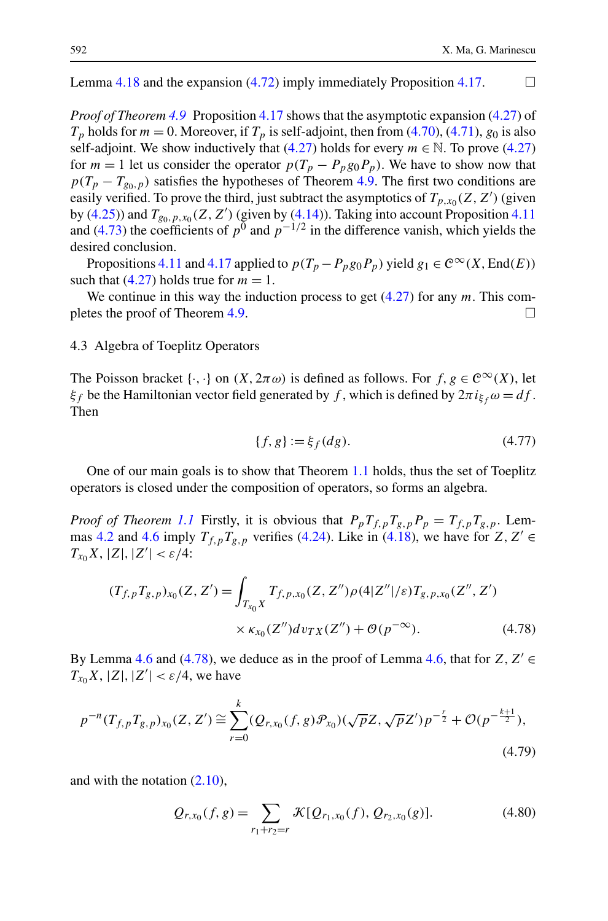<span id="page-27-0"></span>Lemma [4.18](#page-26-0) and the expansion [\(4.72\)](#page-26-0) imply immediately Proposition [4.17](#page-25-0).  $\Box$ 

*Proof of Theorem [4.9](#page-19-0)* Proposition [4.17](#page-25-0) shows that the asymptotic expansion [\(4.27\)](#page-19-0) of  $T_p$  holds for  $m = 0$ . Moreover, if  $T_p$  is self-adjoint, then from [\(4.70\)](#page-26-0), ([4.71](#page-26-0)),  $g_0$  is also self-adjoint. We show inductively that  $(4.27)$  holds for every  $m \in \mathbb{N}$ . To prove  $(4.27)$  $(4.27)$  $(4.27)$ for  $m = 1$  let us consider the operator  $p(T_p - P_p g_0 P_p)$ . We have to show now that  $p(T_p - T_{g_0, p})$  satisfies the hypotheses of Theorem [4.9.](#page-19-0) The first two conditions are easily verified. To prove the third, just subtract the asymptotics of  $T_{p,x_0}(Z, Z')$  (given by [\(4.25\)](#page-19-0)) and  $T_{g_0, p, x_0}(Z, Z')$  (given by [\(4.14\)](#page-17-0)). Taking into account Proposition [4.11](#page-20-0) and ([4.73](#page-26-0)) the coefficients of  $p^0$  and  $p^{-1/2}$  in the difference vanish, which yields the desired conclusion.

Propositions [4.11](#page-20-0) and [4.17](#page-25-0) applied to  $p(T_p - P_p g_0 P_p)$  yield  $g_1 \in C^\infty(X, \text{End}(E))$ such that  $(4.27)$  holds true for  $m = 1$ .

We continue in this way the induction process to get ([4.27](#page-19-0)) for any *m*. This com-pletes the proof of Theorem [4.9.](#page-19-0)

# 4.3 Algebra of Toeplitz Operators

The Poisson bracket  $\{\cdot, \cdot\}$  on  $(X, 2\pi \omega)$  is defined as follows. For  $f, g \in C^{\infty}(X)$ , let *ξ<sub>f</sub>* be the Hamiltonian vector field generated by *f*, which is defined by  $2\pi i_{\xi}$   $\omega = df$ . Then

$$
\{f, g\} := \xi_f(dg). \tag{4.77}
$$

One of our main goals is to show that Theorem [1.1](#page-3-0) holds, thus the set of Toeplitz operators is closed under the composition of operators, so forms an algebra.

*Proof of Theorem [1.1](#page-3-0)* Firstly, it is obvious that  $P_p T_{f,p} T_{g,p} P_p = T_{f,p} T_{g,p}$ . Lem-mas [4.2](#page-16-0) and [4.6](#page-17-0) imply  $T_{f,p}T_{g,p}$  verifies [\(4.24\)](#page-19-0). Like in ([4.18](#page-18-0)), we have for  $Z, Z' \in$ *T<sub>x*<sup>0</sup></sub>X, |*Z*|*,*|*Z'*| < *ε*/4:

$$
(T_{f,p}T_{g,p})_{x_0}(Z,Z') = \int_{T_{x_0}X} T_{f,p,x_0}(Z,Z'')\rho(4|Z''|/\varepsilon)T_{g,p,x_0}(Z'',Z')
$$
  
 
$$
\times \kappa_{x_0}(Z'')d\nu_{TX}(Z'') + \mathcal{O}(p^{-\infty}).
$$
 (4.78)

By Lemma [4.6](#page-17-0) and (4.78), we deduce as in the proof of Lemma 4.6, that for  $Z, Z' \in$  $T_{x_0}X$ ,  $|Z|, |Z'| < \varepsilon/4$ , we have

$$
p^{-n}(T_{f,p}T_{g,p})_{x_0}(Z,Z') \cong \sum_{r=0}^k (Q_{r,x_0}(f,g)\mathcal{P}_{x_0})(\sqrt{p}Z,\sqrt{p}Z')p^{-\frac{r}{2}} + \mathcal{O}(p^{-\frac{k+1}{2}}),
$$
\n(4.79)

and with the notation [\(2.10](#page-6-0)),

$$
Q_{r,x_0}(f,g) = \sum_{r_1+r_2=r} \mathcal{K}[Q_{r_1,x_0}(f), Q_{r_2,x_0}(g)].
$$
\n(4.80)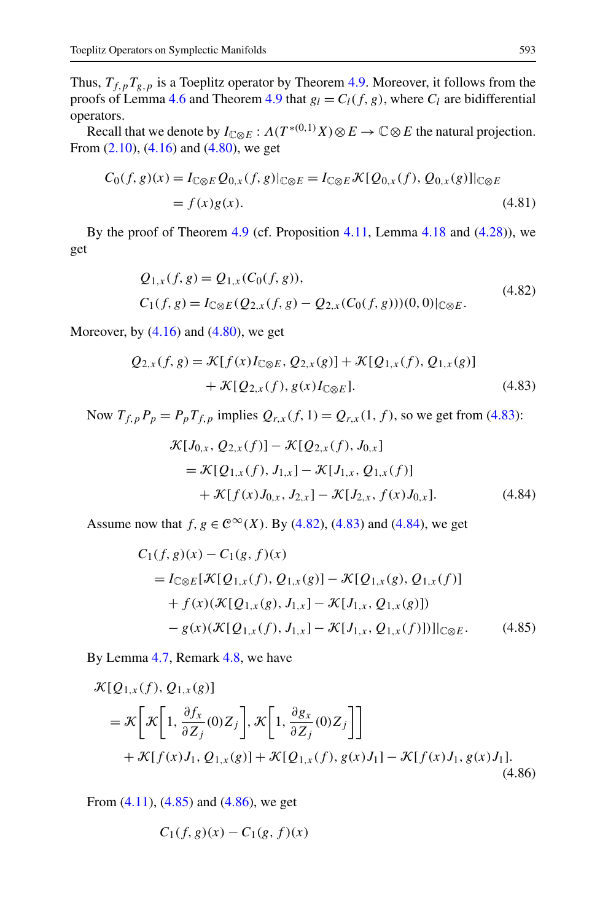<span id="page-28-0"></span>Thus,  $T_{f,p}T_{g,p}$  is a Toeplitz operator by Theorem [4.9](#page-19-0). Moreover, it follows from the proofs of Lemma [4.6](#page-17-0) and Theorem [4.9](#page-19-0) that  $g_l = C_l(f, g)$ , where  $C_l$  are bidifferential operators.

Recall that we denote by  $I_{\mathbb{C}\otimes E}: \Lambda(T^{*(0,1)}X)\otimes E\to \mathbb{C}\otimes E$  the natural projection. From  $(2.10)$ ,  $(4.16)$  and  $(4.80)$  $(4.80)$  $(4.80)$ , we get

$$
C_0(f, g)(x) = I_{\mathbb{C}\otimes E} Q_{0,x}(f, g)|_{\mathbb{C}\otimes E} = I_{\mathbb{C}\otimes E} \mathcal{K}[Q_{0,x}(f), Q_{0,x}(g)]|_{\mathbb{C}\otimes E}
$$
  
=  $f(x)g(x).$  (4.81)

By the proof of Theorem  $4.9$  (cf. Proposition  $4.11$ , Lemma  $4.18$  and  $(4.28)$ ), we get

$$
Q_{1,x}(f,g) = Q_{1,x}(C_0(f,g)),
$$
  
\n
$$
C_1(f,g) = I_{\mathbb{C}\otimes E}(Q_{2,x}(f,g) - Q_{2,x}(C_0(f,g)))(0,0)|_{\mathbb{C}\otimes E}.
$$
\n(4.82)

Moreover, by  $(4.16)$  and  $(4.80)$  $(4.80)$  $(4.80)$ , we get

$$
Q_{2,x}(f,g) = \mathcal{K}[f(x)I_{\mathbb{C}\otimes E}, Q_{2,x}(g)] + \mathcal{K}[Q_{1,x}(f), Q_{1,x}(g)]
$$
  
+  $\mathcal{K}[Q_{2,x}(f), g(x)I_{\mathbb{C}\otimes E}].$  (4.83)

Now  $T_{f,p}P_p = P_pT_{f,p}$  implies  $Q_{r,x}(f, 1) = Q_{r,x}(1, f)$ , so we get from (4.83):

$$
\mathcal{K}[J_{0,x}, Q_{2,x}(f)] - \mathcal{K}[Q_{2,x}(f), J_{0,x}]
$$
  
=  $\mathcal{K}[Q_{1,x}(f), J_{1,x}] - \mathcal{K}[J_{1,x}, Q_{1,x}(f)]$   
+  $\mathcal{K}[f(x)J_{0,x}, J_{2,x}] - \mathcal{K}[J_{2,x}, f(x)J_{0,x}].$  (4.84)

Assume now that  $f, g \in C^{\infty}(X)$ . By (4.82), (4.83) and (4.84), we get

$$
C_1(f, g)(x) - C_1(g, f)(x)
$$
  
=  $I_{\mathbb{C}\otimes E}[\mathcal{K}[Q_{1,x}(f), Q_{1,x}(g)] - \mathcal{K}[Q_{1,x}(g), Q_{1,x}(f)]$   
+  $f(x)(\mathcal{K}[Q_{1,x}(g), J_{1,x}] - \mathcal{K}[J_{1,x}, Q_{1,x}(g)])$   
-  $g(x)(\mathcal{K}[Q_{1,x}(f), J_{1,x}] - \mathcal{K}[J_{1,x}, Q_{1,x}(f)])\|_{\mathbb{C}\otimes E}$ . (4.85)

By Lemma [4.7](#page-18-0), Remark [4.8,](#page-19-0) we have

$$
\mathcal{K}[Q_{1,x}(f), Q_{1,x}(g)]
$$
\n
$$
= \mathcal{K}\bigg[\mathcal{K}\bigg[1, \frac{\partial f_x}{\partial Z_j}(0)Z_j\bigg], \mathcal{K}\bigg[1, \frac{\partial g_x}{\partial Z_j}(0)Z_j\bigg]\bigg]
$$
\n
$$
+ \mathcal{K}[f(x)J_1, Q_{1,x}(g)] + \mathcal{K}[Q_{1,x}(f), g(x)J_1] - \mathcal{K}[f(x)J_1, g(x)J_1].
$$
\n(4.86)

From [\(4.11\)](#page-17-0), (4.85) and (4.86), we get

$$
C_1(f,g)(x) - C_1(g,f)(x)
$$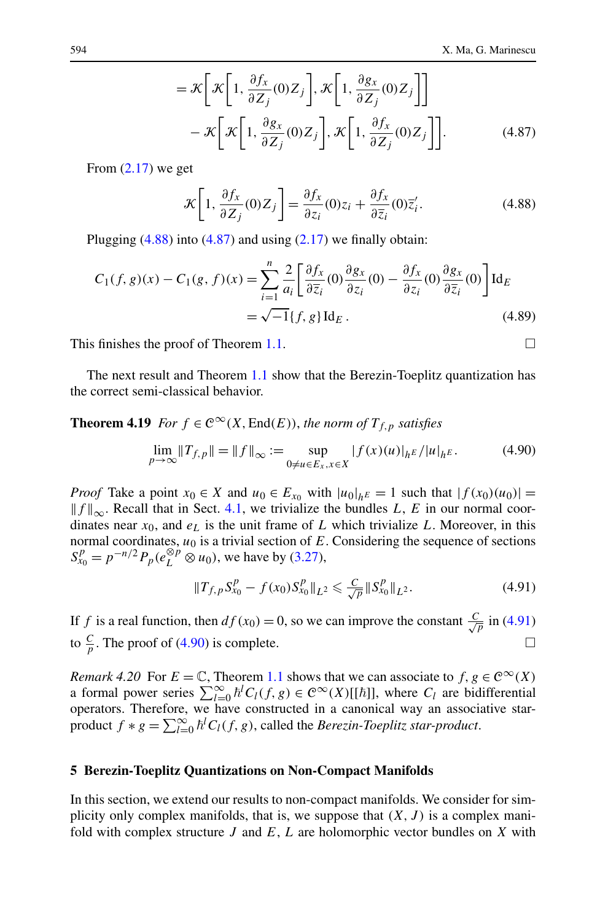$$
= \mathcal{K}\left[\mathcal{K}\left[1, \frac{\partial f_x}{\partial Z_j}(0)Z_j\right], \mathcal{K}\left[1, \frac{\partial g_x}{\partial Z_j}(0)Z_j\right]\right] - \mathcal{K}\left[\mathcal{K}\left[1, \frac{\partial g_x}{\partial Z_j}(0)Z_j\right], \mathcal{K}\left[1, \frac{\partial f_x}{\partial Z_j}(0)Z_j\right]\right].
$$
 (4.87)

<span id="page-29-0"></span>From  $(2.17)$  we get

$$
\mathcal{K}\left[1,\frac{\partial f_x}{\partial Z_j}(0)Z_j\right] = \frac{\partial f_x}{\partial z_i}(0)z_i + \frac{\partial f_x}{\partial \overline{z}_i}(0)\overline{z}'_i.
$$
 (4.88)

Plugging  $(4.88)$  into  $(4.87)$  and using  $(2.17)$  $(2.17)$  $(2.17)$  we finally obtain:

$$
C_1(f, g)(x) - C_1(g, f)(x) = \sum_{i=1}^n \frac{2}{a_i} \left[ \frac{\partial f_x}{\partial \overline{z}_i}(0) \frac{\partial g_x}{\partial z_i}(0) - \frac{\partial f_x}{\partial z_i}(0) \frac{\partial g_x}{\partial \overline{z}_i}(0) \right] \mathrm{Id}_E
$$
  
=  $\sqrt{-1} \{f, g\} \mathrm{Id}_E$ . (4.89)

This finishes the proof of Theorem [1.1](#page-3-0).

The next result and Theorem [1.1](#page-3-0) show that the Berezin-Toeplitz quantization has the correct semi-classical behavior.

**Theorem 4.19** *For*  $f \in C^{\infty}(X, \text{End}(E))$ *, the norm of*  $T_{f, p}$  *satisfies* 

$$
\lim_{p \to \infty} ||T_{f,p}|| = ||f||_{\infty} := \sup_{0 \neq u \in E_x, x \in X} |f(x)(u)|_{h^E} / |u|_{h^E}.
$$
 (4.90)

*Proof* Take a point  $x_0 \in X$  and  $u_0 \in E_{x_0}$  with  $|u_0|_{h^E} = 1$  such that  $|f(x_0)(u_0)| =$  $||f||_{\infty}$ *. Recall that in Sect. [4.1](#page-14-0), we trivialize the bundles <i>L*, *E* in our normal coordinates near  $x_0$ , and  $e_L$  is the unit frame of  $L$  which trivialize  $L$ . Moreover, in this normal coordinates,  $u_0$  is a trivial section of  $E$ . Considering the sequence of sections  $S_{x_0}^p = p^{-n/2} P_p(e_L^{\otimes p} \otimes u_0)$ , we have by ([3.27](#page-13-0)),

$$
||T_{f,p}S_{x_0}^p - f(x_0)S_{x_0}^p||_{L^2} \leq \frac{C}{\sqrt{p}}||S_{x_0}^p||_{L^2}.
$$
 (4.91)

If *f* is a real function, then  $df(x_0) = 0$ , so we can improve the constant  $\frac{C}{\sqrt{p}}$  in (4.91) to  $\frac{C}{p}$ . The proof of (4.90) is complete.

*Remark 4.20* For  $E = \mathbb{C}$ , Theorem [1.1](#page-3-0) shows that we can associate to  $f, g \in \mathbb{C}^{\infty}(X)$ a formal power series  $\sum_{l=0}^{\infty} \hbar^l C_l(f, g) \in C^{\infty}(X)[[\hbar]]$ , where  $C_l$  are bidifferential operators. Therefore, we have constructed in a canonical way an associative starproduct  $f * g = \sum_{l=0}^{\infty} \hbar^l C_l(f, g)$ , called the *Berezin-Toeplitz star-product*.

#### **5 Berezin-Toeplitz Quantizations on Non-Compact Manifolds**

In this section, we extend our results to non-compact manifolds. We consider for simplicity only complex manifolds, that is, we suppose that *(X,J)* is a complex manifold with complex structure *J* and *E*, *L* are holomorphic vector bundles on *X* with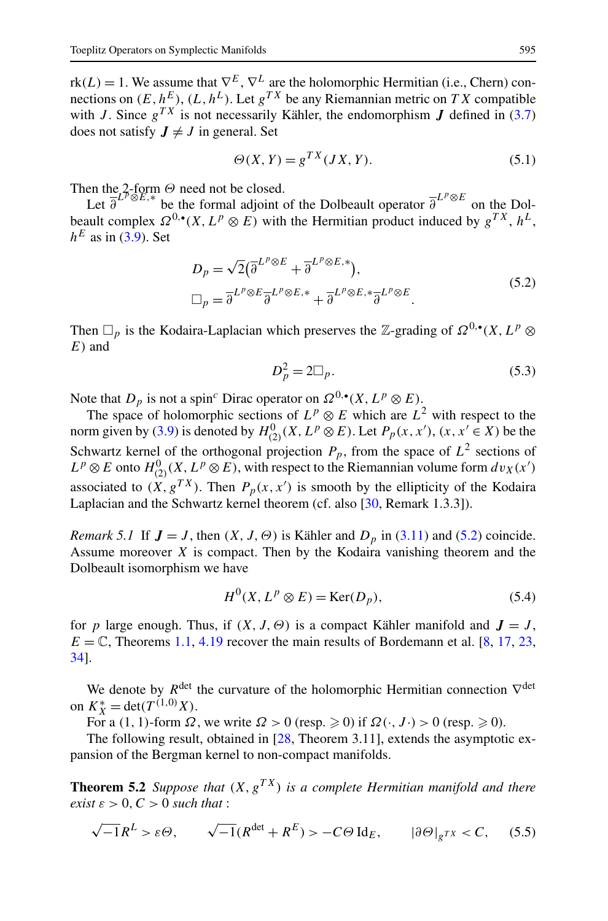<span id="page-30-0"></span> $rk(L) = 1$ . We assume that  $\nabla^{E}$ ,  $\nabla^{L}$  are the holomorphic Hermitian (i.e., Chern) connections on  $(E, h^E)$ ,  $(L, h^L)$ . Let  $g^{TX}$  be any Riemannian metric on *TX* compatible with *J*. Since  $g^{TX}$  is not necessarily Kähler, the endomorphism *J* defined in ([3.7](#page-9-0)) does not satisfy  $J \neq J$  in general. Set

$$
\Theta(X, Y) = g^{TX}(JX, Y). \tag{5.1}
$$

Then the 2-form *Θ* need not be closed.

Let  $\overline{\partial}^{L^p \otimes E,*}$  be the formal adjoint of the Dolbeault operator  $\overline{\partial}^{L^p \otimes E}$  on the Dolbeault complex  $\Omega^{0,\bullet}(X, L^p \otimes E)$  with the Hermitian product induced by  $g^{TX}, h^L$ ,  $h<sup>E</sup>$  as in ([3.9](#page-9-0)). Set

$$
D_p = \sqrt{2} (\overline{\partial}^{L^p \otimes E} + \overline{\partial}^{L^p \otimes E,*}),
$$
  
\n
$$
\Box_p = \overline{\partial}^{L^p \otimes E} \overline{\partial}^{L^p \otimes E,*} + \overline{\partial}^{L^p \otimes E,*} \overline{\partial}^{L^p \otimes E}.
$$
\n(5.2)

Then  $\Box_p$  is the Kodaira-Laplacian which preserves the Z-grading of  $\Omega^{0,\bullet}(X,L^p \otimes$ *E)* and

$$
D_p^2 = 2\square_p. \tag{5.3}
$$

Note that  $D_p$  is not a spin<sup>c</sup> Dirac operator on  $\Omega^{0,\bullet}(X, L^p \otimes E)$ .

The space of holomorphic sections of  $L^p \otimes E$  which are  $L^2$  with respect to the norm given by ([3.9\)](#page-9-0) is denoted by  $H_{(2)}^0(X, L^p \otimes E)$ . Let  $P_p(x, x')$ ,  $(x, x' \in X)$  be the Schwartz kernel of the orthogonal projection  $P_p$ , from the space of  $L^2$  sections of  $L^p \otimes E$  onto  $H^0_{(2)}(X, L^p \otimes E)$ , with respect to the Riemannian volume form  $dv_X(x')$ associated to  $(X, g^{TX})$ . Then  $P_p(x, x')$  is smooth by the ellipticity of the Kodaira Laplacian and the Schwartz kernel theorem (cf. also [[30,](#page-45-0) Remark 1.3.3]).

*Remark 5.1* If  $J = J$ , then  $(X, J, \Theta)$  is Kähler and  $D_p$  in [\(3.11\)](#page-10-0) and (5.2) coincide. Assume moreover *X* is compact. Then by the Kodaira vanishing theorem and the Dolbeault isomorphism we have

$$
H^{0}(X, L^{p} \otimes E) = \text{Ker}(D_{p}), \qquad (5.4)
$$

for *p* large enough. Thus, if  $(X, J, \Theta)$  is a compact Kähler manifold and  $J = J$ ,  $E = \mathbb{C}$ , Theorems [1.1,](#page-3-0) [4.19](#page-29-0) recover the main results of Bordemann et al. [\[8](#page-45-0), [17,](#page-45-0) [23](#page-45-0), [34\]](#page-46-0).

We denote by  $R^{\text{det}}$  the curvature of the holomorphic Hermitian connection  $\nabla^{\text{det}}$ on  $K_X^* = \det(T^{(1,0)}X)$ .

For a (1, 1)-form  $\Omega$ , we write  $\Omega > 0$  (resp.  $\geq 0$ ) if  $\Omega(\cdot, J \cdot) > 0$  (resp.  $\geq 0$ ).

The following result, obtained in [[28,](#page-45-0) Theorem 3.11], extends the asymptotic expansion of the Bergman kernel to non-compact manifolds.

**Theorem 5.2** *Suppose that*  $(X, g^{TX})$  *is a complete Hermitian manifold and there exist*  $\varepsilon > 0$ *, C > 0 such that*:

$$
\sqrt{-1}R^{L} > \varepsilon \Theta, \qquad \sqrt{-1}(R^{\det} + R^{E}) > -C\Theta \operatorname{Id}_{E}, \qquad |\partial \Theta|_{g^{TX}} < C, \qquad (5.5)
$$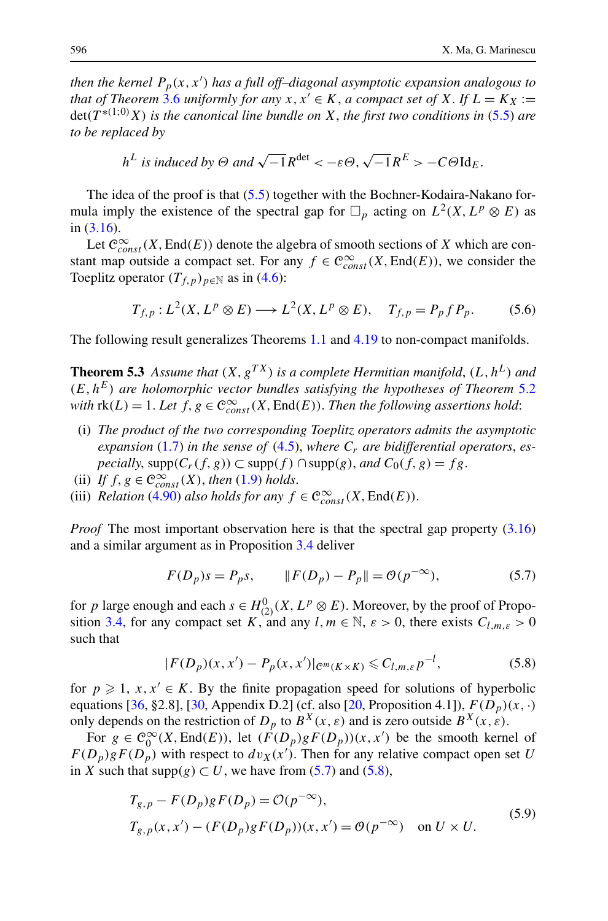<span id="page-31-0"></span>*then the kernel Pp(x,x ) has a full off–diagonal asymptotic expansion analogous to that of Theorem* [3.6](#page-12-0) *uniformly for any*  $x, x' \in K$ , *a compact set of*  $X$ . If  $L = K_X :=$ det*(T* <sup>∗</sup>*(*1;0*) X) is the canonical line bundle on X*, *the first two conditions in* [\(5.5\)](#page-30-0) *are to be replaced by*

$$
h^L
$$
 is induced by  $\Theta$  and  $\sqrt{-1}R^{\text{det}} < -\varepsilon \Theta$ ,  $\sqrt{-1}R^E > -C\Theta \text{Id}_E$ .

The idea of the proof is that [\(5.5\)](#page-30-0) together with the Bochner-Kodaira-Nakano formula imply the existence of the spectral gap for  $\Box_p$  acting on  $L^2(X, L^p \otimes E)$  as in [\(3.16\)](#page-10-0).

Let  $\mathcal{C}^{\infty}_{const}(X, \text{End}(E))$  denote the algebra of smooth sections of *X* which are constant map outside a compact set. For any  $f \in \mathcal{C}^{\infty}_{const}(X, \text{End}(E))$ , we consider the Toeplitz operator  $(T_{f,p})_{p \in \mathbb{N}}$  as in ([4.6](#page-15-0)):

$$
T_{f,p}: L^2(X, L^p \otimes E) \longrightarrow L^2(X, L^p \otimes E), \quad T_{f,p} = P_p f P_p. \tag{5.6}
$$

The following result generalizes Theorems [1.1](#page-3-0) and [4.19](#page-29-0) to non-compact manifolds.

**Theorem 5.3** Assume that  $(X, g^{TX})$  is a complete Hermitian manifold,  $(L, h^L)$  and  $(E, h^E)$  *are holomorphic vector bundles satisfying the hypotheses of Theorem* [5.2](#page-30-0) *with*  $\text{rk}(L) = 1$ . Let  $f, g \in \mathbb{C}^{\infty}_{const}(X, \text{End}(E))$ . *Then the following assertions hold*:

- (i) *The product of the two corresponding Toeplitz operators admits the asymptotic* expansion [\(1.7](#page-3-0)) in the sense of ([4.5](#page-15-0)), where  $C_r$  are bidifferential operators, es*pecially*,  $supp(C_r(f, g)) \subset supp(f) \cap supp(g)$ , *and*  $C_0(f, g) = fg$ .
- (ii) *If*  $f, g \in \mathcal{C}^{\infty}_{const}(X)$ , *then* ([1.9](#page-4-0)) *holds*.
- (iii) *Relation* [\(4.90\)](#page-29-0) *also holds for any*  $f \in \mathcal{C}^{\infty}_{const}(X, \text{End}(E))$ .

*Proof* The most important observation here is that the spectral gap property ([3.16](#page-10-0)) and a similar argument as in Proposition [3.4](#page-11-0) deliver

$$
F(D_p)s = P_p s, \t ||F(D_p) - P_p|| = \mathcal{O}(p^{-\infty}), \t (5.7)
$$

for *p* large enough and each  $s \in H_{(2)}^0(X, L^p \otimes E)$ . Moreover, by the proof of Propo-sition [3.4,](#page-11-0) for any compact set *K*, and any  $l, m \in \mathbb{N}, \varepsilon > 0$ , there exists  $C_{l,m,\varepsilon} > 0$ such that

$$
|F(D_p)(x, x') - P_p(x, x')|_{\mathcal{C}^m(K \times K)} \leq C_{l,m,\varepsilon} p^{-l},
$$
\n(5.8)

for  $p \ge 1$ ,  $x, x' \in K$ . By the finite propagation speed for solutions of hyperbolic equations [[36,](#page-46-0) §2.8], [\[30,](#page-45-0) Appendix D.2] (cf. also [[20,](#page-45-0) Proposition 4.1]),  $F(D_p)(x, \cdot)$ only depends on the restriction of  $D_p$  to  $B^X(x, \varepsilon)$  and is zero outside  $B^X(x, \varepsilon)$ .

For  $g \in C_0^{\infty}(X, \text{End}(E))$ , let  $(F(D_p)gF(D_p))(x, x')$  be the smooth kernel of  $F(D_p)gF(D_p)$  with respect to  $dv_X(x')$ . Then for any relative compact open set *U* in *X* such that supp $(g) \subset U$ , we have from (5.7) and (5.8),

$$
T_{g,p} - F(D_p)gF(D_p) = \mathcal{O}(p^{-\infty}),
$$
  
\n
$$
T_{g,p}(x, x') - (F(D_p)gF(D_p))(x, x') = \mathcal{O}(p^{-\infty}) \text{ on } U \times U.
$$
\n(5.9)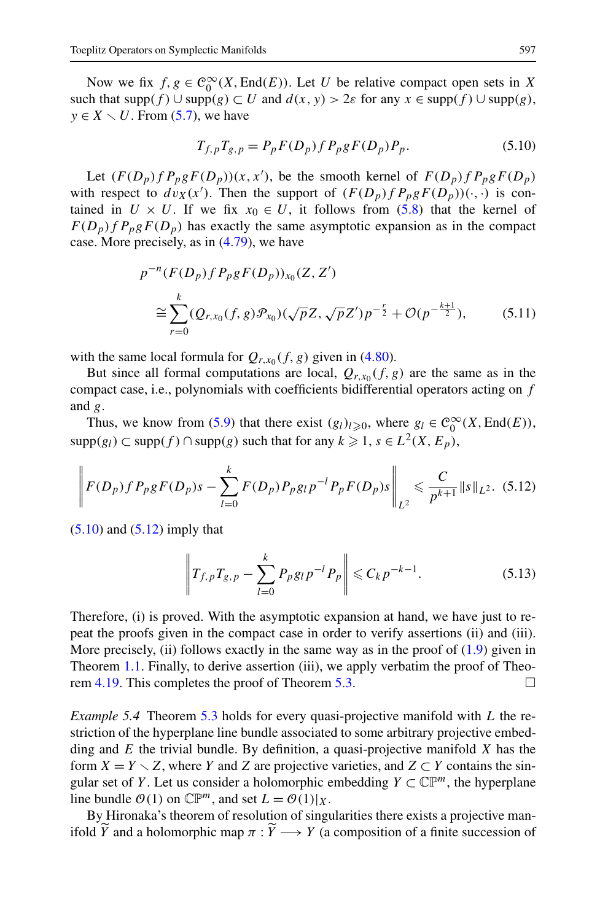Now we fix  $f, g \in C_0^{\infty}(X, \text{End}(E))$ . Let *U* be relative compact open sets in *X* such that  $supp(f) \cup supp(g) \subset U$  and  $d(x, y) > 2\varepsilon$  for any  $x \in supp(f) \cup supp(g)$ ,  $y \in X \setminus U$ . From ([5.7](#page-31-0)), we have

$$
T_{f,p}T_{g,p} = P_p F(D_p) f P_p g F(D_p) P_p.
$$
 (5.10)

Let  $(F(D_p)fP_pgF(D_p))(x,x')$ , be the smooth kernel of  $F(D_p)fP_pgF(D_p)$ with respect to  $dv_X(x')$ . Then the support of  $(F(D_p)fP_p gF(D_p))(\cdot, \cdot)$  is contained in  $U \times U$ . If we fix  $x_0 \in U$ , it follows from [\(5.8\)](#page-31-0) that the kernel of  $F(D_p)$  *f*  $P_p g F(D_p)$  has exactly the same asymptotic expansion as in the compact case. More precisely, as in ([4.79](#page-27-0)), we have

$$
p^{-n}(F(D_p) f P_p g F(D_p))_{x_0}(Z, Z')
$$
  
\n
$$
\approx \sum_{r=0}^k (Q_{r,x_0}(f, g) \mathcal{P}_{x_0})(\sqrt{p}Z, \sqrt{p}Z') p^{-\frac{r}{2}} + \mathcal{O}(p^{-\frac{k+1}{2}}),
$$
\n(5.11)

with the same local formula for  $Q_{r,x_0}(f,g)$  given in ([4.80](#page-27-0)).

But since all formal computations are local,  $Q_{r,x_0}(f,g)$  are the same as in the compact case, i.e., polynomials with coefficients bidifferential operators acting on *f* and *g*.

Thus, we know from [\(5.9\)](#page-31-0) that there exist  $(g_l)_{l\geqslant0}$ , where  $g_l \in C_0^{\infty}(X, \text{End}(E))$ , supp $(g_l)$  ⊂ supp $(f)$  ∩ supp $(g)$  such that for any  $k \ge 1$ ,  $s \in L^2(X, E_p)$ ,

$$
\left\| F(D_p) f P_p g F(D_p) s - \sum_{l=0}^k F(D_p) P_p g_l p^{-l} P_p F(D_p) s \right\|_{L^2} \leq \frac{C}{p^{k+1}} \| s \|_{L^2}.
$$
 (5.12)

 $(5.10)$  and  $(5.12)$  imply that

$$
\left\| T_{f,p} T_{g,p} - \sum_{l=0}^{k} P_{p} g_l p^{-l} P_p \right\| \leqslant C_k p^{-k-1}.
$$
 (5.13)

Therefore, (i) is proved. With the asymptotic expansion at hand, we have just to repeat the proofs given in the compact case in order to verify assertions (ii) and (iii). More precisely, (ii) follows exactly in the same way as in the proof of  $(1.9)$  $(1.9)$  $(1.9)$  given in Theorem [1.1.](#page-3-0) Finally, to derive assertion (iii), we apply verbatim the proof of Theo-rem [4.19](#page-29-0). This completes the proof of Theorem [5.3.](#page-31-0)  $\Box$ 

*Example 5.4* Theorem [5.3](#page-31-0) holds for every quasi-projective manifold with *L* the restriction of the hyperplane line bundle associated to some arbitrary projective embedding and *E* the trivial bundle. By definition, a quasi-projective manifold *X* has the form  $X = Y \setminus Z$ , where *Y* and *Z* are projective varieties, and  $Z \subset Y$  contains the singular set of *Y*. Let us consider a holomorphic embedding  $Y \subset \mathbb{CP}^m$ , the hyperplane line bundle  $O(1)$  on  $\mathbb{CP}^m$ , and set  $L = O(1)|_X$ .

By Hironaka's theorem of resolution of singularities there exists a projective manifold *Y* and a holomorphic map  $\pi : Y \longrightarrow Y$  (a composition of a finite succession of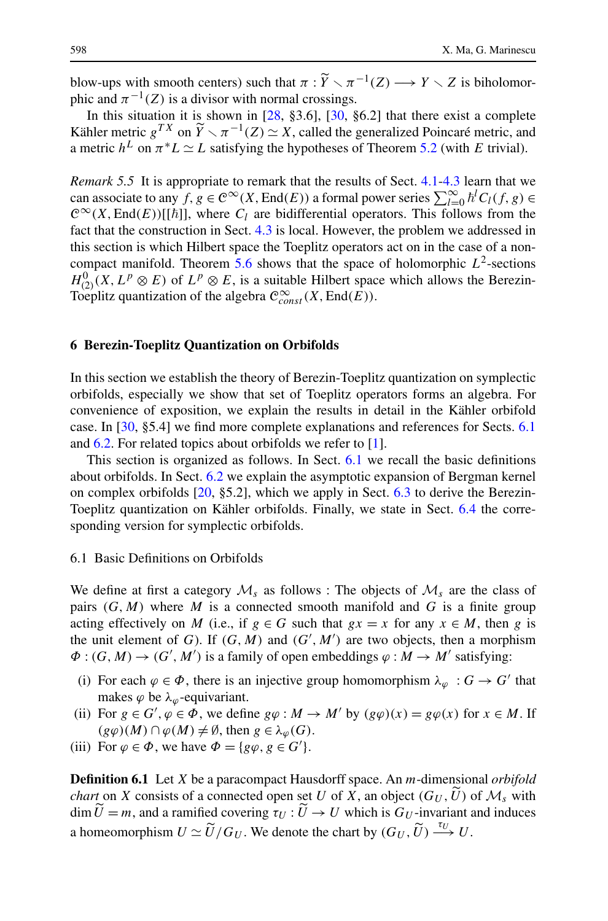<span id="page-33-0"></span>blow-ups with smooth centers) such that  $\pi : \tilde{Y} \setminus \pi^{-1}(Z) \longrightarrow Y \setminus Z$  is biholomor-<br>phic and  $\pi^{-1}(Z)$  is a divisor with pormal crossings phic and  $\pi^{-1}(Z)$  is a divisor with normal crossings.

In this situation it is shown in  $[28, §3.6]$  $[28, §3.6]$ ,  $[30, §6.2]$  $[30, §6.2]$  that there exist a complete Kähler metric  $g^{TX}$  on  $\widetilde{Y} \setminus \pi^{-1}(Z) \simeq X$ , called the generalized Poincaré metric, and  $\pi$  and  $\widetilde{Y} \sim I$  satisfying the hypotheses of Theorem 5.2 (with *F* trivial) a metric  $h^L$  on  $\pi^* L \simeq L$  satisfying the hypotheses of Theorem [5.2](#page-30-0) (with *E* trivial).

*Remark 5.5* It is appropriate to remark that the results of Sect. [4.1](#page-14-0)[-4.3](#page-27-0) learn that we can associate to any  $f, g \in C^{\infty}(X, \text{End}(E))$  a formal power series  $\sum_{l=0}^{\infty} \hbar^l C_l(f, g) \in$  $C^{\infty}(X, \text{End}(E))[[\hbar]]$ , where  $C_l$  are bidifferential operators. This follows from the fact that the construction in Sect. [4.3](#page-27-0) is local. However, the problem we addressed in this section is which Hilbert space the Toeplitz operators act on in the case of a non-compact manifold. Theorem [5.6](#page-31-0) shows that the space of holomorphic  $L^2$ -sections  $H^0_{(2)}(X,L^p\otimes E)$  of  $L^p\otimes E$ , is a suitable Hilbert space which allows the Berezin-Toeplitz quantization of the algebra  $\mathcal{C}^{\infty}_{const}(X, \text{End}(E))$ .

#### **6 Berezin-Toeplitz Quantization on Orbifolds**

In this section we establish the theory of Berezin-Toeplitz quantization on symplectic orbifolds, especially we show that set of Toeplitz operators forms an algebra. For convenience of exposition, we explain the results in detail in the Kähler orbifold case. In [\[30](#page-45-0), §5.4] we find more complete explanations and references for Sects. 6.1 and [6.2](#page-36-0). For related topics about orbifolds we refer to [\[1](#page-44-0)].

This section is organized as follows. In Sect. 6.1 we recall the basic definitions about orbifolds. In Sect. [6.2](#page-36-0) we explain the asymptotic expansion of Bergman kernel on complex orbifolds  $[20, §5.2]$  $[20, §5.2]$ , which we apply in Sect. [6.3](#page-39-0) to derive the Berezin-Toeplitz quantization on Kähler orbifolds. Finally, we state in Sect. [6.4](#page-43-0) the corresponding version for symplectic orbifolds.

#### 6.1 Basic Definitions on Orbifolds

We define at first a category  $\mathcal{M}_s$  as follows : The objects of  $\mathcal{M}_s$  are the class of pairs  $(G, M)$  where M is a connected smooth manifold and G is a finite group acting effectively on *M* (i.e., if  $g \in G$  such that  $gx = x$  for any  $x \in M$ , then *g* is the unit element of *G*). If  $(G, M)$  and  $(G', M')$  are two objects, then a morphism  $\Phi$ :  $(G, M) \rightarrow (G', M')$  is a family of open embeddings  $\varphi : M \rightarrow M'$  satisfying:

- (i) For each  $\varphi \in \Phi$ , there is an injective group homomorphism  $\lambda_{\varphi}: G \to G'$  that makes  $\varphi$  be  $\lambda_{\varphi}$ -equivariant.
- (ii) For  $g \in G'$ ,  $\varphi \in \Phi$ , we define  $g\varphi : M \to M'$  by  $(g\varphi)(x) = g\varphi(x)$  for  $x \in M$ . If  $(g\varphi)(M) \cap \varphi(M) \neq \emptyset$ , then  $g \in \lambda_{\varphi}(G)$ .
- (iii) For  $\varphi \in \Phi$ , we have  $\Phi = \{g\varphi, g \in G'\}.$

**Definition 6.1** Let *X* be a paracompact Hausdorff space. An *m*-dimensional *orbifold chart* on *X* consists of a connected open set *U* of *X*, an object  $(G_U, U)$  of  $\mathcal{M}_s$  with dim  $U = m$ , and a ramified covering  $\tau_U : U \to U$  which is  $G_U$ -invariant and induces a homeomorphism  $U \simeq \widetilde{U}/G_U$ . We denote the chart by  $(G_U, \widetilde{U}) \xrightarrow{\tau_U} U$ .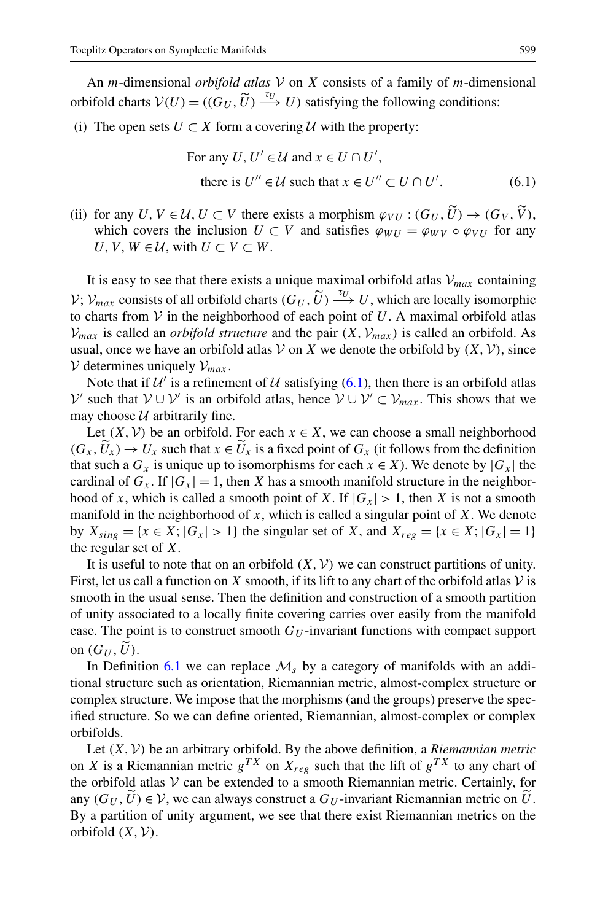An *m*-dimensional *orbifold atlas* V on *X* consists of a family of *m*-dimensional orbifold charts  $V(U) = ((G_U, \tilde{U}) \stackrel{\tau_U}{\longrightarrow} U)$  satisfying the following conditions:

(i) The open sets  $U \subset X$  form a covering  $U$  with the property:

For any 
$$
U, U' \in \mathcal{U}
$$
 and  $x \in U \cap U'$ ,  
there is  $U'' \in \mathcal{U}$  such that  $x \in U'' \subset U \cap U'$ . (6.1)

(ii) for any  $U, V \in \mathcal{U}, U \subset V$  there exists a morphism  $\varphi_{VU} : (G_U, \widetilde{U}) \to (G_V, \widetilde{V})$ . which covers the inclusion  $U \subset V$  and satisfies  $\varphi_{WII} = \varphi_{WV} \circ \varphi_{VII}$  for any *U*, *V*, *W* ∈ *U*, with *U* ⊂ *V* ⊂ *W*.

It is easy to see that there exists a unique maximal orbifold atlas  $V_{max}$  containing  $V$ ;  $V_{max}$  consists of all orbifold charts  $(G_U, \tilde{U}) \stackrel{\tau_U}{\longrightarrow} U$ , which are locally isomorphic to charts from  $V$  in the neighborhood of each point of  $U$ . A maximal orbifold atlas  $V_{max}$  is called an *orbifold structure* and the pair  $(X, V_{max})$  is called an orbifold. As usual, once we have an orbifold atlas  $V$  on  $X$  we denote the orbifold by  $(X, V)$ , since  $V$  determines uniquely  $V_{max}$ .

Note that if  $U'$  is a refinement of U satisfying (6.1), then there is an orbifold atlas  $V'$  such that  $V \cup V'$  is an orbifold atlas, hence  $V \cup V' \subset V_{max}$ . This shows that we may choose  $U$  arbitrarily fine.

Let  $(X, V)$  be an orbifold. For each  $x \in X$ , we can choose a small neighborhood  $(G_x, U_x) \to U_x$  such that  $x \in U_x$  is a fixed point of  $G_x$  (it follows from the definition<br>that such a  $G_x$  is unique up to isomorphisms for each  $x \in Y$ ). We denote by  $|G_x|$  the that such a  $G_x$  is unique up to isomorphisms for each  $x \in X$ ). We denote by  $|G_x|$  the cardinal of  $G_x$ . If  $|G_x| = 1$ , then *X* has a smooth manifold structure in the neighborhood of *x*, which is called a smooth point of *X*. If  $|G_x| > 1$ , then *X* is not a smooth manifold in the neighborhood of *x*, which is called a singular point of *X*. We denote by  $X_{sing} = \{x \in X; |G_x| > 1\}$  the singular set of X, and  $X_{reg} = \{x \in X; |G_x| = 1\}$ the regular set of *X*.

It is useful to note that on an orbifold  $(X, V)$  we can construct partitions of unity. First, let us call a function on X smooth, if its lift to any chart of the orbifold atlas  $\mathcal V$  is smooth in the usual sense. Then the definition and construction of a smooth partition of unity associated to a locally finite covering carries over easily from the manifold case. The point is to construct smooth  $G_U$ -invariant functions with compact support on  $(G_U, \widetilde{U})$ .

In Definition [6.1](#page-33-0) we can replace  $\mathcal{M}_s$  by a category of manifolds with an additional structure such as orientation, Riemannian metric, almost-complex structure or complex structure. We impose that the morphisms (and the groups) preserve the specified structure. So we can define oriented, Riemannian, almost-complex or complex orbifolds.

Let  $(X, V)$  be an arbitrary orbifold. By the above definition, a *Riemannian metric* on *X* is a Riemannian metric  $g^{TX}$  on  $X_{reg}$  such that the lift of  $g^{TX}$  to any chart of the orbifold atlas  $V$  can be extended to a smooth Riemannian metric. Certainly, for any  $(G_U, U) \in V$ , we can always construct a  $G_U$ -invariant Riemannian metric on *U*. By a partition of unity argument, we see that there exist Riemannian metrics on the orbifold  $(X, V)$ .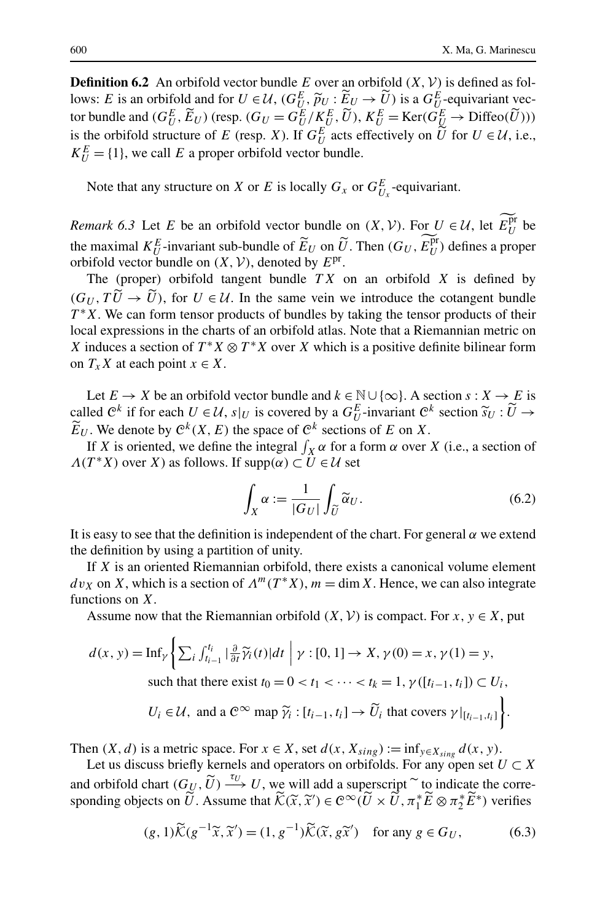<span id="page-35-0"></span>**Definition 6.2** An orbifold vector bundle *E* over an orbifold  $(X, V)$  is defined as follows: *E* is an orbifold and for  $U \in \mathcal{U}$ ,  $(G_U^E, \widetilde{p}_U : \widetilde{E}_U \to \widetilde{U})$  is a  $G_U^E$ -equivariant vector bundle and  $(G_E^E, \widetilde{E}_U)$  (resp.  $(G_U = G_E^E / K^E, \widetilde{U})$ )  $K^E = \text{Ker}(G_E^E \to \text{Diffeo}(\widetilde{U})))$ tor bundle and  $(G_E^E, \widetilde{E}_U)$  (resp.  $(G_U = G_U^E / K_U^E, \widetilde{U})$ ),  $K_U^E = \text{Ker}(G_U^E \to \text{Diffeo}(\widetilde{U})))$ <br>is the orbifold structure of E (resp. X). If  $G_E^E$  ests of potivaly an U for  $U \subset U$  i.e. is the orbifold structure of *E* (resp. *X*). If  $G_U^E$  acts effectively on  $\tilde{U}$  for  $U \in \mathcal{U}$ , i.e.,  $V^E$  (1) we sell *E* a grappe orbifold vector hundle  $K_U^E = \{1\}$ , we call *E* a proper orbifold vector bundle.

Note that any structure on *X* or *E* is locally  $G_x$  or  $G_{U_x}^E$ -equivariant.

*Remark 6.3* Let *E* be an orbifold vector bundle on  $(X, V)$ . For  $U \in U$ , let  $E_U^{\text{pr}}$  be the maximal  $K_U^E$ -invariant sub-bundle of  $\widetilde{E}_U$  on  $\widetilde{U}$ . Then  $(G_U, E_U^{\text{pr}})$  defines a proper<br>orbifold vector bundle on  $(Y, \mathcal{V})$  denoted by  $F_{\text{pr}}$ orbifold vector bundle on  $(X, V)$ , denoted by  $E<sup>pr</sup>$ .

The (proper) orbifold tangent bundle *T X* on an orbifold *X* is defined by  $(G_U, TU \rightarrow U)$ , for  $U \in U$ . In the same vein we introduce the cotangent bundle  $T^*Y$ . We can form tensor products of bundles by taking the tensor products of their  $T^*X$ . We can form tensor products of bundles by taking the tensor products of their local expressions in the charts of an orbifold atlas. Note that a Riemannian metric on *X* induces a section of  $T^*X \otimes T^*X$  over *X* which is a positive definite bilinear form on  $T_x X$  at each point  $x \in X$ .

Let  $E \to X$  be an orbifold vector bundle and  $k \in \mathbb{N} \cup \{\infty\}$ . A section  $s : X \to E$  is called  $\mathbb{C}^k$  if for each  $U \in \mathcal{U}$ ,  $s|_U$  is covered by a  $G_U^E$ -invariant  $\mathbb{C}^k$  section  $\widetilde{s}_U : \widetilde{U} \to \widetilde{F}_U$ . We denote by  $\mathbb{C}^k(X, F)$  the space of  $\mathbb{C}^k$  sections of  $F$  on  $X$  $\widetilde{E}_U$ . We denote by  $C^k(X, E)$  the space of  $C^k$  sections of *E* on *X*.

If *X* is oriented, we define the integral  $\int_X \alpha$  for a form  $\alpha$  over *X* (i.e., a section of  $\Lambda(T^*X)$  over *X*) as follows. If  $supp(\alpha) \subset U \in \mathcal{U}$  set

$$
\int_X \alpha := \frac{1}{|G_U|} \int_{\widetilde{U}} \widetilde{\alpha}_U.
$$
\n(6.2)

It is easy to see that the definition is independent of the chart. For general *α* we extend the definition by using a partition of unity.

If *X* is an oriented Riemannian orbifold, there exists a canonical volume element  $dv_X$  on *X*, which is a section of  $\Lambda^m(T^*X)$ ,  $m = \dim X$ . Hence, we can also integrate functions on *X*.

Assume now that the Riemannian orbifold  $(X, V)$  is compact. For  $x, y \in X$ , put

$$
d(x, y) = \text{Inf}_{\gamma} \left\{ \sum_{i} \int_{t_{i-1}}^{t_i} |\frac{\partial}{\partial t} \widetilde{\gamma}_i(t)| dt \mid \gamma : [0, 1] \to X, \gamma(0) = x, \gamma(1) = y, \text{ such that there exist } t_0 = 0 < t_1 < \cdots < t_k = 1, \gamma([t_{i-1}, t_i]) \subset U_i, \ U_i \in \mathcal{U}, \text{ and a } \mathcal{C}^{\infty} \text{ map } \widetilde{\gamma}_i : [t_{i-1}, t_i] \to \widetilde{U}_i \text{ that covers } \gamma |_{[t_{i-1}, t_i]} \right\}.
$$

Then  $(X, d)$  is a metric space. For  $x \in X$ , set  $d(x, X_{sing}) := \inf_{y \in X_{sing}} d(x, y)$ .

Let us discuss briefly kernels and operators on orbifolds. For any open set  $U \subset X$ and orbifold chart  $(G_U, \widetilde{U}) \xrightarrow{\tau_U} U$ , we will add a superscript  $\widetilde{\phantom{a}}$  to indicate the corresponding objects on  $\widetilde{U}$ . Assume that  $\widetilde{\mathcal{K}}(\widetilde{x}, \widetilde{x}') \in C^{\infty}(\widetilde{U} \times \widetilde{U}, \pi_1^* \widetilde{E} \otimes \pi_2^* \widetilde{E}^*)$  verifies

$$
(g,1)\widetilde{\mathcal{K}}(g^{-1}\widetilde{x},\widetilde{x}') = (1,g^{-1})\widetilde{\mathcal{K}}(\widetilde{x},g\widetilde{x}') \quad \text{for any } g \in G_U,
$$
 (6.3)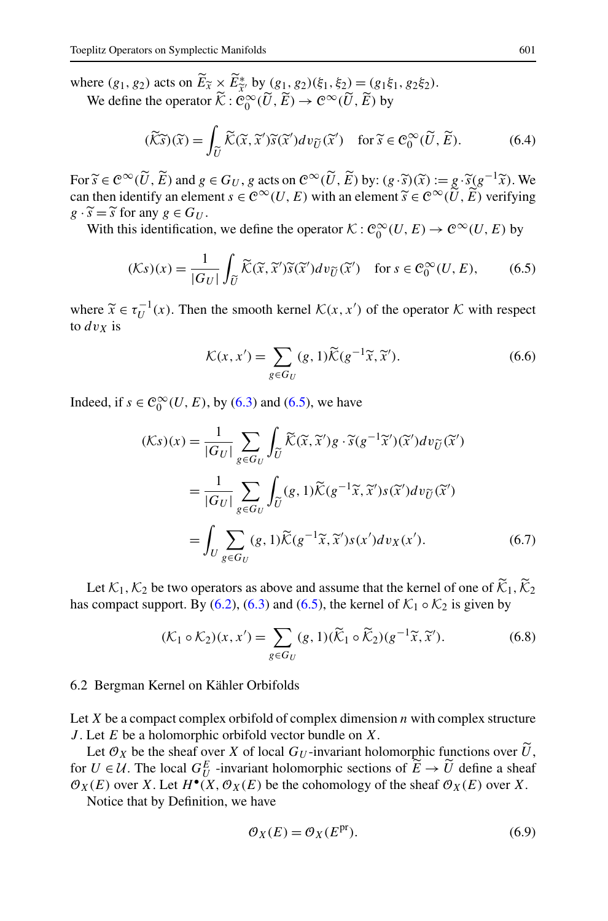<span id="page-36-0"></span>where  $(g_1, g_2)$  acts on  $\widetilde{E}_{\widetilde{X}} \times \widetilde{E}_{\widetilde{X}}^*$  by  $(g_1, g_2)(\xi_1, \xi_2) = (g_1 \xi_1, g_2 \xi_2)$ .<br>We define the operator  $\widetilde{K} : \mathcal{C}^\infty_\infty(\widetilde{U}, \widetilde{E}) \to \mathcal{C}^\infty(\widetilde{U}, \widetilde{E})$  by We define the operator  $\widetilde{\mathcal{K}}$  :  $\mathcal{C}_0^{\infty}(\widetilde{U}, \widetilde{E}) \to \mathcal{C}^{\infty}(\widetilde{U}, \widetilde{E})$  by

$$
(\widetilde{\mathcal{K}}\widetilde{s})(\widetilde{x}) = \int_{\widetilde{U}} \widetilde{\mathcal{K}}(\widetilde{x}, \widetilde{x}') \widetilde{s}(\widetilde{x}') d\upsilon_{\widetilde{U}}(\widetilde{x}') \quad \text{for } \widetilde{s} \in \mathcal{C}_0^{\infty}(\widetilde{U}, \widetilde{E}).
$$
 (6.4)

For  $\widetilde{s} \in \mathcal{C}^{\infty}(\widetilde{U}, \widetilde{E})$  and  $g \in G_U$ , *g* acts on  $\mathcal{C}^{\infty}(\widetilde{U}, \widetilde{E})$  by:  $(g \cdot \widetilde{s})(\widetilde{x}) := g \cdot \widetilde{s}(g^{-1}\widetilde{x})$ . We can then identify an element *s* ∈  $\mathcal{C}^{\infty}(U, E)$  with an element  $\widetilde{s} \in \mathcal{C}^{\infty}(\widetilde{U}, \widetilde{E})$  verifying  $g \cdot \widetilde{s} = \widetilde{s}$  for any  $g \in G_U$ .

*g* ·  $\tilde{s} = \tilde{s}$  for any *g* ∈ *G<sub>U</sub>*.<br>With this identification, we define the operator  $K : C_0^\infty(U, E) \to C^\infty(U, E)$  by

$$
(\mathcal{K}s)(x) = \frac{1}{|G_U|} \int_{\widetilde{U}} \widetilde{\mathcal{K}}(\widetilde{x}, \widetilde{x}') \widetilde{s}(\widetilde{x}') dv_{\widetilde{U}}(\widetilde{x}') \quad \text{for } s \in \mathcal{C}_0^{\infty}(U, E), \tag{6.5}
$$

where  $\tilde{x} \in \tau_U^{-1}(x)$ . Then the smooth kernel  $\mathcal{K}(x, x')$  of the operator  $\mathcal K$  with respect to  $\partial v \mathbf v$  is to  $dv_x$  is

$$
\mathcal{K}(x, x') = \sum_{g \in G_U} (g, 1) \widetilde{\mathcal{K}}(g^{-1}\widetilde{x}, \widetilde{x}'). \tag{6.6}
$$

Indeed, if  $s \in \mathcal{C}_0^{\infty}(U, E)$ , by [\(6.3\)](#page-35-0) and (6.5), we have

$$
(\mathcal{K}s)(x) = \frac{1}{|G_U|} \sum_{g \in G_U} \int_{\widetilde{U}} \widetilde{\mathcal{K}}(\widetilde{x}, \widetilde{x}')g \cdot \widetilde{s}(g^{-1}\widetilde{x}')(\widetilde{x}')dv_{\widetilde{U}}(\widetilde{x}') = \frac{1}{|G_U|} \sum_{g \in G_U} \int_{\widetilde{U}} (g, 1)\widetilde{\mathcal{K}}(g^{-1}\widetilde{x}, \widetilde{x}')s(\widetilde{x}')dv_{\widetilde{U}}(\widetilde{x}') = \int_U \sum_{g \in G_U} (g, 1)\widetilde{\mathcal{K}}(g^{-1}\widetilde{x}, \widetilde{x}')s(x')dv_X(x').
$$
(6.7)

Let  $\mathcal{K}_1, \mathcal{K}_2$  be two operators as above and assume that the kernel of one of  $\tilde{\mathcal{K}}_1, \tilde{\mathcal{K}}_2$ has compact support. By [\(6.2\)](#page-35-0), [\(6.3\)](#page-35-0) and (6.5), the kernel of  $K_1 \circ K_2$  is given by

$$
(\mathcal{K}_1 \circ \mathcal{K}_2)(x, x') = \sum_{g \in G_U} (g, 1)(\widetilde{\mathcal{K}}_1 \circ \widetilde{\mathcal{K}}_2)(g^{-1}\widetilde{x}, \widetilde{x}'). \tag{6.8}
$$

## 6.2 Bergman Kernel on Kähler Orbifolds

Let *X* be a compact complex orbifold of complex dimension *n* with complex structure *J* . Let *E* be a holomorphic orbifold vector bundle on *X*.

Let  $\mathcal{O}_X$  be the sheaf over *X* of local  $G_U$ -invariant holomorphic functions over *U*,  $U \subset \mathcal{U}$ . The local  $C^E$  -invariant holomorphic sections of  $\widetilde{F} \to \widetilde{U}$  define a sheaf for  $U \in \mathcal{U}$ . The local  $G_U^E$  -invariant holomorphic sections of  $\widetilde{E} \to \widetilde{U}$  define a sheaf  $\mathcal{O}_X(E)$  over *X*. Let  $H^{\bullet}(X, \mathcal{O}_X(E))$  be the cohomology of the sheaf  $\mathcal{O}_X(E)$  over *X*.

Notice that by Definition, we have

$$
\mathcal{O}_X(E) = \mathcal{O}_X(E^{\text{pr}}). \tag{6.9}
$$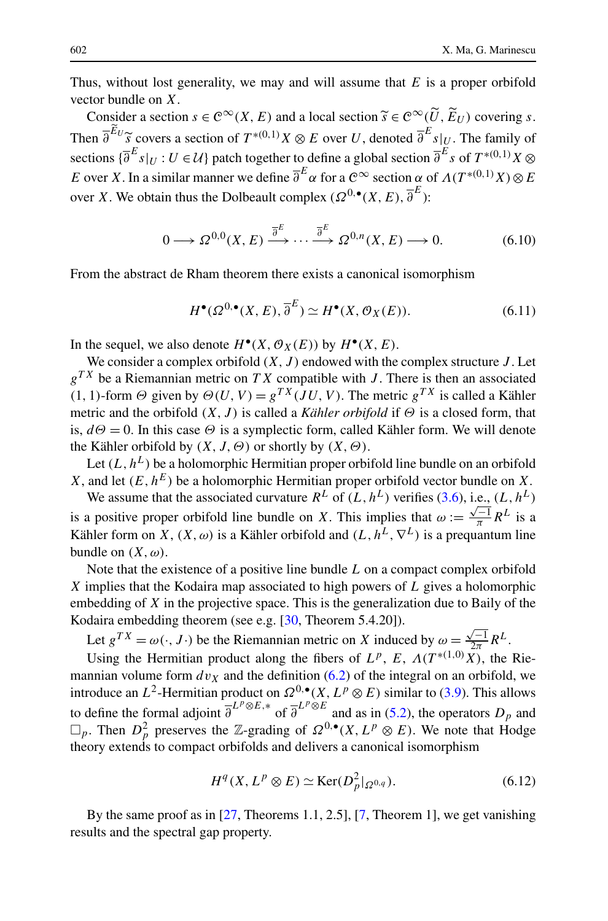<span id="page-37-0"></span>Thus, without lost generality, we may and will assume that *E* is a proper orbifold vector bundle on *X*.

Consider a section  $s \in \mathcal{C}^{\infty}(X, E)$  and a local section  $\widetilde{s} \in \mathcal{C}^{\infty}(\widetilde{U}, \widetilde{E}_U)$  covering *s*. Then  $\overline{\partial}^{E_{U}} \widetilde{s}$  covers a section of  $T^{*(0,1)}X \otimes E$  over *U*, denoted  $\overline{\partial}^{E} s|_{U}$ . The family of sections  $\overline{\partial}^{E} s|_{U}$ .  $H \in \mathcal{U}$  and  $H \in \mathcal{U}$  and  $H \in \mathcal{U}$  and  $H \otimes E$  and  $H \otimes E$  and  $\overline{\partial}^{E} s$ sections  $\{\overline{\partial}^E s|_U : U \in \mathcal{U}\}$  patch together to define a global section  $\overline{\partial}^E s$  of  $T^{*(0,1)}X \otimes$ *E* over *X*. In a similar manner we define  $\overline{\partial}^E \alpha$  for a  $\mathcal{C}^{\infty}$  section  $\alpha$  of  $\Lambda(T^{*(0,1)}X) \otimes E$ over *X*. We obtain thus the Dolbeault complex  $(\Omega^{0,\bullet}(X, E), \overline{\partial}^E)$ :

$$
0 \longrightarrow \Omega^{0,0}(X,E) \xrightarrow{\overline{\partial}^E} \cdots \xrightarrow{\overline{\partial}^E} \Omega^{0,n}(X,E) \longrightarrow 0. \tag{6.10}
$$

From the abstract de Rham theorem there exists a canonical isomorphism

$$
H^{\bullet}(\Omega^{0,\bullet}(X,E),\overline{\partial}^{E}) \simeq H^{\bullet}(X,\mathcal{O}_{X}(E)).
$$
\n(6.11)

In the sequel, we also denote  $H^{\bullet}(X, \mathcal{O}_X(E))$  by  $H^{\bullet}(X, E)$ .

We consider a complex orbifold  $(X, J)$  endowed with the complex structure  $J$ . Let  $g^{TX}$  be a Riemannian metric on *TX* compatible with *J*. There is then an associated  $(1, 1)$ -form *Θ* given by  $\Theta(U, V) = g^{TX}(JU, V)$ . The metric  $g^{TX}$  is called a Kähler metric and the orbifold  $(X, J)$  is called a *Kähler orbifold* if  $\Theta$  is a closed form, that is,  $d\Theta = 0$ . In this case  $\Theta$  is a symplectic form, called Kähler form. We will denote the Kähler orbifold by *(X,J,Θ)* or shortly by *(X,Θ)*.

Let  $(L, h^L)$  be a holomorphic Hermitian proper orbifold line bundle on an orbifold *X*, and let  $(E, h^E)$  be a holomorphic Hermitian proper orbifold vector bundle on *X*.

We assume that the associated curvature  $R^L$  of  $(L, h^L)$  verifies [\(3.6\)](#page-9-0), i.e.,  $(L, h^L)$ is a positive proper orbifold line bundle on *X*. This implies that  $\omega := \frac{\sqrt{-1}}{\pi} R^L$  is a Kähler form on *X*,  $(X, \omega)$  is a Kähler orbifold and  $(L, h^L, \nabla^L)$  is a prequantum line bundle on  $(X, \omega)$ .

Note that the existence of a positive line bundle *L* on a compact complex orbifold *X* implies that the Kodaira map associated to high powers of *L* gives a holomorphic embedding of *X* in the projective space. This is the generalization due to Baily of the Kodaira embedding theorem (see e.g. [[30,](#page-45-0) Theorem 5.4.20]).

Let  $g^{TX} = \omega(\cdot, J \cdot)$  be the Riemannian metric on *X* induced by  $\omega = \frac{\sqrt{-1}}{2\pi} R^L$ .

Using the Hermitian product along the fibers of  $L^p$ ,  $E$ ,  $\Lambda(T^{*(1,0)}X)$ , the Riemannian volume form  $dv<sub>X</sub>$  and the definition [\(6.2\)](#page-35-0) of the integral on an orbifold, we introduce an *L*<sup>2</sup>-Hermitian product on  $\Omega^{0,\bullet}(X,L^p\otimes E)$  similar to [\(3.9\)](#page-9-0). This allows to define the formal adjoint  $\overline{\partial}^{L^p \otimes E,*}$  of  $\overline{\partial}^{L^p \otimes E}$  and as in ([5.2](#page-30-0)), the operators  $D_p$  and  $□$ <sub>*p*</sub>. Then *D*<sup>2</sup><sub>*p*</sub> preserves the ℤ-grading of  $Ω^{0,\bullet}(X, L^p ⊗ E)$ . We note that Hodge theory extends to compact orbifolds and delivers a canonical isomorphism

$$
H^{q}(X, L^{p} \otimes E) \simeq \text{Ker}(D_{p}^{2}|_{\Omega^{0,q}}). \tag{6.12}
$$

By the same proof as in [[27,](#page-45-0) Theorems 1.1, 2.5], [[7,](#page-45-0) Theorem 1], we get vanishing results and the spectral gap property.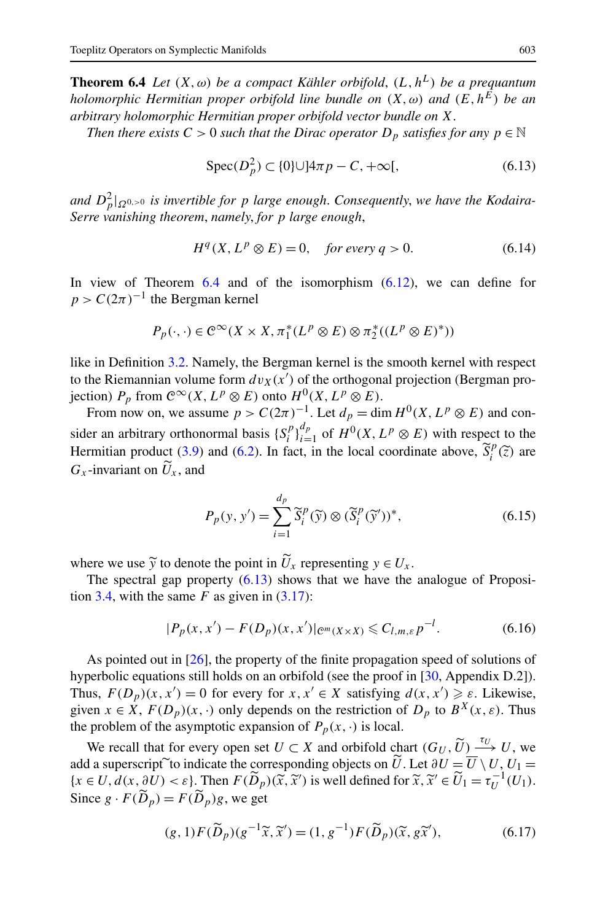<span id="page-38-0"></span>**Theorem 6.4** *Let*  $(X, \omega)$  *be a compact Kähler orbifold*,  $(L, h^L)$  *be a prequantum holomorphic Hermitian proper orbifold line bundle on*  $(X, \omega)$  *and*  $(E, h^E)$  *be an arbitrary holomorphic Hermitian proper orbifold vector bundle on X*.

*Then there exists*  $C > 0$  *such that the Dirac operator*  $D_p$  *satisfies for any*  $p \in \mathbb{N}$ 

$$
Spec(D_p^2) \subset \{0\} \cup ]4\pi p - C, +\infty[,
$$
\n(6.13)

 $\int_{p}^{2} |Q_{0}|^{2}$  *and*  $D_{p}^{2}|_{\Omega^{0}}$  *is invertible for p large enough. Consequently, we have the Kodaira-Serre vanishing theorem*, *namely*, *for p large enough*,

$$
H^{q}(X, L^{p} \otimes E) = 0, \quad \text{for every } q > 0. \tag{6.14}
$$

In view of Theorem 6.4 and of the isomorphism ([6.12](#page-37-0)), we can define for  $p > C(2\pi)^{-1}$  the Bergman kernel

$$
P_p(\cdot, \cdot) \in C^{\infty}(X \times X, \pi_1^*(L^p \otimes E) \otimes \pi_2^*((L^p \otimes E)^*))
$$

like in Definition [3.2.](#page-10-0) Namely, the Bergman kernel is the smooth kernel with respect to the Riemannian volume form  $dv_X(x')$  of the orthogonal projection (Bergman projection)  $P_p$  from  $C^{\infty}(X, L^p \otimes E)$  onto  $H^0(X, L^p \otimes E)$ .

From now on, we assume  $p > C(2\pi)^{-1}$ . Let  $d_p = \dim H^0(X, L^p \otimes E)$  and consider an arbitrary orthonormal basis  $\{S_i^p\}_{i=1}^{d_p}$  of  $H^0(X, L^p \otimes E)$  with respect to the Hermitian product [\(3.9\)](#page-9-0) and [\(6.2\)](#page-35-0). In fact, in the local coordinate above,  $\tilde{S}_i^p(\tilde{z})$  are  $G$  -invariant on  $\tilde{U}$  and  $G_x$ -invariant on  $U_x$ , and

$$
P_p(y, y') = \sum_{i=1}^{d_p} \widetilde{S}_i^p(\widetilde{y}) \otimes (\widetilde{S}_i^p(\widetilde{y}'))^*,
$$
\n(6.15)

where we use  $\widetilde{y}$  to denote the point in  $U_x$  representing  $y \in U_x$ .<br>The spectral gap property (6.13) shows that we have the

The spectral gap property  $(6.13)$  shows that we have the analogue of Proposi-tion [3.4](#page-11-0), with the same  $F$  as given in  $(3.17)$  $(3.17)$ :

$$
|P_p(x, x') - F(D_p)(x, x')|_{\mathcal{C}^m(X \times X)} \leq C_{l,m,\varepsilon} p^{-l}.
$$
 (6.16)

As pointed out in [\[26](#page-45-0)], the property of the finite propagation speed of solutions of hyperbolic equations still holds on an orbifold (see the proof in [\[30](#page-45-0), Appendix D.2]). Thus,  $F(D_p)(x, x') = 0$  for every for  $x, x' \in X$  satisfying  $d(x, x') \geq \varepsilon$ . Likewise, given  $x \in X$ ,  $F(D_p)(x, \cdot)$  only depends on the restriction of  $D_p$  to  $B^X(x, \varepsilon)$ . Thus the problem of the asymptotic expansion of  $P_p(x, \cdot)$  is local.

We recall that for every open set  $U \subset X$  and orbifold chart  $(G_U, \tilde{U}) \xrightarrow{\tau_U} U$ , we add a superscript to indicate the corresponding objects on *U*. Let  $\partial U = U \setminus U$ ,  $U_1 =$ <br> $\{x \in U, d(x, \partial U) \leq s\}$  Then  $F(\widetilde{D}_s)(\widetilde{x}, \widetilde{y}')$  is well defined for  $\widetilde{x}, \widetilde{y}' \in \widetilde{U}_1 = \tau_s^{-1}(U_1)$  $\{x \in U, d(x, \partial U) < \varepsilon\}$ . Then  $F(\widetilde{D}_p)(\widetilde{x}, \widetilde{x}')$  is well defined for  $\widetilde{x}, \widetilde{x}' \in \widetilde{U}_1 = \tau_U^{-1}(U_1)$ .<br>Since  $g \in F(\widetilde{D}_1) = F(\widetilde{D}_1)g$  we get Since  $g \cdot F(\widetilde{D}_p) = F(\widetilde{D}_p)g$ , we get

$$
(g,1)F(\widetilde{D}_p)(g^{-1}\widetilde{x},\widetilde{x}') = (1,g^{-1})F(\widetilde{D}_p)(\widetilde{x},g\widetilde{x}'),\tag{6.17}
$$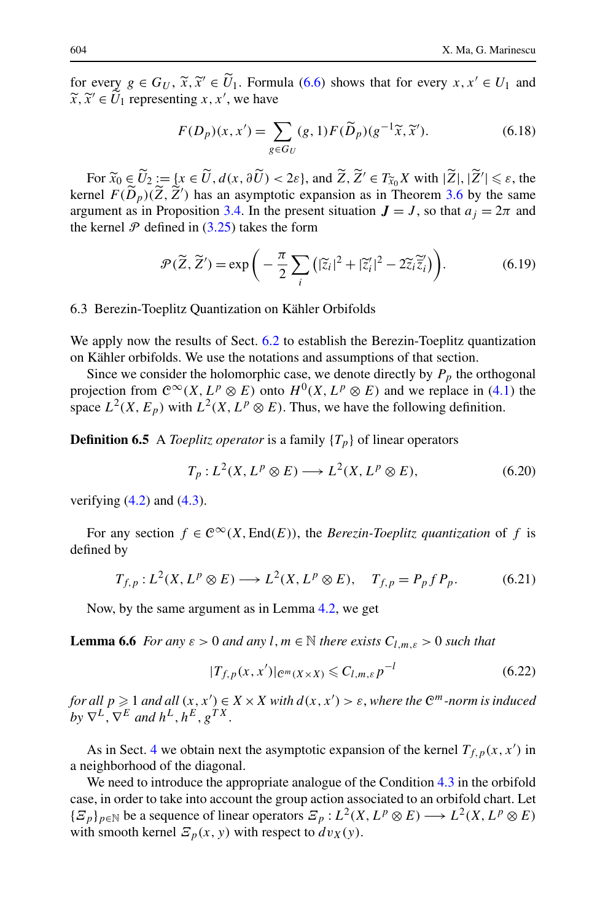<span id="page-39-0"></span>for every  $g \in G_U$ ,  $\tilde{x}, \tilde{x}' \in U_1$ . Formula ([6.6](#page-36-0)) shows that for every  $x, x' \in U_1$  and  $\tilde{x}, \tilde{x}' \in U_1$  representing  $x, x'$ , we have  $\widetilde{x}, \widetilde{x}' \in U_1$  representing *x*, *x'*, we have

$$
F(D_p)(x, x') = \sum_{g \in G_U} (g, 1) F(\widetilde{D}_p)(g^{-1}\widetilde{x}, \widetilde{x}').
$$
 (6.18)

For  $\widetilde{x}_0 \in U$ <br>nel  $F(\widetilde{D}_n)$  $\widetilde{U}_2 := \{x \in \widetilde{U}, d(x, \partial \widetilde{U}) < 2\varepsilon\}$ , and  $\widetilde{Z}, \widetilde{Z}' \in T_{\widetilde{X}_0}X$  with  $|\widetilde{Z}|, |\widetilde{Z}'| \leq \varepsilon$ , the kernel  $F(\tilde{D}_p)(\tilde{Z}, \tilde{Z}')$  has an asymptotic expansion as in Theorem [3.6](#page-12-0) by the same<br>expansion as in Proposition 3.4. In the present situation  $I = I$ , so that  $a_i = 2\pi$  and argument as in Proposition [3.4](#page-11-0). In the present situation  $J = J$ , so that  $a_j = 2\pi$  and the kernel  $P$  defined in ([3.25](#page-12-0)) takes the form

$$
\mathcal{P}(\widetilde{Z}, \widetilde{Z}') = \exp\bigg(-\frac{\pi}{2} \sum_{i} \big(|\widetilde{z}_i|^2 + |\widetilde{z}_i'|^2 - 2\widetilde{z}_i \widetilde{\overline{z}}_i'\bigg)\bigg). \tag{6.19}
$$

#### 6.3 Berezin-Toeplitz Quantization on Kähler Orbifolds

We apply now the results of Sect. [6.2](#page-36-0) to establish the Berezin-Toeplitz quantization on Kähler orbifolds. We use the notations and assumptions of that section.

Since we consider the holomorphic case, we denote directly by  $P_p$  the orthogonal projection from  $\mathcal{C}^{\infty}(X, L^p \otimes E)$  onto  $H^0(X, L^p \otimes E)$  and we replace in [\(4.1\)](#page-15-0) the space  $L^2(X, E_p)$  with  $L^2(X, L^p \otimes E)$ . Thus, we have the following definition.

**Definition 6.5** A *Toeplitz operator* is a family  ${T_p}$  of linear operators

$$
T_p: L^2(X, L^p \otimes E) \longrightarrow L^2(X, L^p \otimes E), \tag{6.20}
$$

verifying  $(4.2)$  $(4.2)$  $(4.2)$  and  $(4.3)$ .

For any section  $f \in C^{\infty}(X, \text{End}(E))$ , the *Berezin-Toeplitz quantization* of f is defined by

$$
T_{f,p}: L^2(X, L^p \otimes E) \longrightarrow L^2(X, L^p \otimes E), \quad T_{f,p} = P_p f P_p. \tag{6.21}
$$

Now, by the same argument as in Lemma [4.2,](#page-16-0) we get

**Lemma 6.6** *For any*  $\varepsilon > 0$  *and any l, m*  $\in \mathbb{N}$  *there exists*  $C_{l,m,\varepsilon} > 0$  *such that* 

$$
|T_{f,p}(x,x')|_{\mathcal{C}^m(X\times X)} \leqslant C_{l,m,\varepsilon}p^{-l} \tag{6.22}
$$

*for all*  $p \geqslant 1$  *and all*  $(x, x') \in X \times X$  *with*  $d(x, x') > \varepsilon$ , *where the*  $\mathbb{C}^m$ *-norm is induced by*  $\nabla^L$ ,  $\nabla^E$  *and*  $h^L$ ,  $h^E$ ,  $g^{TX}$ .

As in Sect. [4](#page-14-0) we obtain next the asymptotic expansion of the kernel  $T_{f,p}(x, x')$  in a neighborhood of the diagonal.

We need to introduce the appropriate analogue of the Condition [4.3](#page-16-0) in the orbifold case, in order to take into account the group action associated to an orbifold chart. Let  ${E_p}_{p \in \mathbb{N}}$  be a sequence of linear operators  $E_p: L^2(X, L^p \otimes E) \longrightarrow L^2(X, L^p \otimes E)$ with smooth kernel  $E_p(x, y)$  with respect to  $dv_x(y)$ .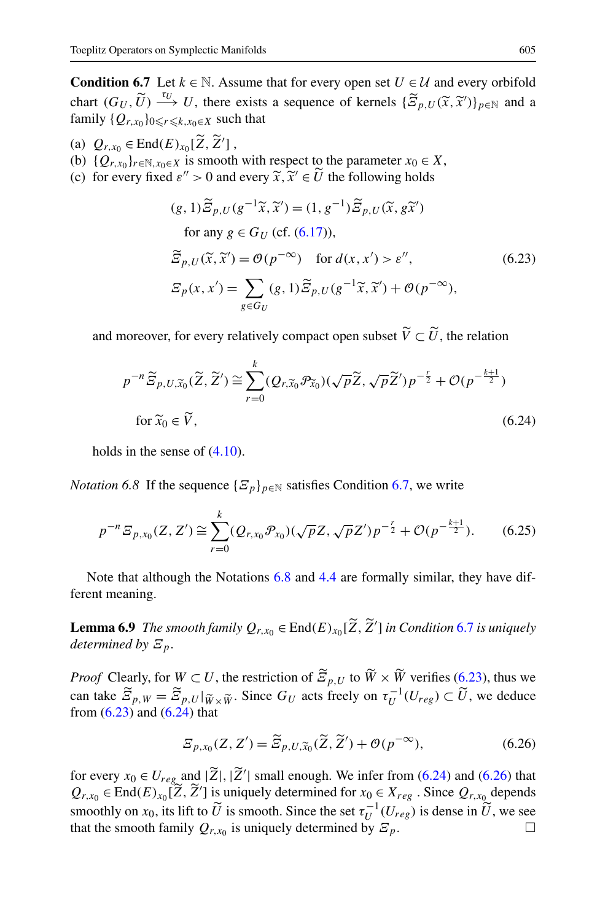<span id="page-40-0"></span>**Condition 6.7** Let  $k \in \mathbb{N}$ . Assume that for every open set  $U \in \mathcal{U}$  and every orbifold chart  $(G_U, \widetilde{U}) \xrightarrow{\tau_U} U$ , there exists a sequence of kernels  $\{\widetilde{Z}_{p,U}(\widetilde{x},\widetilde{x}')\}_{p \in \mathbb{N}}$  and a family  $\{O_{x,y} \}_{x \in V}$  such that family  $\{Q_{r,x_0}\}_{0 \leqslant r \leqslant k, x_0 \in X}$  such that

- (a)  $Q_{r,x_0} \in \text{End}(E)_{x_0}[\widetilde{Z}, \widetilde{Z}']$ ,<br>
(b)  $[Q_{r,x_0}]$  is smooth
- (b)  ${Q_{r,x_0}}_{r \in \mathbb{N}, x_0 \in X}$  is smooth with respect to the parameter  $x_0 \in X$ ,
- (c) for every fixed  $\varepsilon$ <sup>*n*</sup> > 0 and every  $\tilde{x}, \tilde{x}' \in \tilde{U}$  the following holds

$$
(g, 1)\widetilde{\mathcal{Z}}_{p,U}(g^{-1}\widetilde{x}, \widetilde{x}') = (1, g^{-1})\widetilde{\mathcal{Z}}_{p,U}(\widetilde{x}, g\widetilde{x}')
$$
  
for any  $g \in G_U$  (cf. (6.17)),  

$$
\widetilde{\mathcal{Z}}_{p,U}(\widetilde{x}, \widetilde{x}') = \mathcal{O}(p^{-\infty}) \quad \text{for } d(x, x') > \varepsilon'',
$$
  

$$
\mathcal{Z}_p(x, x') = \sum_{g \in G_U} (g, 1)\widetilde{\mathcal{Z}}_{p,U}(g^{-1}\widetilde{x}, \widetilde{x}') + \mathcal{O}(p^{-\infty}),
$$
 (6.23)

and moreover, for every relatively compact open subset  $V \subset U$ , the relation

$$
p^{-n}\widetilde{\Xi}_{p,U,\widetilde{x}_0}(\widetilde{Z},\widetilde{Z}') \cong \sum_{r=0}^k (Q_{r,\widetilde{x}_0} \mathcal{P}_{\widetilde{x}_0})(\sqrt{p}\widetilde{Z},\sqrt{p}\widetilde{Z}')p^{-\frac{r}{2}} + \mathcal{O}(p^{-\frac{k+1}{2}})
$$
  
for  $\widetilde{x}_0 \in \widetilde{V}$ , (6.24)

holds in the sense of  $(4.10)$  $(4.10)$ .

*Notation 6.8* If the sequence  $\{E_p\}_{p \in \mathbb{N}}$  satisfies Condition 6.7, we write

$$
p^{-n} \mathcal{E}_{p,x_0}(Z,Z') \cong \sum_{r=0}^k (Q_{r,x_0} \mathcal{P}_{x_0})(\sqrt{p}Z, \sqrt{p}Z') p^{-\frac{r}{2}} + \mathcal{O}(p^{-\frac{k+1}{2}}). \tag{6.25}
$$

Note that although the Notations 6.8 and [4.4](#page-16-0) are formally similar, they have different meaning.

**Lemma 6.9** *The smooth family*  $Q_{r,x_0} \in \text{End}(E)_{x_0}[\widetilde{Z}, \widetilde{Z}']$  *in Condition* 6.7 *is uniquely* determined by  $\Xi$ *determined by Ξp*.

*Proof* Clearly, for  $W \subset U$ , the restriction of  $\widetilde{Z}_{p,U}$  to  $\widetilde{W} \times \widetilde{W}$  verifies (6.23), thus we can take  $\widetilde{\Xi}_{p,W} = \widetilde{\Xi}_{p,W} | \widetilde{w}_{\times} \widetilde{w}$ . Since  $G_U$  acts freely on  $\tau_U^{-1}(U_{reg}) \subset \widetilde{U}$ , we deduce from  $(6.23)$  and  $(6.24)$  that

$$
\widetilde{E}_{p,x_0}(Z,Z') = \widetilde{E}_{p,U,\widetilde{x}_0}(\widetilde{Z},\widetilde{Z}') + \mathcal{O}(p^{-\infty}),\tag{6.26}
$$

for every  $x_0 \in U_{reg}$  and  $|\widetilde{Z}|$ ,  $|\widetilde{Z}'|$  small enough. We infer from (6.24) and (6.26) that  $Q = \mathbb{E} \text{rad}(E)$ ,  $[\widetilde{Z}, \widetilde{Z}']$  is uniqually determined for  $x \in Y$ . Since  $Q$  depends  $Q_{r,x_0} \in \text{End}(E)_{x_0}[\widetilde{Z}, \widetilde{Z}']$  is uniquely determined for  $x_0 \in X_{reg}$ . Since  $Q_{r,x_0}$  depends smoothly on *x*<sub>0</sub>, its lift to  $\widetilde{U}$  is smooth. Since the set  $\tau_U^{-1}(U_{reg})$  is dense in  $\widetilde{U}$ , we see that the smooth family  $Q_{r,x_0}$  is uniquely determined by  $\mathcal{Z}_p$ .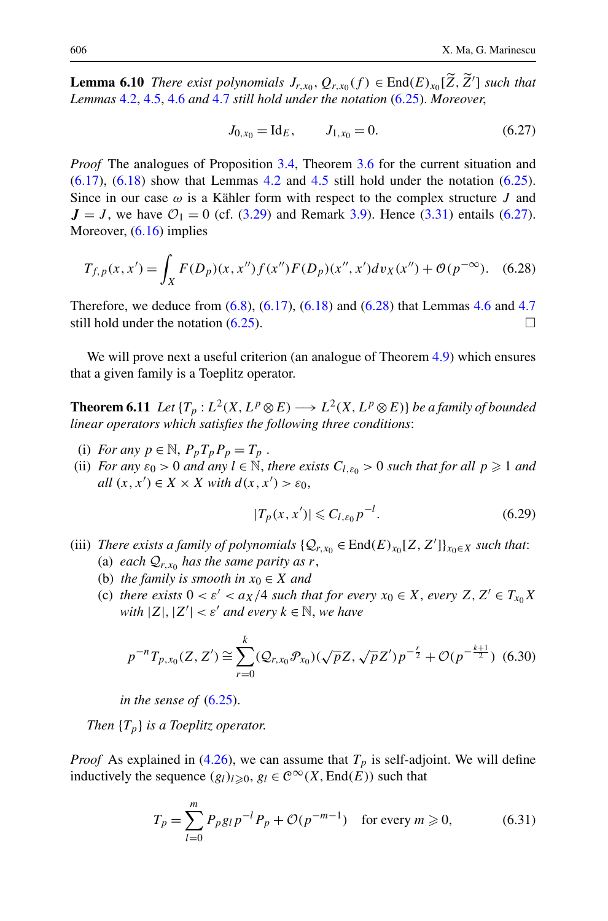<span id="page-41-0"></span>**Lemma 6.10** *There exist polynomials*  $J_{r,x_0}, Q_{r,x_0}(f) \in \text{End}(E)_{x_0}[\tilde{Z}, \tilde{Z}']$  *such that*<br>*Lemmas*  $A \geq A \leq A \leq and A \leq t$  *still hold under the notation* (6.25) Moreover *Lemmas* [4.2,](#page-16-0) [4.5](#page-17-0), [4.6](#page-17-0) *and* [4.7](#page-18-0) *still hold under the notation* ([6.25](#page-40-0)). *Moreover*,

$$
J_{0,x_0} = \text{Id}_E, \qquad J_{1,x_0} = 0. \tag{6.27}
$$

*Proof* The analogues of Proposition [3.4](#page-11-0), Theorem [3.6](#page-12-0) for the current situation and  $(6.17)$ ,  $(6.18)$  $(6.18)$  show that Lemmas [4.2](#page-16-0) and [4.5](#page-17-0) still hold under the notation  $(6.25)$ . Since in our case  $\omega$  is a Kähler form with respect to the complex structure *J* and  $J = J$ , we have  $\mathcal{O}_1 = 0$  (cf. ([3.29](#page-13-0)) and Remark [3.9](#page-14-0)). Hence [\(3.31\)](#page-14-0) entails (6.27). Moreover,  $(6.16)$  $(6.16)$  $(6.16)$  implies

$$
T_{f,p}(x,x') = \int_X F(D_p)(x,x'')f(x'')F(D_p)(x'',x')dv_X(x'') + \mathcal{O}(p^{-\infty}).
$$
 (6.28)

Therefore, we deduce from [\(6.8\)](#page-36-0), ([6.17](#page-38-0)), [\(6.18\)](#page-39-0) and (6.28) that Lemmas [4.6](#page-17-0) and [4.7](#page-18-0) still hold under the notation  $(6.25)$  $(6.25)$  $(6.25)$ .

We will prove next a useful criterion (an analogue of Theorem [4.9](#page-19-0)) which ensures that a given family is a Toeplitz operator.

**Theorem 6.11** *Let*  $\{T_p : L^2(X, L^p \otimes E) \longrightarrow L^2(X, L^p \otimes E)\}$  *be a family of bounded linear operators which satisfies the following three conditions*:

- (i) *For any*  $p \in \mathbb{N}$ ,  $P_p T_p P_p = T_p$ .
- (ii) *For any*  $\varepsilon_0 > 0$  *and any*  $l \in \mathbb{N}$ , *there exists*  $C_{l, \varepsilon_0} > 0$  *such that for all*  $p \ge 1$  *and all*  $(x, x') \in X \times X$  *with*  $d(x, x') > \varepsilon_0$ ,

$$
|T_p(x, x')| \leq C_{l, \varepsilon_0} p^{-l}.\tag{6.29}
$$

- (iii) *There exists a family of polynomials*  $\{Q_{r,x_0} \in \text{End}(E)_{x_0}[Z, Z']\}_{x_0 \in X}$  *such that*: (a) *each*  $Q_{r,x_0}$  *has the same parity as r*,
	- (b) *the family is smooth in*  $x_0 \in X$  *and*
	- (c) *there exists*  $0 < \varepsilon' < a_X/4$  *such that for every*  $x_0 \in X$ *, every*  $Z, Z' \in T_{x_0}X$ *with*  $|Z|, |Z'| < \varepsilon'$  *and every*  $k \in \mathbb{N}$ *, we have*

$$
p^{-n}T_{p,x_0}(Z,Z') \cong \sum_{r=0}^k (\mathcal{Q}_{r,x_0}\mathcal{P}_{x_0})(\sqrt{p}Z,\sqrt{p}Z')p^{-\frac{r}{2}} + \mathcal{O}(p^{-\frac{k+1}{2}}) \tag{6.30}
$$

*in the sense of* ([6.25](#page-40-0)).

*Then* {*Tp*} *is a Toeplitz operator*.

*Proof* As explained in [\(4.26\)](#page-19-0), we can assume that  $T_p$  is self-adjoint. We will define inductively the sequence  $(g_l)_{l\geqslant0}, g_l \in C^\infty(X, \text{End}(E))$  such that

$$
T_p = \sum_{l=0}^{m} P_p g_l p^{-l} P_p + \mathcal{O}(p^{-m-1}) \quad \text{for every } m \ge 0,
$$
 (6.31)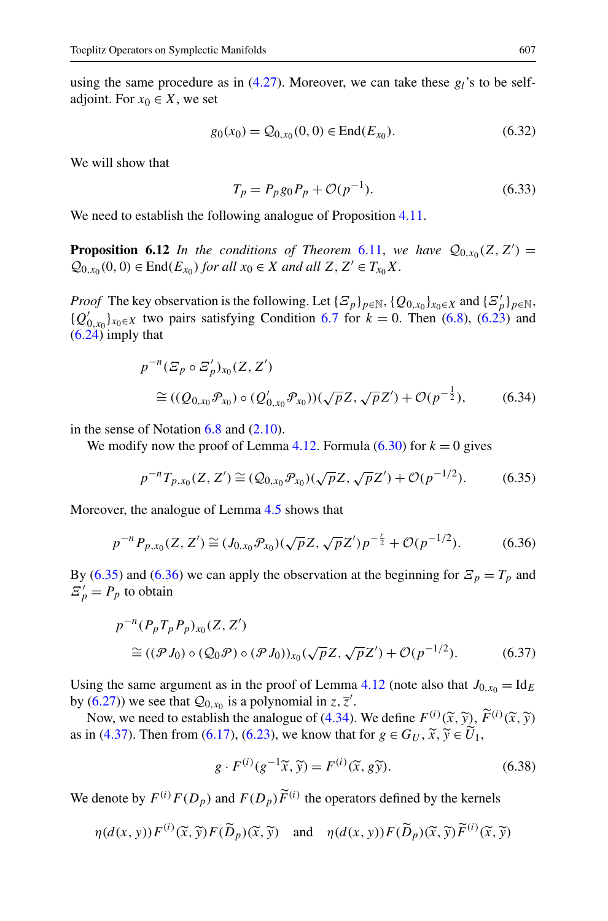<span id="page-42-0"></span>using the same procedure as in ([4.27](#page-19-0)). Moreover, we can take these *gl*'s to be selfadjoint. For  $x_0 \in X$ , we set

$$
g_0(x_0) = Q_{0,x_0}(0,0) \in \text{End}(E_{x_0}).\tag{6.32}
$$

We will show that

$$
T_p = P_p g_0 P_p + \mathcal{O}(p^{-1}).
$$
\n(6.33)

We need to establish the following analogue of Proposition [4.11.](#page-20-0)

**Proposition 6.12** *In the conditions of Theorem [6.11,](#page-41-0) we have*  $\mathcal{Q}_{0,x_0}(Z, Z') =$  $Q_{0,x_0}(0,0) \in \text{End}(E_{x_0})$  *for all*  $x_0 \in X$  *and all*  $Z, Z' \in T_{x_0}X$ .

*Proof* The key observation is the following. Let  $\{E_p\}_{p \in \mathbb{N}}$ ,  $\{Q_{0,x_0}\}_{x_0 \in X}$  and  $\{E'_p\}_{p \in \mathbb{N}}$ ,  ${Q'_{0,x_0}}_{x_0 \in X}$  two pairs satisfying Condition [6.7](#page-40-0) for *k* = 0. Then ([6.8](#page-36-0)), [\(6.23\)](#page-40-0) and  $(6.24)$  imply that

$$
p^{-n}(\mathcal{Z}_p \circ \mathcal{Z}_p')_{x_0}(Z, Z')
$$
  
\n
$$
\cong ((\mathcal{Q}_{0,x_0}\mathcal{P}_{x_0}) \circ (\mathcal{Q}'_{0,x_0}\mathcal{P}_{x_0}))(\sqrt{p}Z, \sqrt{p}Z') + \mathcal{O}(p^{-\frac{1}{2}}),
$$
\n(6.34)

in the sense of Notation  $6.8$  and  $(2.10)$ .

We modify now the proof of Lemma [4.12.](#page-20-0) Formula  $(6.30)$  for  $k = 0$  gives

$$
p^{-n}T_{p,x_0}(Z,Z') \cong (\mathcal{Q}_{0,x_0}\mathcal{P}_{x_0})(\sqrt{p}Z,\sqrt{p}Z') + \mathcal{O}(p^{-1/2}).\tag{6.35}
$$

Moreover, the analogue of Lemma [4.5](#page-17-0) shows that

$$
p^{-n}P_{p,x_0}(Z,Z') \cong (J_{0,x_0}\mathcal{P}_{x_0})(\sqrt{p}Z,\sqrt{p}Z')p^{-\frac{r}{2}} + \mathcal{O}(p^{-1/2}).\tag{6.36}
$$

By (6.35) and (6.36) we can apply the observation at the beginning for  $\mathcal{Z}_p = T_p$  and  $E'_p = P_p$  to obtain

$$
p^{-n}(P_p T_p P_p)_{x_0}(Z, Z')
$$
  
\n
$$
\cong ((\mathcal{P} J_0) \circ (\mathcal{Q}_0 \mathcal{P}) \circ (\mathcal{P} J_0))_{x_0}(\sqrt{p}Z, \sqrt{p}Z') + \mathcal{O}(p^{-1/2}).
$$
\n(6.37)

Using the same argument as in the proof of Lemma [4.12](#page-20-0) (note also that  $J_{0,x_0} = \text{Id}_E$ by ([6.27](#page-41-0))) we see that  $Q_{0,x_0}$  is a polynomial in  $z, \overline{z}'$ .

Now, we need to establish the analogue of [\(4.34\)](#page-20-0). We define  $F^{(i)}(\tilde{x}, \tilde{y})$ ,  $\tilde{F}^{(i)}(\tilde{x}, \tilde{y})$ <br>in (4.37). Then from (6.17). (6.23), we know that for  $g \in G_{U}$ ,  $\tilde{x} \tilde{y} \in \tilde{U}_1$ as in [\(4.37\)](#page-21-0). Then from [\(6.17](#page-38-0)), [\(6.23\)](#page-40-0), we know that for  $g \in G_U$ ,  $\widetilde{x}$ ,  $\widetilde{y} \in U_1$ ,

$$
g \cdot F^{(i)}(g^{-1}\widetilde{x}, \widetilde{y}) = F^{(i)}(\widetilde{x}, g\widetilde{y}).
$$
\n(6.38)

We denote by  $F^{(i)}F(D_p)$  and  $F(D_p)\widetilde{F}^{(i)}$  the operators defined by the kernels

$$
\eta(d(x, y)) F^{(i)}(\widetilde{x}, \widetilde{y}) F(\widetilde{D}_p)(\widetilde{x}, \widetilde{y}) \quad \text{and} \quad \eta(d(x, y)) F(\widetilde{D}_p)(\widetilde{x}, \widetilde{y}) \widetilde{F}^{(i)}(\widetilde{x}, \widetilde{y})
$$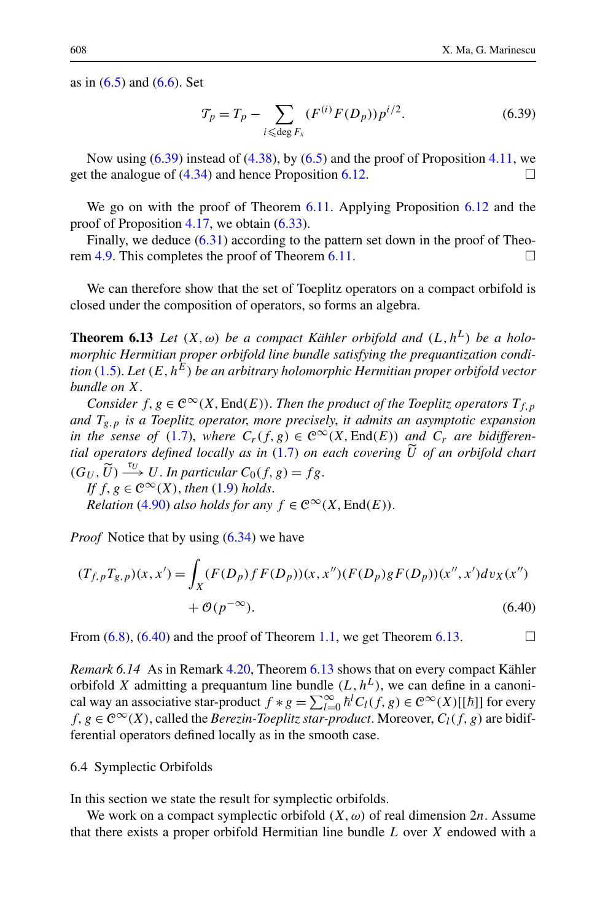<span id="page-43-0"></span>as in  $(6.5)$  and  $(6.6)$  $(6.6)$  $(6.6)$ . Set

$$
\mathcal{T}_p = T_p - \sum_{i \leqslant \deg F_x} (F^{(i)} F(D_p)) p^{i/2}.
$$
 (6.39)

Now using  $(6.39)$  instead of  $(4.38)$ , by  $(6.5)$  $(6.5)$  $(6.5)$  and the proof of Proposition [4.11](#page-20-0), we get the analogue of  $(4.34)$  $(4.34)$  $(4.34)$  and hence Proposition [6.12](#page-42-0).

We go on with the proof of Theorem [6.11.](#page-41-0) Applying Proposition [6.12](#page-42-0) and the proof of Proposition [4.17,](#page-25-0) we obtain [\(6.33\)](#page-42-0).

Finally, we deduce  $(6.31)$  $(6.31)$  according to the pattern set down in the proof of Theorem [4.9](#page-19-0). This completes the proof of Theorem [6.11.](#page-41-0)

We can therefore show that the set of Toeplitz operators on a compact orbifold is closed under the composition of operators, so forms an algebra.

**Theorem 6.13** *Let*  $(X, \omega)$  *be a compact Kähler orbifold and*  $(L, h^L)$  *be a holomorphic Hermitian proper orbifold line bundle satisfying the prequantization condition* ([1.5](#page-2-0)). *Let (E,hE) be an arbitrary holomorphic Hermitian proper orbifold vector bundle on X*.

*Consider*  $f, g \in C^{\infty}(X, \text{End}(E))$ . *Then the product of the Toeplitz operators*  $T_{f, p}$ *and Tg,p is a Toeplitz operator*, *more precisely*, *it admits an asymptotic expansion in the sense of* [\(1.7\)](#page-3-0), *where*  $C_r(f, g) \in C^\infty(X, \text{End}(E))$  *and*  $C_r$  *are bidifferential operators defined locally as in* [\(1.7\)](#page-3-0) *on each covering U of an orbifold chart*  $(G_U, \widetilde{U}) \longrightarrow^{\tau_U} U$ . *In particular*  $C_0(f, g) = fg$ .

*If*  $f, g \in C^{\infty}(X)$ , *then* ([1.9\)](#page-4-0) *holds*. *Relation* [\(4.90\)](#page-29-0) *also holds for any*  $f \in C^{\infty}(X, \text{End}(E)).$ 

*Proof* Notice that by using [\(6.34\)](#page-42-0) we have

$$
(T_{f,p}T_{g,p})(x,x') = \int_X (F(D_p)fF(D_p))(x,x'')(F(D_p)gF(D_p))(x'',x')dv_X(x'') + \mathcal{O}(p^{-\infty}).
$$
\n(6.40)

From  $(6.8)$ ,  $(6.40)$  and the proof of Theorem [1.1,](#page-3-0) we get Theorem 6.13.

*Remark 6.14* As in Remark [4.20](#page-29-0), Theorem 6.13 shows that on every compact Kähler orbifold *X* admitting a prequantum line bundle  $(L, h^L)$ , we can define in a canonical way an associative star-product  $f * g = \sum_{l=0}^{\infty} h^l C_l(f, g) \in C^{\infty}(X)[[\hbar]]$  for every  $f, g \in \mathcal{C}^{\infty}(X)$ , called the *Berezin-Toeplitz star-product*. Moreover,  $C_l(f, g)$  are bidifferential operators defined locally as in the smooth case.

# 6.4 Symplectic Orbifolds

In this section we state the result for symplectic orbifolds.

We work on a compact symplectic orbifold  $(X, \omega)$  of real dimension 2*n*. Assume that there exists a proper orbifold Hermitian line bundle *L* over *X* endowed with a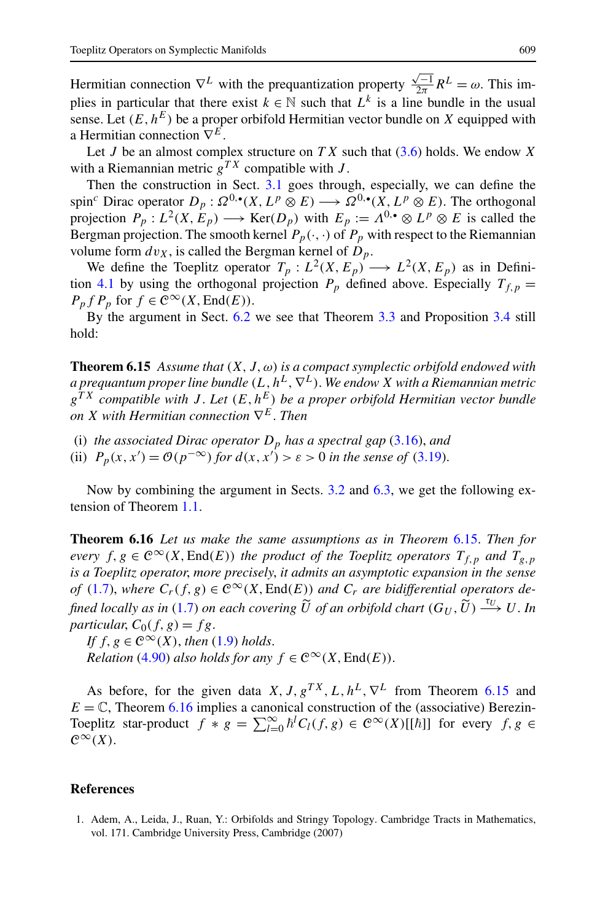<span id="page-44-0"></span>Hermitian connection  $\nabla^L$  with the prequantization property  $\frac{\sqrt{-1}}{2\pi}R^L = \omega$ . This implies in particular that there exist  $k \in \mathbb{N}$  such that  $L^k$  is a line bundle in the usual sense. Let  $(E, h^E)$  be a proper orbifold Hermitian vector bundle on X equipped with a Hermitian connection ∇*E*.

Let *J* be an almost complex structure on  $TX$  such that  $(3.6)$  holds. We endow X with a Riemannian metric  $g^{TX}$  compatible with *J*.

Then the construction in Sect. [3.1](#page-8-0) goes through, especially, we can define the spin<sup>c</sup> Dirac operator  $D_p: \Omega^{0,\bullet}(X, L^p \otimes E) \longrightarrow \Omega^{0,\bullet}(X, L^p \otimes E)$ . The orthogonal projection  $P_p: L^2(X, E_p) \longrightarrow \text{Ker}(D_p)$  with  $E_p := \Lambda^{0,\bullet} \otimes L^p \otimes E$  is called the Bergman projection. The smooth kernel  $P_p(\cdot, \cdot)$  of  $P_p$  with respect to the Riemannian volume form  $dv_X$ , is called the Bergman kernel of  $D_p$ .

We define the Toeplitz operator  $T_p: L^2(X, E_p) \longrightarrow L^2(X, E_p)$  as in Defini-tion [4.1](#page-15-0) by using the orthogonal projection  $P_p$  defined above. Especially  $T_{f,p}$  =  $P_p f P_p$  for  $f \in C^\infty(X, \text{End}(E)).$ 

By the argument in Sect. [6.2](#page-36-0) we see that Theorem [3.3](#page-10-0) and Proposition [3.4](#page-11-0) still hold:

**Theorem 6.15** *Assume that*  $(X, J, \omega)$  *is a compact symplectic orbifold endowed with a prequantum proper line bundle*  $(L, h^L, \nabla^L)$ . We endow *X* with a Riemannian metric *gT X compatible with J* . *Let (E,hE) be a proper orbifold Hermitian vector bundle on X with Hermitian connection* ∇*E*. *Then*

- (i) *the associated Dirac operator*  $D_p$  *has a spectral gap* ([3.16](#page-10-0))*, and*
- (ii)  $P_p(x, x') = \mathcal{O}(p^{-\infty})$  *for*  $d(x, x') > \varepsilon > 0$  *in the sense of* ([3.19](#page-11-0)).

Now by combining the argument in Sects. [3.2](#page-11-0) and [6.3,](#page-39-0) we get the following extension of Theorem [1.1.](#page-3-0)

**Theorem 6.16** *Let us make the same assumptions as in Theorem* 6.15. *Then for every*  $f, g \in C^{\infty}(X, \text{End}(E))$  *the product of the Toeplitz operators*  $T_{f, p}$  *and*  $T_{g, p}$ *is a Toeplitz operator*, *more precisely*, *it admits an asymptotic expansion in the sense of* [\(1.7\)](#page-3-0), where  $C_r(f, g) \in C^\infty(X, \text{End}(E))$  and  $C_r$  are bidifferential operators de*fined locally as in* ([1.7](#page-3-0)) *on each covering*  $\widetilde{U}$  *of an orbifold chart*  $(G_U, \widetilde{U}) \xrightarrow{\tau_U} U$ . *In particular*  $C_2(f, \alpha) = fg$ *particular,*  $C_0(f, g) = fg$ .

*If*  $f, g \in C^{\infty}(X)$ , *then* ([1.9\)](#page-4-0) *holds*.

*Relation* [\(4.90\)](#page-29-0) *also holds for any*  $f \in C^{\infty}(X, \text{End}(E))$ .

As before, for the given data *X, J, g<sup>TX</sup>, L, h<sup>L</sup>,*  $\nabla^L$  from Theorem 6.15 and  $E = \mathbb{C}$ , Theorem 6.16 implies a canonical construction of the (associative) Berezin-Toeplitz star-product  $f * g = \sum_{l=0}^{\infty} h^l C_l(f, g) \in C^{\infty}(X)[[\hbar]]$  for every  $f, g \in$  $\mathcal{C}^{\infty}(X)$ .

# **References**

1. Adem, A., Leida, J., Ruan, Y.: Orbifolds and Stringy Topology. Cambridge Tracts in Mathematics, vol. 171. Cambridge University Press, Cambridge (2007)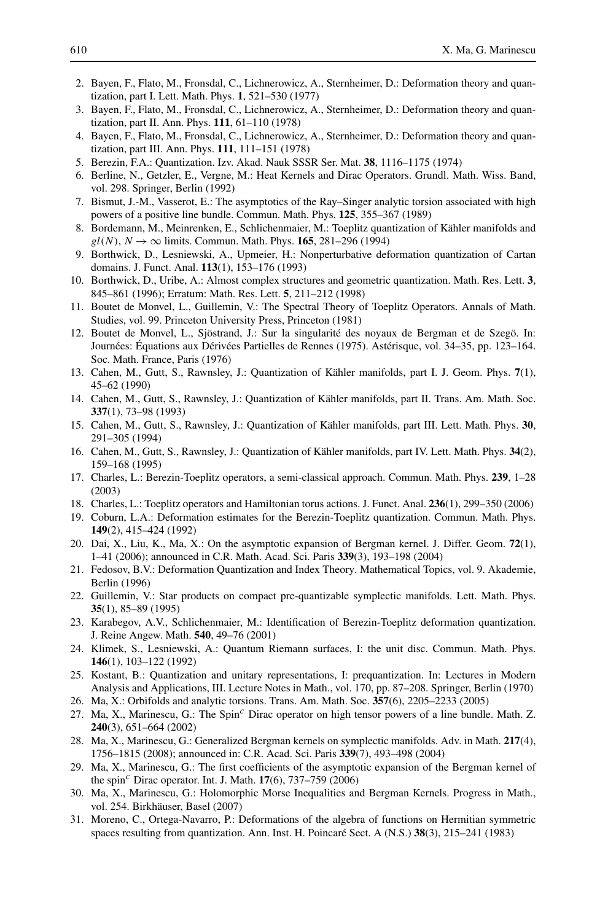- <span id="page-45-0"></span>2. Bayen, F., Flato, M., Fronsdal, C., Lichnerowicz, A., Sternheimer, D.: Deformation theory and quantization, part I. Lett. Math. Phys. **1**, 521–530 (1977)
- 3. Bayen, F., Flato, M., Fronsdal, C., Lichnerowicz, A., Sternheimer, D.: Deformation theory and quantization, part II. Ann. Phys. **111**, 61–110 (1978)
- 4. Bayen, F., Flato, M., Fronsdal, C., Lichnerowicz, A., Sternheimer, D.: Deformation theory and quantization, part III. Ann. Phys. **111**, 111–151 (1978)
- 5. Berezin, F.A.: Quantization. Izv. Akad. Nauk SSSR Ser. Mat. **38**, 1116–1175 (1974)
- 6. Berline, N., Getzler, E., Vergne, M.: Heat Kernels and Dirac Operators. Grundl. Math. Wiss. Band, vol. 298. Springer, Berlin (1992)
- 7. Bismut, J.-M., Vasserot, E.: The asymptotics of the Ray–Singer analytic torsion associated with high powers of a positive line bundle. Commun. Math. Phys. **125**, 355–367 (1989)
- 8. Bordemann, M., Meinrenken, E., Schlichenmaier, M.: Toeplitz quantization of Kähler manifolds and  $gl(N)$ ,  $N \rightarrow \infty$  limits. Commun. Math. Phys. **165**, 281–296 (1994)
- 9. Borthwick, D., Lesniewski, A., Upmeier, H.: Nonperturbative deformation quantization of Cartan domains. J. Funct. Anal. **113**(1), 153–176 (1993)
- 10. Borthwick, D., Uribe, A.: Almost complex structures and geometric quantization. Math. Res. Lett. **3**, 845–861 (1996); Erratum: Math. Res. Lett. **5**, 211–212 (1998)
- 11. Boutet de Monvel, L., Guillemin, V.: The Spectral Theory of Toeplitz Operators. Annals of Math. Studies, vol. 99. Princeton University Press, Princeton (1981)
- 12. Boutet de Monvel, L., Sjöstrand, J.: Sur la singularité des noyaux de Bergman et de Szegö. In: Journées: Équations aux Dérivées Partielles de Rennes (1975). Astérisque, vol. 34–35, pp. 123–164. Soc. Math. France, Paris (1976)
- 13. Cahen, M., Gutt, S., Rawnsley, J.: Quantization of Kähler manifolds, part I. J. Geom. Phys. **7**(1), 45–62 (1990)
- 14. Cahen, M., Gutt, S., Rawnsley, J.: Quantization of Kähler manifolds, part II. Trans. Am. Math. Soc. **337**(1), 73–98 (1993)
- 15. Cahen, M., Gutt, S., Rawnsley, J.: Quantization of Kähler manifolds, part III. Lett. Math. Phys. **30**, 291–305 (1994)
- 16. Cahen, M., Gutt, S., Rawnsley, J.: Quantization of Kähler manifolds, part IV. Lett. Math. Phys. **34**(2), 159–168 (1995)
- 17. Charles, L.: Berezin-Toeplitz operators, a semi-classical approach. Commun. Math. Phys. **239**, 1–28 (2003)
- 18. Charles, L.: Toeplitz operators and Hamiltonian torus actions. J. Funct. Anal. **236**(1), 299–350 (2006)
- 19. Coburn, L.A.: Deformation estimates for the Berezin-Toeplitz quantization. Commun. Math. Phys. **149**(2), 415–424 (1992)
- 20. Dai, X., Liu, K., Ma, X.: On the asymptotic expansion of Bergman kernel. J. Differ. Geom. **72**(1), 1–41 (2006); announced in C.R. Math. Acad. Sci. Paris **339**(3), 193–198 (2004)
- 21. Fedosov, B.V.: Deformation Quantization and Index Theory. Mathematical Topics, vol. 9. Akademie, Berlin (1996)
- 22. Guillemin, V.: Star products on compact pre-quantizable symplectic manifolds. Lett. Math. Phys. **35**(1), 85–89 (1995)
- 23. Karabegov, A.V., Schlichenmaier, M.: Identification of Berezin-Toeplitz deformation quantization. J. Reine Angew. Math. **540**, 49–76 (2001)
- 24. Klimek, S., Lesniewski, A.: Quantum Riemann surfaces, I: the unit disc. Commun. Math. Phys. **146**(1), 103–122 (1992)
- 25. Kostant, B.: Quantization and unitary representations, I: prequantization. In: Lectures in Modern Analysis and Applications, III. Lecture Notes in Math., vol. 170, pp. 87–208. Springer, Berlin (1970)
- 26. Ma, X.: Orbifolds and analytic torsions. Trans. Am. Math. Soc. **357**(6), 2205–2233 (2005)
- 27. Ma, X., Marinescu, G.: The Spin*<sup>c</sup>* Dirac operator on high tensor powers of a line bundle. Math. Z. **240**(3), 651–664 (2002)
- 28. Ma, X., Marinescu, G.: Generalized Bergman kernels on symplectic manifolds. Adv. in Math. **217**(4), 1756–1815 (2008); announced in: C.R. Acad. Sci. Paris **339**(7), 493–498 (2004)
- 29. Ma, X., Marinescu, G.: The first coefficients of the asymptotic expansion of the Bergman kernel of the spin*<sup>c</sup>* Dirac operator. Int. J. Math. **17**(6), 737–759 (2006)
- 30. Ma, X., Marinescu, G.: Holomorphic Morse Inequalities and Bergman Kernels. Progress in Math., vol. 254. Birkhäuser, Basel (2007)
- 31. Moreno, C., Ortega-Navarro, P.: Deformations of the algebra of functions on Hermitian symmetric spaces resulting from quantization. Ann. Inst. H. Poincaré Sect. A (N.S.) **38**(3), 215–241 (1983)